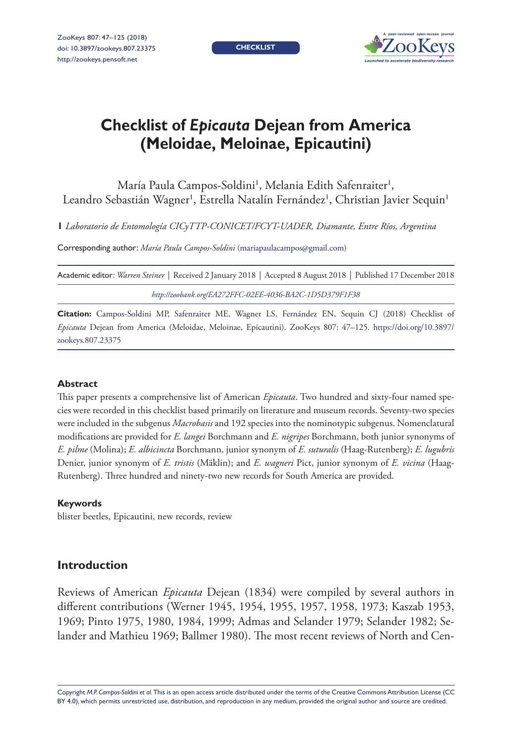**CHECKLIST**



# **Checklist of** *Epicauta* **Dejean from America (Meloidae, Meloinae, Epicautini)**

# María Paula Campos-Soldini', Melania Edith Safenraiter', Leandro Sebastián Wagner<sup>i</sup>, Estrella Natalín Fernández', Christian Javier Sequin'

**1** *Laboratorio de Entomología CICyTTP-CONICET/FCYT-UADER, Diamante, Entre Ríos, Argentina*

Corresponding author: *María Paula Campos-Soldini* [\(mariapaulacampos@gmail.com](mailto:mariapaulacampos@gmail.com))

Academic editor: *Warren Steiner* | Received 2 January 2018 | Accepted 8 August 2018 | Published 17 December 2018 *<http://zoobank.org/EA272FFC-02EE-4036-BA2C-1D5D379F1F38>*

**Citation:** Campos-Soldini MP, Safenraiter ME, Wagner LS, Fernández EN, Sequin CJ (2018) Checklist of *Epicauta* Dejean from America (Meloidae, Meloinae, Epicautini). ZooKeys 807: 47–125. [https://doi.org/10.3897/](https://doi.org/10.3897/zookeys.807.23375) [zookeys.807.23375](https://doi.org/10.3897/zookeys.807.23375)

### **Abstract**

This paper presents a comprehensive list of American *Epicauta*. Two hundred and sixty-four named species were recorded in this checklist based primarily on literature and museum records. Seventy-two species were included in the subgenus *Macrobasis* and 192 species into the nominotypic subgenus. Nomenclatural modifications are provided for *E. langei* Borchmann and *E. nigripes* Borchmann, both junior synonyms of *E. pilme* (Molina); *E. albicincta* Borchmann, junior synonym of *E. suturalis* (Haag-Rutenberg); *E. lugubris*  Denier, junior synonym of *E. tristis* (Mäklin); and *E. wagneri* Pict, junior synonym of *E. vicina* (Haag-Rutenberg). Three hundred and ninety-two new records for South America are provided.

### **Keywords**

blister beetles, Epicautini, new records, review

# **Introduction**

Reviews of American *Epicauta* Dejean (1834) were compiled by several authors in different contributions (Werner 1945, 1954, 1955, 1957, 1958, 1973; Kaszab 1953, 1969; Pinto 1975, 1980, 1984, 1999; Admas and Selander 1979; Selander 1982; Selander and Mathieu 1969; Ballmer 1980). The most recent reviews of North and Cen-

Copyright *M.P. Campos-Soldini et al.* This is an open access article distributed under the terms of the [Creative Commons Attribution License \(CC](http://creativecommons.org/licenses/by/4.0/)  [BY 4.0\)](http://creativecommons.org/licenses/by/4.0/), which permits unrestricted use, distribution, and reproduction in any medium, provided the original author and source are credited.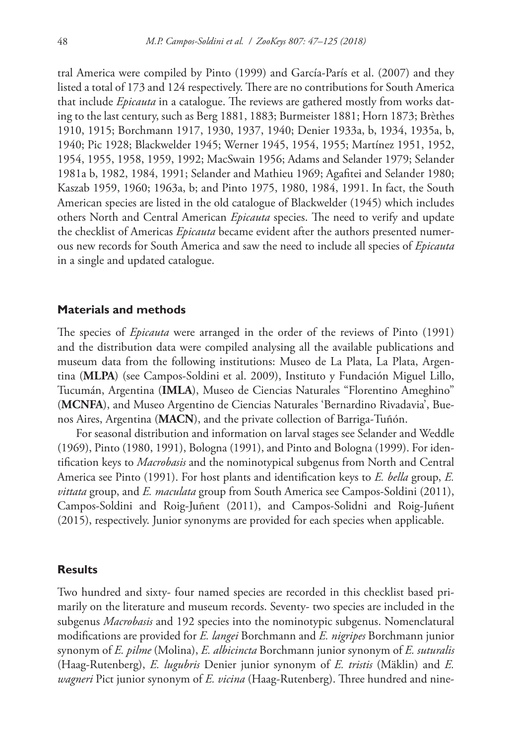tral America were compiled by Pinto (1999) and García-París et al. (2007) and they listed a total of 173 and 124 respectively. There are no contributions for South America that include *Epicauta* in a catalogue. The reviews are gathered mostly from works dating to the last century, such as Berg 1881, 1883; Burmeister 1881; Horn 1873; Brèthes 1910, 1915; Borchmann 1917, 1930, 1937, 1940; Denier 1933a, b, 1934, 1935a, b, 1940; Pic 1928; Blackwelder 1945; Werner 1945, 1954, 1955; Martínez 1951, 1952, 1954, 1955, 1958, 1959, 1992; MacSwain 1956; Adams and Selander 1979; Selander 1981a b, 1982, 1984, 1991; Selander and Mathieu 1969; Agafitei and Selander 1980; Kaszab 1959, 1960; 1963a, b; and Pinto 1975, 1980, 1984, 1991. In fact, the South American species are listed in the old catalogue of Blackwelder (1945) which includes others North and Central American *Epicauta* species. The need to verify and update the checklist of Americas *Epicauta* became evident after the authors presented numerous new records for South America and saw the need to include all species of *Epicauta* in a single and updated catalogue.

# **Materials and methods**

The species of *Epicauta* were arranged in the order of the reviews of Pinto (1991) and the distribution data were compiled analysing all the available publications and museum data from the following institutions: Museo de La Plata, La Plata, Argentina (**MLPA**) (see Campos-Soldini et al. 2009), Instituto y Fundación Miguel Lillo, Tucumán, Argentina (**IMLA**), Museo de Ciencias Naturales "Florentino Ameghino" (**MCNFA**), and Museo Argentino de Ciencias Naturales 'Bernardino Rivadavia', Buenos Aires, Argentina (**MACN**), and the private collection of Barriga-Tuñón.

For seasonal distribution and information on larval stages see Selander and Weddle (1969), Pinto (1980, 1991), Bologna (1991), and Pinto and Bologna (1999). For identification keys to *Macrobasis* and the nominotypical subgenus from North and Central America see Pinto (1991). For host plants and identification keys to *E. bella* group, *E. vittata* group, and *E. maculata* group from South America see Campos-Soldini (2011), Campos-Soldini and Roig-Juñent (2011), and Campos-Solidni and Roig-Juñent (2015), respectively. Junior synonyms are provided for each species when applicable.

### **Results**

Two hundred and sixty- four named species are recorded in this checklist based primarily on the literature and museum records. Seventy- two species are included in the subgenus *Macrobasis* and 192 species into the nominotypic subgenus. Nomenclatural modifications are provided for *E. langei* Borchmann and *E. nigripes* Borchmann junior synonym of *E. pilme* (Molina), *E. albicincta* Borchmann junior synonym of *E. suturalis*  (Haag-Rutenberg), *E. lugubris* Denier junior synonym of *E. tristis* (Mäklin) and *E. wagneri* Pict junior synonym of *E. vicina* (Haag-Rutenberg). Three hundred and nine-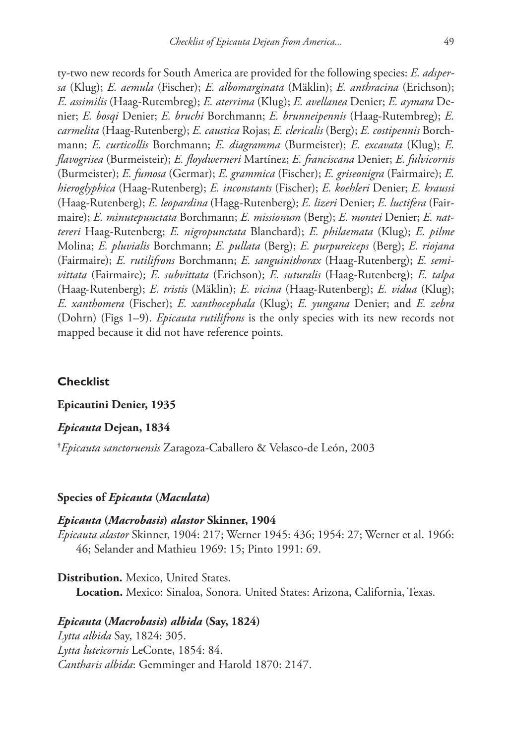ty-two new records for South America are provided for the following species: *E. adspersa* (Klug); *E. aemula* (Fischer); *E. albomarginata* (Mäklin); *E. anthracina* (Erichson); *E. assimilis* (Haag-Rutembreg); *E. aterrima* (Klug); *E. avellanea* Denier; *E. aymara* Denier; *E. bosqi* Denier; *E. bruchi* Borchmann; *E. brunneipennis* (Haag-Rutembreg); *E. carmelita* (Haag-Rutenberg); *E. caustica* Rojas; *E. clericalis* (Berg); *E. costipennis* Borchmann; *E. curticollis* Borchmann; *E. diagramma* (Burmeister); *E. excavata* (Klug); *E. flavogrisea* (Burmeisteir); *E. floydwerneri* Martínez; *E. franciscana* Denier; *E. fulvicornis*  (Burmeister); *E. fumosa* (Germar); *E. grammica* (Fischer); *E. griseonigra* (Fairmaire); *E. hieroglyphica* (Haag-Rutenberg); *E. inconstants* (Fischer); *E. koehleri* Denier; *E. kraussi*  (Haag-Rutenberg); *E. leopardina* (Hagg-Rutenberg); *E. lizeri* Denier; *E. luctifera* (Fairmaire); *E. minutepunctata* Borchmann; *E. missionum* (Berg); *E. montei* Denier; *E. nattereri* Haag-Rutenberg; *E. nigropunctata* Blanchard); *E. philaemata* (Klug); *E. pilme*  Molina; *E. pluvialis* Borchmann; *E. pullata* (Berg); *E. purpureiceps* (Berg); *E. riojana*  (Fairmaire); *E. rutilifrons* Borchmann; *E. sanguinithorax* (Haag-Rutenberg); *E. semivittata* (Fairmaire); *E. subvittata* (Erichson); *E. suturalis* (Haag-Rutenberg); *E. talpa*  (Haag-Rutenberg); *E. tristis* (Mäklin); *E. vicina* (Haag-Rutenberg); *E. vidua* (Klug); *E. xanthomera* (Fischer); *E. xanthocephala* (Klug); *E. yungana* Denier; and *E. zebra*  (Dohrn) (Figs 1–9). *Epicauta rutilifrons* is the only species with its new records not mapped because it did not have reference points.

# **Checklist**

# **Epicautini Denier, 1935**

### *Epicauta* **Dejean, 1834**

**†** *Epicauta sanctoruensis* Zaragoza-Caballero & Velasco-de León, 2003

### **Species of** *Epicauta* **(***Maculata***)**

### *Epicauta* **(***Macrobasis***)** *alastor* **Skinner, 1904**

*Epicauta alastor* Skinner, 1904: 217; Werner 1945: 436; 1954: 27; Werner et al. 1966: 46; Selander and Mathieu 1969: 15; Pinto 1991: 69.

**Distribution.** Mexico, United States.

**Location.** Mexico: Sinaloa, Sonora. United States: Arizona, California, Texas.

# *Epicauta* **(***Macrobasis***)** *albida* **(Say, 1824)**

*Lytta albida* Say, 1824: 305. *Lytta luteicornis* LeConte, 1854: 84. *Cantharis albida*: Gemminger and Harold 1870: 2147.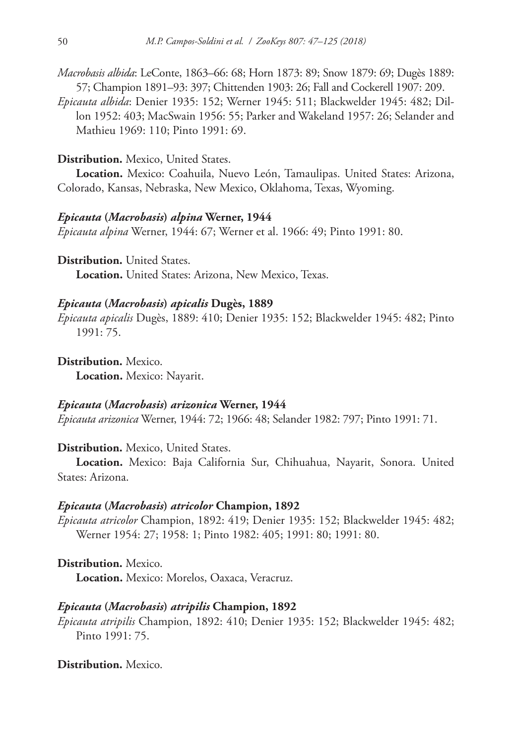*Macrobasis albida*: LeConte, 1863–66: 68; Horn 1873: 89; Snow 1879: 69; Dugès 1889: 57; Champion 1891–93: 397; Chittenden 1903: 26; Fall and Cockerell 1907: 209.

*Epicauta albida*: Denier 1935: 152; Werner 1945: 511; Blackwelder 1945: 482; Dillon 1952: 403; MacSwain 1956: 55; Parker and Wakeland 1957: 26; Selander and Mathieu 1969: 110; Pinto 1991: 69.

# **Distribution.** Mexico, United States.

**Location.** Mexico: Coahuila, Nuevo León, Tamaulipas. United States: Arizona, Colorado, Kansas, Nebraska, New Mexico, Oklahoma, Texas, Wyoming.

### *Epicauta* **(***Macrobasis***)** *alpina* **Werner, 1944**

*Epicauta alpina* Werner, 1944: 67; Werner et al. 1966: 49; Pinto 1991: 80.

**Distribution.** United States. **Location.** United States: Arizona, New Mexico, Texas.

# *Epicauta* **(***Macrobasis***)** *apicalis* **Dugès, 1889**

*Epicauta apicalis* Dugès, 1889: 410; Denier 1935: 152; Blackwelder 1945: 482; Pinto 1991: 75.

**Distribution.** Mexico. **Location.** Mexico: Nayarit.

*Epicauta* **(***Macrobasis***)** *arizonica* **Werner, 1944**

*Epicauta arizonica* Werner, 1944: 72; 1966: 48; Selander 1982: 797; Pinto 1991: 71.

# **Distribution.** Mexico, United States.

**Location.** Mexico: Baja California Sur, Chihuahua, Nayarit, Sonora. United States: Arizona.

### *Epicauta* **(***Macrobasis***)** *atricolor* **Champion, 1892**

*Epicauta atricolor* Champion, 1892: 419; Denier 1935: 152; Blackwelder 1945: 482; Werner 1954: 27; 1958: 1; Pinto 1982: 405; 1991: 80; 1991: 80.

**Distribution.** Mexico.

**Location.** Mexico: Morelos, Oaxaca, Veracruz.

### *Epicauta* **(***Macrobasis***)** *atripilis* **Champion, 1892**

*Epicauta atripilis* Champion, 1892: 410; Denier 1935: 152; Blackwelder 1945: 482; Pinto 1991: 75.

# **Distribution.** Mexico.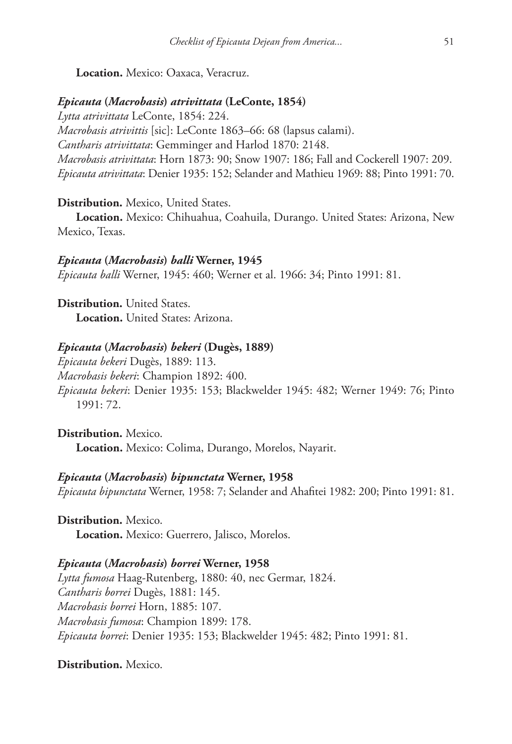**Location.** Mexico: Oaxaca, Veracruz.

# *Epicauta* **(***Macrobasis***)** *atrivittata* **(LeConte, 1854)**

*Lytta atrivittata* LeConte, 1854: 224. *Macrobasis atrivittis* [sic]: LeConte 1863–66: 68 (lapsus calami). *Cantharis atrivittata*: Gemminger and Harlod 1870: 2148. *Macrobasis atrivittata*: Horn 1873: 90; Snow 1907: 186; Fall and Cockerell 1907: 209. *Epicauta atrivittata*: Denier 1935: 152; Selander and Mathieu 1969: 88; Pinto 1991: 70.

### **Distribution.** Mexico, United States.

**Location.** Mexico: Chihuahua, Coahuila, Durango. United States: Arizona, New Mexico, Texas.

### *Epicauta* **(***Macrobasis***)** *balli* **Werner, 1945**

*Epicauta balli* Werner, 1945: 460; Werner et al. 1966: 34; Pinto 1991: 81.

**Distribution.** United States. **Location.** United States: Arizona.

### *Epicauta* **(***Macrobasis***)** *bekeri* **(Dugès, 1889)**

*Epicauta bekeri* Dugès, 1889: 113. *Macrobasis bekeri*: Champion 1892: 400. *Epicauta bekeri*: Denier 1935: 153; Blackwelder 1945: 482; Werner 1949: 76; Pinto 1991: 72.

**Distribution.** Mexico. **Location.** Mexico: Colima, Durango, Morelos, Nayarit.

# *Epicauta* **(***Macrobasis***)** *bipunctata* **Werner, 1958**

*Epicauta bipunctata* Werner, 1958: 7; Selander and Ahafitei 1982: 200; Pinto 1991: 81.

**Distribution.** Mexico. **Location.** Mexico: Guerrero, Jalisco, Morelos.

### *Epicauta* **(***Macrobasis***)** *borrei* **Werner, 1958**

*Lytta fumosa* Haag-Rutenberg, 1880: 40, nec Germar, 1824. *Cantharis borrei* Dugès, 1881: 145. *Macrobasis borrei* Horn, 1885: 107. *Macrobasis fumosa*: Champion 1899: 178. *Epicauta borrei*: Denier 1935: 153; Blackwelder 1945: 482; Pinto 1991: 81.

# **Distribution.** Mexico.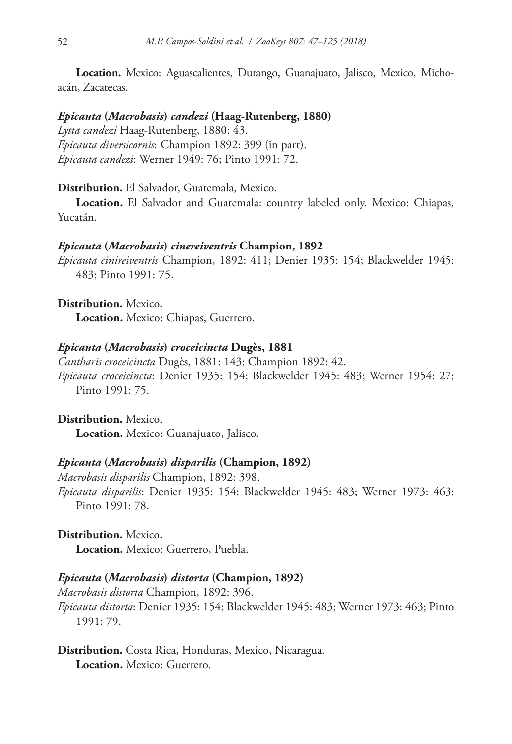**Location.** Mexico: Aguascalientes, Durango, Guanajuato, Jalisco, Mexico, Michoacán, Zacatecas.

### *Epicauta* **(***Macrobasis***)** *candezi* **(Haag-Rutenberg, 1880)**

*Lytta candezi* Haag-Rutenberg, 1880: 43. *Epicauta diversicornis*: Champion 1892: 399 (in part). *Epicauta candezi*: Werner 1949: 76; Pinto 1991: 72.

**Distribution.** El Salvador, Guatemala, Mexico.

**Location.** El Salvador and Guatemala: country labeled only. Mexico: Chiapas, Yucatán.

### *Epicauta* **(***Macrobasis***)** *cinereiventris* **Champion, 1892**

*Epicauta cinireiventris* Champion, 1892: 411; Denier 1935: 154; Blackwelder 1945: 483; Pinto 1991: 75.

**Distribution.** Mexico.

**Location.** Mexico: Chiapas, Guerrero.

#### *Epicauta* **(***Macrobasis***)** *croceicincta* **Dugès, 1881**

*Cantharis croceicincta* Dugès, 1881: 143; Champion 1892: 42. *Epicauta croceicincta*: Denier 1935: 154; Blackwelder 1945: 483; Werner 1954: 27; Pinto 1991: 75.

**Distribution.** Mexico. **Location.** Mexico: Guanajuato, Jalisco.

# *Epicauta* **(***Macrobasis***)** *disparilis* **(Champion, 1892)**

*Macrobasis disparilis* Champion, 1892: 398. *Epicauta disparilis*: Denier 1935: 154; Blackwelder 1945: 483; Werner 1973: 463; Pinto 1991: 78.

**Distribution.** Mexico. **Location.** Mexico: Guerrero, Puebla.

# *Epicauta* **(***Macrobasis***)** *distorta* **(Champion, 1892)**

*Macrobasis distorta* Champion, 1892: 396. *Epicauta distorta*: Denier 1935: 154; Blackwelder 1945: 483; Werner 1973: 463; Pinto 1991: 79.

**Distribution.** Costa Rica, Honduras, Mexico, Nicaragua. **Location.** Mexico: Guerrero.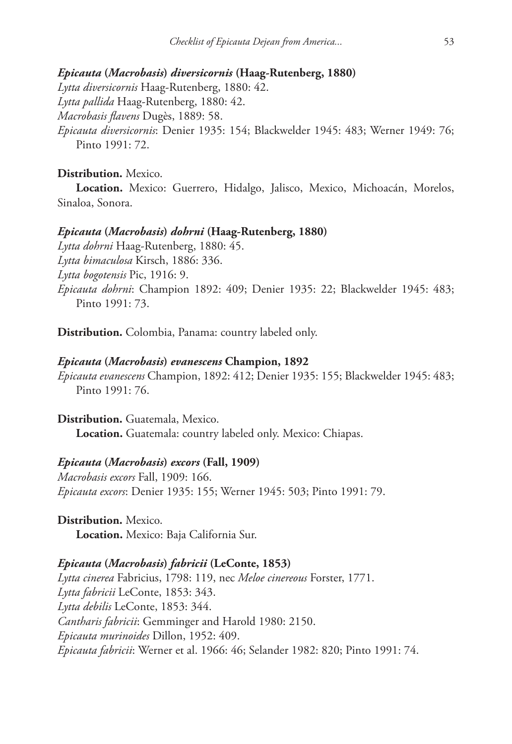### *Epicauta* **(***Macrobasis***)** *diversicornis* **(Haag-Rutenberg, 1880)**

*Lytta diversicornis* Haag-Rutenberg, 1880: 42. *Lytta pallida* Haag-Rutenberg, 1880: 42. *Macrobasis flavens* Dugès, 1889: 58. *Epicauta diversicornis*: Denier 1935: 154; Blackwelder 1945: 483; Werner 1949: 76; Pinto 1991: 72.

# **Distribution.** Mexico.

**Location.** Mexico: Guerrero, Hidalgo, Jalisco, Mexico, Michoacán, Morelos, Sinaloa, Sonora.

# *Epicauta* **(***Macrobasis***)** *dohrni* **(Haag-Rutenberg, 1880)**

*Lytta dohrni* Haag-Rutenberg, 1880: 45. *Lytta bimaculosa* Kirsch, 1886: 336. *Lytta bogotensis* Pic, 1916: 9. *Epicauta dohrni*: Champion 1892: 409; Denier 1935: 22; Blackwelder 1945: 483; Pinto 1991: 73.

**Distribution.** Colombia, Panama: country labeled only.

### *Epicauta* **(***Macrobasis***)** *evanescens* **Champion, 1892**

*Epicauta evanescens* Champion, 1892: 412; Denier 1935: 155; Blackwelder 1945: 483; Pinto 1991: 76.

**Distribution.** Guatemala, Mexico. **Location.** Guatemala: country labeled only. Mexico: Chiapas.

### *Epicauta* **(***Macrobasis***)** *excors* **(Fall, 1909)**

*Macrobasis excors* Fall, 1909: 166. *Epicauta excors*: Denier 1935: 155; Werner 1945: 503; Pinto 1991: 79.

**Distribution.** Mexico. **Location.** Mexico: Baja California Sur.

# *Epicauta* **(***Macrobasis***)** *fabricii* **(LeConte, 1853)**

*Lytta cinerea* Fabricius, 1798: 119, nec *Meloe cinereous* Forster, 1771. *Lytta fabricii* LeConte, 1853: 343. *Lytta debilis* LeConte, 1853: 344. *Cantharis fabricii*: Gemminger and Harold 1980: 2150. *Epicauta murinoides* Dillon, 1952: 409. *Epicauta fabricii*: Werner et al. 1966: 46; Selander 1982: 820; Pinto 1991: 74.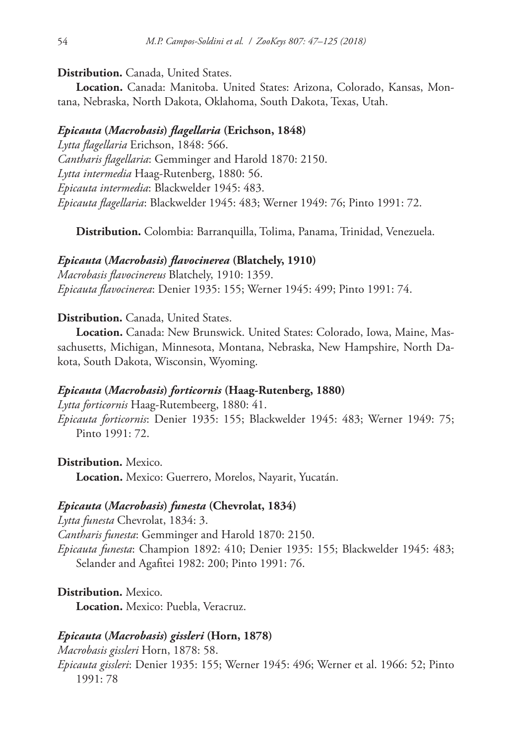# **Distribution.** Canada, United States.

**Location.** Canada: Manitoba. United States: Arizona, Colorado, Kansas, Montana, Nebraska, North Dakota, Oklahoma, South Dakota, Texas, Utah.

# *Epicauta* **(***Macrobasis***)** *flagellaria* **(Erichson, 1848)**

*Lytta flagellaria* Erichson, 1848: 566. *Cantharis flagellaria*: Gemminger and Harold 1870: 2150. *Lytta intermedia* Haag-Rutenberg, 1880: 56. *Epicauta intermedia*: Blackwelder 1945: 483. *Epicauta flagellaria*: Blackwelder 1945: 483; Werner 1949: 76; Pinto 1991: 72.

**Distribution.** Colombia: Barranquilla, Tolima, Panama, Trinidad, Venezuela.

### *Epicauta* **(***Macrobasis***)** *flavocinerea* **(Blatchely, 1910)**

*Macrobasis flavocinereus* Blatchely, 1910: 1359. *Epicauta flavocinerea*: Denier 1935: 155; Werner 1945: 499; Pinto 1991: 74.

# **Distribution.** Canada, United States.

**Location.** Canada: New Brunswick. United States: Colorado, Iowa, Maine, Massachusetts, Michigan, Minnesota, Montana, Nebraska, New Hampshire, North Dakota, South Dakota, Wisconsin, Wyoming.

### *Epicauta* **(***Macrobasis***)** *forticornis* **(Haag-Rutenberg, 1880)**

*Lytta forticornis* Haag-Rutembeerg, 1880: 41. *Epicauta forticornis*: Denier 1935: 155; Blackwelder 1945: 483; Werner 1949: 75; Pinto 1991: 72.

**Distribution.** Mexico. **Location.** Mexico: Guerrero, Morelos, Nayarit, Yucatán.

### *Epicauta* **(***Macrobasis***)** *funesta* **(Chevrolat, 1834)**

*Lytta funesta* Chevrolat, 1834: 3. *Cantharis funesta*: Gemminger and Harold 1870: 2150. *Epicauta funesta*: Champion 1892: 410; Denier 1935: 155; Blackwelder 1945: 483; Selander and Agafitei 1982: 200; Pinto 1991: 76.

**Distribution.** Mexico. **Location.** Mexico: Puebla, Veracruz.

# *Epicauta* **(***Macrobasis***)** *gissleri* **(Horn, 1878)**

*Macrobasis gissleri* Horn, 1878: 58.

*Epicauta gissleri*: Denier 1935: 155; Werner 1945: 496; Werner et al. 1966: 52; Pinto 1991: 78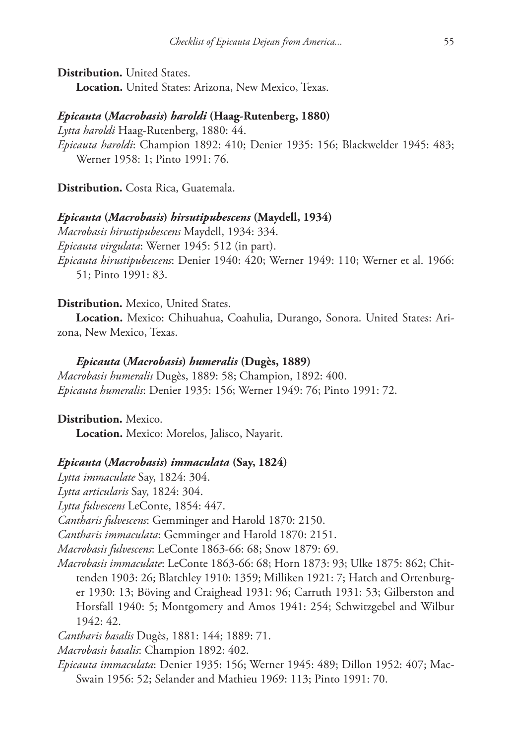**Distribution.** United States. **Location.** United States: Arizona, New Mexico, Texas.

### *Epicauta* **(***Macrobasis***)** *haroldi* **(Haag-Rutenberg, 1880)**

*Lytta haroldi* Haag-Rutenberg, 1880: 44. *Epicauta haroldi*: Champion 1892: 410; Denier 1935: 156; Blackwelder 1945: 483; Werner 1958: 1; Pinto 1991: 76.

**Distribution.** Costa Rica, Guatemala.

### *Epicauta* **(***Macrobasis***)** *hirsutipubescens* **(Maydell, 1934)**

*Macrobasis hirustipubescens* Maydell, 1934: 334. *Epicauta virgulata*: Werner 1945: 512 (in part). *Epicauta hirustipubescens*: Denier 1940: 420; Werner 1949: 110; Werner et al. 1966: 51; Pinto 1991: 83.

### **Distribution.** Mexico, United States.

**Location.** Mexico: Chihuahua, Coahulia, Durango, Sonora. United States: Arizona, New Mexico, Texas.

### *Epicauta* **(***Macrobasis***)** *humeralis* **(Dugès, 1889)**

*Macrobasis humeralis* Dugès, 1889: 58; Champion, 1892: 400. *Epicauta humeralis*: Denier 1935: 156; Werner 1949: 76; Pinto 1991: 72.

**Distribution.** Mexico.

**Location.** Mexico: Morelos, Jalisco, Nayarit.

### *Epicauta* **(***Macrobasis***)** *immaculata* **(Say, 1824)**

*Lytta immaculate* Say, 1824: 304.

*Lytta articularis* Say, 1824: 304.

*Lytta fulvescens* LeConte, 1854: 447.

*Cantharis fulvescens*: Gemminger and Harold 1870: 2150.

*Cantharis immaculata*: Gemminger and Harold 1870: 2151.

*Macrobasis fulvescens*: LeConte 1863-66: 68; Snow 1879: 69.

*Macrobasis immaculate*: LeConte 1863-66: 68; Horn 1873: 93; Ulke 1875: 862; Chittenden 1903: 26; Blatchley 1910: 1359; Milliken 1921: 7; Hatch and Ortenburger 1930: 13; Böving and Craighead 1931: 96; Carruth 1931: 53; Gilberston and Horsfall 1940: 5; Montgomery and Amos 1941: 254; Schwitzgebel and Wilbur 1942: 42.

*Cantharis basalis* Dugès, 1881: 144; 1889: 71.

*Macrobasis basalis*: Champion 1892: 402.

*Epicauta immaculata*: Denier 1935: 156; Werner 1945: 489; Dillon 1952: 407; Mac-Swain 1956: 52; Selander and Mathieu 1969: 113; Pinto 1991: 70.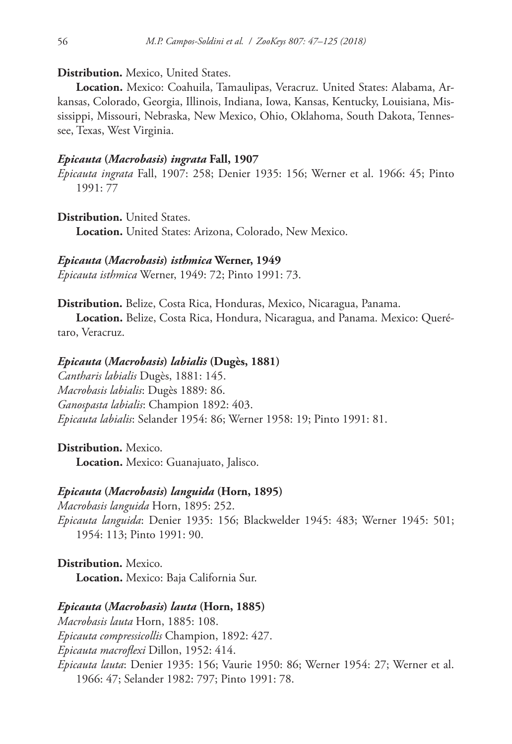**Distribution.** Mexico, United States.

**Location.** Mexico: Coahuila, Tamaulipas, Veracruz. United States: Alabama, Arkansas, Colorado, Georgia, Illinois, Indiana, Iowa, Kansas, Kentucky, Louisiana, Mississippi, Missouri, Nebraska, New Mexico, Ohio, Oklahoma, South Dakota, Tennessee, Texas, West Virginia.

### *Epicauta* **(***Macrobasis***)** *ingrata* **Fall, 1907**

*Epicauta ingrata* Fall, 1907: 258; Denier 1935: 156; Werner et al. 1966: 45; Pinto 1991: 77

**Distribution.** United States.

**Location.** United States: Arizona, Colorado, New Mexico.

*Epicauta* **(***Macrobasis***)** *isthmica* **Werner, 1949**

*Epicauta isthmica* Werner, 1949: 72; Pinto 1991: 73.

**Distribution.** Belize, Costa Rica, Honduras, Mexico, Nicaragua, Panama.

**Location.** Belize, Costa Rica, Hondura, Nicaragua, and Panama. Mexico: Querétaro, Veracruz.

### *Epicauta* **(***Macrobasis***)** *labialis* **(Dugès, 1881)**

*Cantharis labialis* Dugès, 1881: 145. *Macrobasis labialis*: Dugès 1889: 86. *Ganospasta labialis*: Champion 1892: 403. *Epicauta labialis*: Selander 1954: 86; Werner 1958: 19; Pinto 1991: 81.

**Distribution.** Mexico. **Location.** Mexico: Guanajuato, Jalisco.

#### *Epicauta* **(***Macrobasis***)** *languida* **(Horn, 1895)**

*Macrobasis languida* Horn, 1895: 252. *Epicauta languida*: Denier 1935: 156; Blackwelder 1945: 483; Werner 1945: 501; 1954: 113; Pinto 1991: 90.

**Distribution.** Mexico. **Location.** Mexico: Baja California Sur.

### *Epicauta* **(***Macrobasis***)** *lauta* **(Horn, 1885)**

*Macrobasis lauta* Horn, 1885: 108.

*Epicauta compressicollis* Champion, 1892: 427.

*Epicauta macroflexi* Dillon, 1952: 414.

*Epicauta lauta*: Denier 1935: 156; Vaurie 1950: 86; Werner 1954: 27; Werner et al. 1966: 47; Selander 1982: 797; Pinto 1991: 78.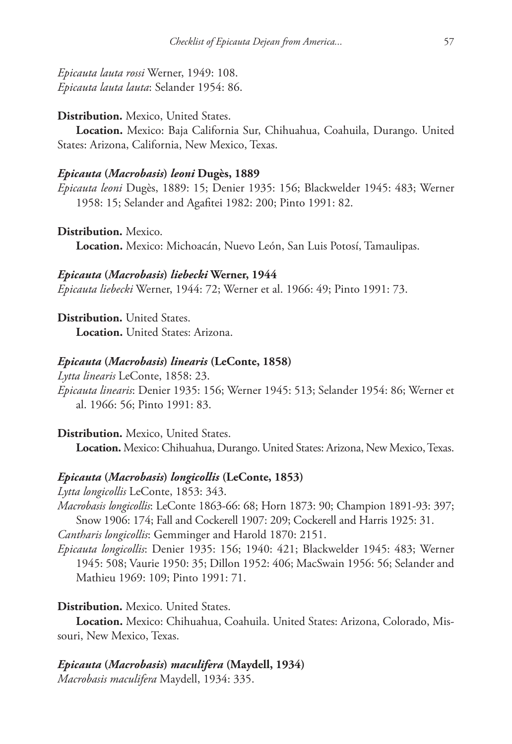*Epicauta lauta rossi* Werner, 1949: 108. *Epicauta lauta lauta*: Selander 1954: 86.

### **Distribution.** Mexico, United States.

**Location.** Mexico: Baja California Sur, Chihuahua, Coahuila, Durango. United States: Arizona, California, New Mexico, Texas.

### *Epicauta* **(***Macrobasis***)** *leoni* **Dugès, 1889**

*Epicauta leoni* Dugès, 1889: 15; Denier 1935: 156; Blackwelder 1945: 483; Werner 1958: 15; Selander and Agafitei 1982: 200; Pinto 1991: 82.

**Distribution.** Mexico. **Location.** Mexico: Michoacán, Nuevo León, San Luis Potosí, Tamaulipas.

### *Epicauta* **(***Macrobasis***)** *liebecki* **Werner, 1944**

*Epicauta liebecki* Werner, 1944: 72; Werner et al. 1966: 49; Pinto 1991: 73.

**Distribution.** United States. **Location.** United States: Arizona.

### *Epicauta* **(***Macrobasis***)** *linearis* **(LeConte, 1858)**

*Lytta linearis* LeConte, 1858: 23.

*Epicauta linearis*: Denier 1935: 156; Werner 1945: 513; Selander 1954: 86; Werner et al. 1966: 56; Pinto 1991: 83.

# **Distribution.** Mexico, United States.

**Location.** Mexico: Chihuahua, Durango. United States: Arizona, New Mexico, Texas.

### *Epicauta* **(***Macrobasis***)** *longicollis* **(LeConte, 1853)**

*Lytta longicollis* LeConte, 1853: 343. *Macrobasis longicollis*: LeConte 1863-66: 68; Horn 1873: 90; Champion 1891-93: 397; Snow 1906: 174; Fall and Cockerell 1907: 209; Cockerell and Harris 1925: 31. *Cantharis longicollis*: Gemminger and Harold 1870: 2151.

*Epicauta longicollis*: Denier 1935: 156; 1940: 421; Blackwelder 1945: 483; Werner 1945: 508; Vaurie 1950: 35; Dillon 1952: 406; MacSwain 1956: 56; Selander and Mathieu 1969: 109; Pinto 1991: 71.

# **Distribution.** Mexico. United States.

**Location.** Mexico: Chihuahua, Coahuila. United States: Arizona, Colorado, Missouri, New Mexico, Texas.

# *Epicauta* **(***Macrobasis***)** *maculifera* **(Maydell, 1934)**

*Macrobasis maculifera* Maydell, 1934: 335.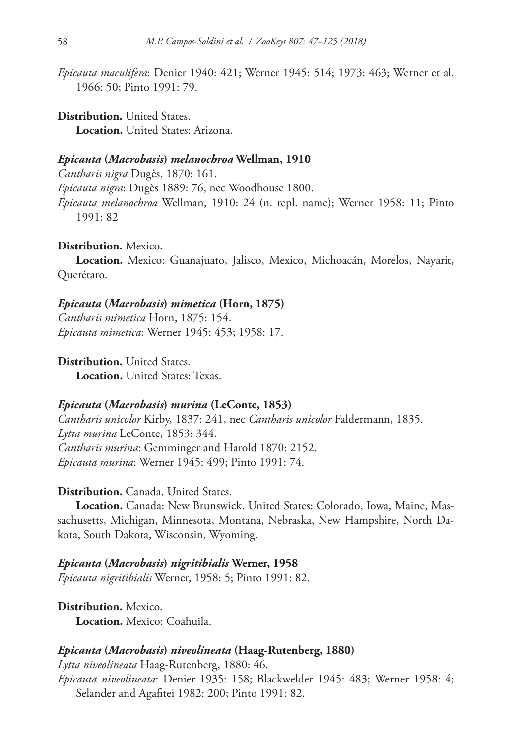*Epicauta maculifera*: Denier 1940: 421; Werner 1945: 514; 1973: 463; Werner et al. 1966: 50; Pinto 1991: 79.

**Distribution.** United States. **Location.** United States: Arizona.

# *Epicauta* **(***Macrobasis***)** *melanochroa* **Wellman, 1910**

*Cantharis nigra* Dugès, 1870: 161. *Epicauta nigra*: Dugès 1889: 76, nec Woodhouse 1800. *Epicauta melanochroa* Wellman, 1910: 24 (n. repl. name); Werner 1958: 11; Pinto 1991: 82

# **Distribution.** Mexico.

**Location.** Mexico: Guanajuato, Jalisco, Mexico, Michoacán, Morelos, Nayarit, Querétaro.

### *Epicauta* **(***Macrobasis***)** *mimetica* **(Horn, 1875)**

*Cantharis mimetica* Horn, 1875: 154. *Epicauta mimetica*: Werner 1945: 453; 1958: 17.

**Distribution.** United States.

**Location.** United States: Texas.

# *Epicauta* **(***Macrobasis***)** *murina* **(LeConte, 1853)**

*Cantharis unicolor* Kirby, 1837: 241, nec *Cantharis unicolor* Faldermann, 1835. *Lytta murina* LeConte, 1853: 344. *Cantharis murina*: Gemminger and Harold 1870: 2152. *Epicauta murina*: Werner 1945: 499; Pinto 1991: 74.

# **Distribution.** Canada, United States.

**Location.** Canada: New Brunswick. United States: Colorado, Iowa, Maine, Massachusetts, Michigan, Minnesota, Montana, Nebraska, New Hampshire, North Dakota, South Dakota, Wisconsin, Wyoming.

*Epicauta* **(***Macrobasis***)** *nigritibialis* **Werner, 1958** *Epicauta nigritibialis* Werner, 1958: 5; Pinto 1991: 82.

**Distribution.** Mexico. **Location.** Mexico: Coahuila.

### *Epicauta* **(***Macrobasis***)** *niveolineata* **(Haag-Rutenberg, 1880)**

*Lytta niveolineata* Haag-Rutenberg, 1880: 46. *Epicauta niveolineata*: Denier 1935: 158; Blackwelder 1945: 483; Werner 1958: 4; Selander and Agafitei 1982: 200; Pinto 1991: 82.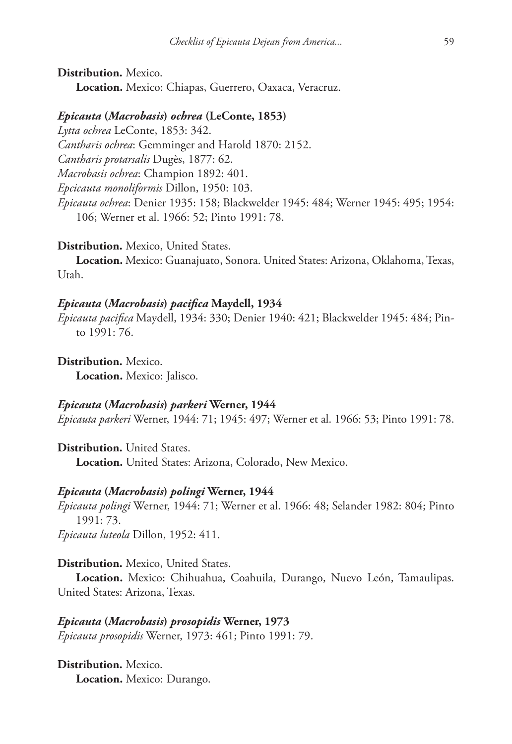**Distribution.** Mexico. **Location.** Mexico: Chiapas, Guerrero, Oaxaca, Veracruz.

### *Epicauta* **(***Macrobasis***)** *ochrea* **(LeConte, 1853)**

*Lytta ochrea* LeConte, 1853: 342. *Cantharis ochrea*: Gemminger and Harold 1870: 2152. *Cantharis protarsalis* Dugès, 1877: 62. *Macrobasis ochrea*: Champion 1892: 401. *Epcicauta monoliformis* Dillon, 1950: 103. *Epicauta ochrea*: Denier 1935: 158; Blackwelder 1945: 484; Werner 1945: 495; 1954: 106; Werner et al. 1966: 52; Pinto 1991: 78.

**Distribution.** Mexico, United States.

**Location.** Mexico: Guanajuato, Sonora. United States: Arizona, Oklahoma, Texas, Utah.

### *Epicauta* **(***Macrobasis***)** *pacifica* **Maydell, 1934**

*Epicauta pacifica* Maydell, 1934: 330; Denier 1940: 421; Blackwelder 1945: 484; Pinto 1991: 76.

**Distribution.** Mexico. **Location.** Mexico: Jalisco.

### *Epicauta* **(***Macrobasis***)** *parkeri* **Werner, 1944**

*Epicauta parkeri* Werner, 1944: 71; 1945: 497; Werner et al. 1966: 53; Pinto 1991: 78.

**Distribution.** United States. **Location.** United States: Arizona, Colorado, New Mexico.

### *Epicauta* **(***Macrobasis***)** *polingi* **Werner, 1944**

*Epicauta polingi* Werner, 1944: 71; Werner et al. 1966: 48; Selander 1982: 804; Pinto 1991: 73.

*Epicauta luteola* Dillon, 1952: 411.

### **Distribution.** Mexico, United States.

**Location.** Mexico: Chihuahua, Coahuila, Durango, Nuevo León, Tamaulipas. United States: Arizona, Texas.

*Epicauta* **(***Macrobasis***)** *prosopidis* **Werner, 1973** *Epicauta prosopidis* Werner, 1973: 461; Pinto 1991: 79.

**Distribution.** Mexico. **Location.** Mexico: Durango.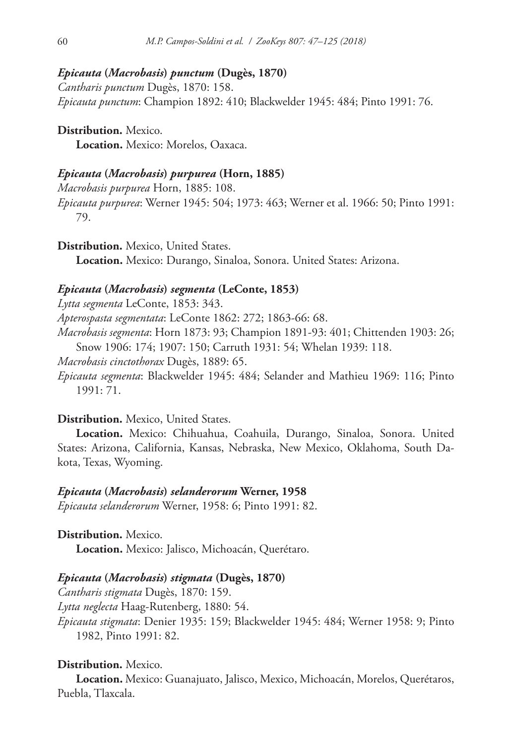### *Epicauta* **(***Macrobasis***)** *punctum* **(Dugès, 1870)**

*Cantharis punctum* Dugès, 1870: 158. *Epicauta punctum*: Champion 1892: 410; Blackwelder 1945: 484; Pinto 1991: 76.

**Distribution.** Mexico. **Location.** Mexico: Morelos, Oaxaca.

# *Epicauta* **(***Macrobasis***)** *purpurea* **(Horn, 1885)**

*Macrobasis purpurea* Horn, 1885: 108. *Epicauta purpurea*: Werner 1945: 504; 1973: 463; Werner et al. 1966: 50; Pinto 1991: 79.

**Distribution.** Mexico, United States.

**Location.** Mexico: Durango, Sinaloa, Sonora. United States: Arizona.

# *Epicauta* **(***Macrobasis***)** *segmenta* **(LeConte, 1853)**

*Lytta segmenta* LeConte, 1853: 343. *Apterospasta segmentata*: LeConte 1862: 272; 1863-66: 68. *Macrobasis segmenta*: Horn 1873: 93; Champion 1891-93: 401; Chittenden 1903: 26; Snow 1906: 174; 1907: 150; Carruth 1931: 54; Whelan 1939: 118. *Macrobasis cinctothorax* Dugès, 1889: 65. *Epicauta segmenta*: Blackwelder 1945: 484; Selander and Mathieu 1969: 116; Pinto

1991: 71.

### **Distribution.** Mexico, United States.

**Location.** Mexico: Chihuahua, Coahuila, Durango, Sinaloa, Sonora. United States: Arizona, California, Kansas, Nebraska, New Mexico, Oklahoma, South Dakota, Texas, Wyoming.

### *Epicauta* **(***Macrobasis***)** *selanderorum* **Werner, 1958**

*Epicauta selanderorum* Werner, 1958: 6; Pinto 1991: 82.

**Distribution.** Mexico. **Location.** Mexico: Jalisco, Michoacán, Querétaro.

# *Epicauta* **(***Macrobasis***)** *stigmata* **(Dugès, 1870)**

*Cantharis stigmata* Dugès, 1870: 159. *Lytta neglecta* Haag-Rutenberg, 1880: 54. *Epicauta stigmata*: Denier 1935: 159; Blackwelder 1945: 484; Werner 1958: 9; Pinto 1982, Pinto 1991: 82.

# **Distribution.** Mexico.

**Location.** Mexico: Guanajuato, Jalisco, Mexico, Michoacán, Morelos, Querétaros, Puebla, Tlaxcala.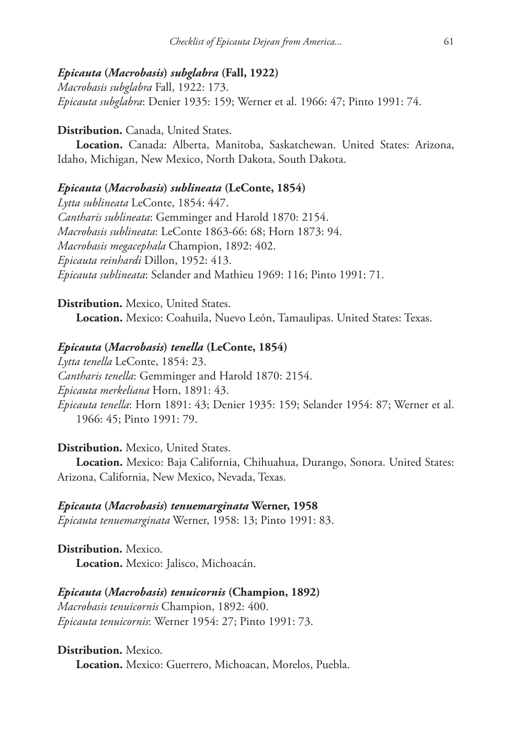# *Epicauta* **(***Macrobasis***)** *subglabra* **(Fall, 1922)**

*Macrobasis subglabra* Fall, 1922: 173. *Epicauta subglabra*: Denier 1935: 159; Werner et al. 1966: 47; Pinto 1991: 74.

# **Distribution.** Canada, United States.

**Location.** Canada: Alberta, Manitoba, Saskatchewan. United States: Arizona, Idaho, Michigan, New Mexico, North Dakota, South Dakota.

# *Epicauta* **(***Macrobasis***)** *sublineata* **(LeConte, 1854)**

*Lytta sublineata* LeConte, 1854: 447. *Cantharis sublineata*: Gemminger and Harold 1870: 2154. *Macrobasis sublineata*: LeConte 1863-66: 68; Horn 1873: 94. *Macrobasis megacephala* Champion, 1892: 402. *Epicauta reinhardi* Dillon, 1952: 413. *Epicauta sublineata*: Selander and Mathieu 1969: 116; Pinto 1991: 71.

**Distribution.** Mexico, United States. **Location.** Mexico: Coahuila, Nuevo León, Tamaulipas. United States: Texas.

### *Epicauta* **(***Macrobasis***)** *tenella* **(LeConte, 1854)**

*Lytta tenella* LeConte, 1854: 23. *Cantharis tenella*: Gemminger and Harold 1870: 2154. *Epicauta merkeliana* Horn, 1891: 43. *Epicauta tenella*: Horn 1891: 43; Denier 1935: 159; Selander 1954: 87; Werner et al. 1966: 45; Pinto 1991: 79.

### **Distribution.** Mexico, United States.

**Location.** Mexico: Baja California, Chihuahua, Durango, Sonora. United States: Arizona, California, New Mexico, Nevada, Texas.

### *Epicauta* **(***Macrobasis***)** *tenuemarginata* **Werner, 1958**

*Epicauta tenuemarginata* Werner, 1958: 13; Pinto 1991: 83.

**Distribution.** Mexico. **Location.** Mexico: Jalisco, Michoacán.

*Epicauta* **(***Macrobasis***)** *tenuicornis* **(Champion, 1892)** *Macrobasis tenuicornis* Champion, 1892: 400. *Epicauta tenuicornis*: Werner 1954: 27; Pinto 1991: 73.

**Distribution.** Mexico. **Location.** Mexico: Guerrero, Michoacan, Morelos, Puebla.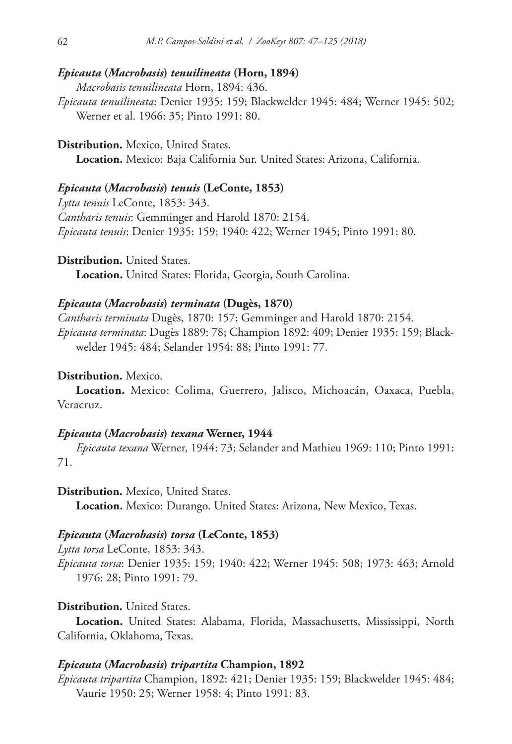### *Epicauta* **(***Macrobasis***)** *tenuilineata* **(Horn, 1894)**

*Macrobasis tenuilineata* Horn, 1894: 436.

*Epicauta tenuilineata*: Denier 1935: 159; Blackwelder 1945: 484; Werner 1945: 502; Werner et al. 1966: 35; Pinto 1991: 80.

**Distribution.** Mexico, United States. **Location.** Mexico: Baja California Sur. United States: Arizona, California.

# *Epicauta* **(***Macrobasis***)** *tenuis* **(LeConte, 1853)**

*Lytta tenuis* LeConte, 1853: 343. *Cantharis tenuis*: Gemminger and Harold 1870: 2154. *Epicauta tenuis*: Denier 1935: 159; 1940: 422; Werner 1945; Pinto 1991: 80.

**Distribution.** United States.

**Location.** United States: Florida, Georgia, South Carolina.

### *Epicauta* **(***Macrobasis***)** *terminata* **(Dugès, 1870)**

*Cantharis terminata* Dugès, 1870: 157; Gemminger and Harold 1870: 2154. *Epicauta terminata*: Dugès 1889: 78; Champion 1892: 409; Denier 1935: 159; Blackwelder 1945: 484; Selander 1954: 88; Pinto 1991: 77.

### **Distribution.** Mexico.

**Location.** Mexico: Colima, Guerrero, Jalisco, Michoacán, Oaxaca, Puebla, Veracruz.

# *Epicauta* **(***Macrobasis***)** *texana* **Werner, 1944**

*Epicauta texana* Werner, 1944: 73; Selander and Mathieu 1969: 110; Pinto 1991: 71.

**Distribution.** Mexico, United States.

**Location.** Mexico: Durango. United States: Arizona, New Mexico, Texas.

#### *Epicauta* **(***Macrobasis***)** *torsa* **(LeConte, 1853)**

*Lytta torsa* LeConte, 1853: 343. *Epicauta torsa*: Denier 1935: 159; 1940: 422; Werner 1945: 508; 1973: 463; Arnold 1976: 28; Pinto 1991: 79.

# **Distribution.** United States.

**Location.** United States: Alabama, Florida, Massachusetts, Mississippi, North California, Oklahoma, Texas.

### *Epicauta* **(***Macrobasis***)** *tripartita* **Champion, 1892**

*Epicauta tripartita* Champion, 1892: 421; Denier 1935: 159; Blackwelder 1945: 484; Vaurie 1950: 25; Werner 1958: 4; Pinto 1991: 83.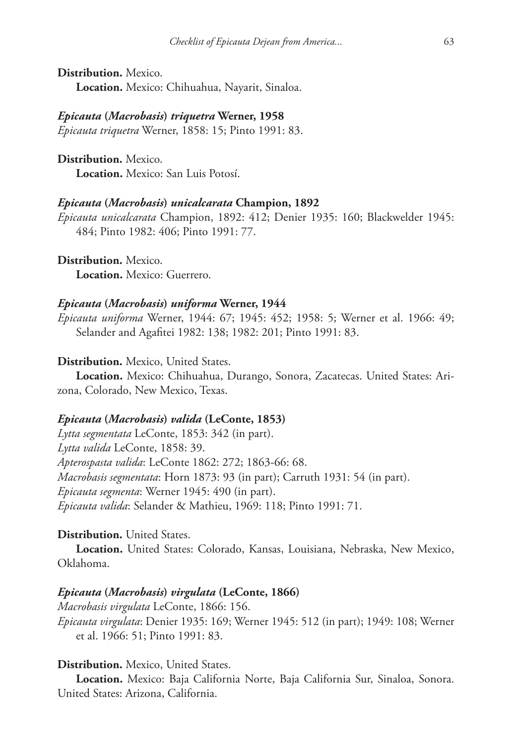**Distribution.** Mexico. **Location.** Mexico: Chihuahua, Nayarit, Sinaloa.

#### *Epicauta* **(***Macrobasis***)** *triquetra* **Werner, 1958**

*Epicauta triquetra* Werner, 1858: 15; Pinto 1991: 83.

**Distribution.** Mexico. **Location.** Mexico: San Luis Potosí.

### *Epicauta* **(***Macrobasis***)** *unicalcarata* **Champion, 1892**

*Epicauta unicalcarata* Champion, 1892: 412; Denier 1935: 160; Blackwelder 1945: 484; Pinto 1982: 406; Pinto 1991: 77.

**Distribution.** Mexico. **Location.** Mexico: Guerrero.

#### *Epicauta* **(***Macrobasis***)** *uniforma* **Werner, 1944**

*Epicauta uniforma* Werner, 1944: 67; 1945: 452; 1958: 5; Werner et al. 1966: 49; Selander and Agafitei 1982: 138; 1982: 201; Pinto 1991: 83.

# **Distribution.** Mexico, United States.

**Location.** Mexico: Chihuahua, Durango, Sonora, Zacatecas. United States: Arizona, Colorado, New Mexico, Texas.

### *Epicauta* **(***Macrobasis***)** *valida* **(LeConte, 1853)**

*Lytta segmentata* LeConte, 1853: 342 (in part). *Lytta valida* LeConte, 1858: 39. *Apterospasta valida*: LeConte 1862: 272; 1863-66: 68. *Macrobasis segmentata*: Horn 1873: 93 (in part); Carruth 1931: 54 (in part). *Epicauta segmenta*: Werner 1945: 490 (in part). *Epicauta valida*: Selander & Mathieu, 1969: 118; Pinto 1991: 71.

# **Distribution.** United States.

**Location.** United States: Colorado, Kansas, Louisiana, Nebraska, New Mexico, Oklahoma.

# *Epicauta* **(***Macrobasis***)** *virgulata* **(LeConte, 1866)**

*Macrobasis virgulata* LeConte, 1866: 156. *Epicauta virgulata*: Denier 1935: 169; Werner 1945: 512 (in part); 1949: 108; Werner et al. 1966: 51; Pinto 1991: 83.

# **Distribution.** Mexico, United States.

**Location.** Mexico: Baja California Norte, Baja California Sur, Sinaloa, Sonora. United States: Arizona, California.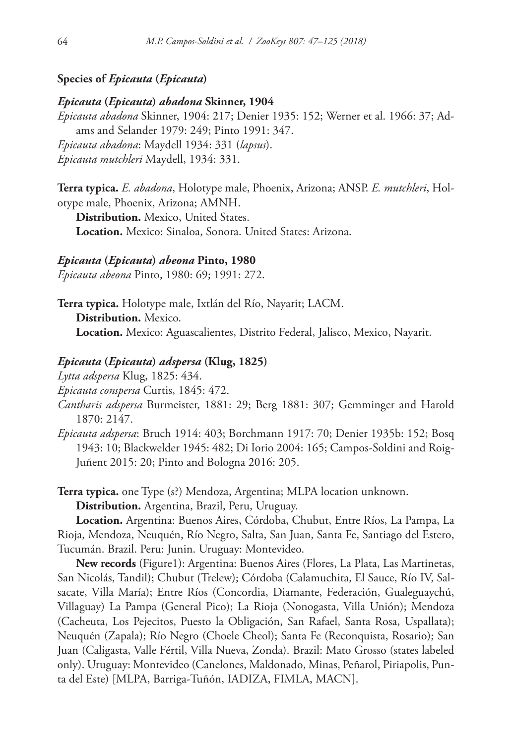# **Species of** *Epicauta* **(***Epicauta***)**

### *Epicauta* **(***Epicauta***)** *abadona* **Skinner, 1904**

*Epicauta abadona* Skinner, 1904: 217; Denier 1935: 152; Werner et al. 1966: 37; Adams and Selander 1979: 249; Pinto 1991: 347. *Epicauta abadona*: Maydell 1934: 331 (*lapsus*). *Epicauta mutchleri* Maydell, 1934: 331.

**Terra typica.** *E. abadona*, Holotype male, Phoenix, Arizona; ANSP. *E. mutchleri*, Holotype male, Phoenix, Arizona; AMNH.

**Distribution.** Mexico, United States.

**Location.** Mexico: Sinaloa, Sonora. United States: Arizona.

### *Epicauta* **(***Epicauta***)** *abeona* **Pinto, 1980**

*Epicauta abeona* Pinto, 1980: 69; 1991: 272.

**Terra typica.** Holotype male, Ixtlán del Río, Nayarit; LACM. **Distribution.** Mexico. **Location.** Mexico: Aguascalientes, Distrito Federal, Jalisco, Mexico, Nayarit.

# *Epicauta* **(***Epicauta***)** *adspersa* **(Klug, 1825)**

*Lytta adspersa* Klug, 1825: 434.

*Epicauta conspersa* Curtis, 1845: 472.

- *Cantharis adspersa* Burmeister, 1881: 29; Berg 1881: 307; Gemminger and Harold 1870: 2147.
- *Epicauta adspersa*: Bruch 1914: 403; Borchmann 1917: 70; Denier 1935b: 152; Bosq 1943: 10; Blackwelder 1945: 482; Di Iorio 2004: 165; Campos-Soldini and Roig-Juñent 2015: 20; Pinto and Bologna 2016: 205.

**Terra typica.** one Type (s?) Mendoza, Argentina; MLPA location unknown. **Distribution.** Argentina, Brazil, Peru, Uruguay.

**Location.** Argentina: Buenos Aires, Córdoba, Chubut, Entre Ríos, La Pampa, La Rioja, Mendoza, Neuquén, Río Negro, Salta, San Juan, Santa Fe, Santiago del Estero, Tucumán. Brazil. Peru: Junin. Uruguay: Montevideo.

**New records** (Figure1): Argentina: Buenos Aires (Flores, La Plata, Las Martinetas, San Nicolás, Tandil); Chubut (Trelew); Córdoba (Calamuchita, El Sauce, Río IV, Salsacate, Villa María); Entre Ríos (Concordia, Diamante, Federación, Gualeguaychú, Villaguay) La Pampa (General Pico); La Rioja (Nonogasta, Villa Unión); Mendoza (Cacheuta, Los Pejecitos, Puesto la Obligación, San Rafael, Santa Rosa, Uspallata); Neuquén (Zapala); Río Negro (Choele Cheol); Santa Fe (Reconquista, Rosario); San Juan (Caligasta, Valle Fértil, Villa Nueva, Zonda). Brazil: Mato Grosso (states labeled only). Uruguay: Montevideo (Canelones, Maldonado, Minas, Peñarol, Piriapolis, Punta del Este) [MLPA, Barriga-Tuñón, IADIZA, FIMLA, MACN].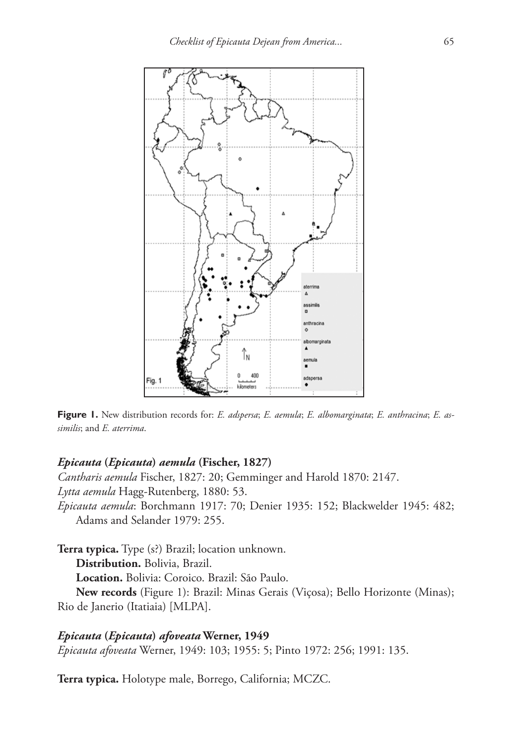

**Figure 1.** New distribution records for: *E. adspersa*; *E. aemula*; *E. albomarginata*; *E. anthracina*; *E. assimilis*; and *E. aterrima*.

# *Epicauta* **(***Epicauta***)** *aemula* **(Fischer, 1827)**

*Cantharis aemula* Fischer, 1827: 20; Gemminger and Harold 1870: 2147. *Lytta aemula* Hagg-Rutenberg, 1880: 53. *Epicauta aemula*: Borchmann 1917: 70; Denier 1935: 152; Blackwelder 1945: 482; Adams and Selander 1979: 255.

**Terra typica.** Type (s?) Brazil; location unknown.

**Distribution.** Bolivia, Brazil.

**Location.** Bolivia: Coroico. Brazil: São Paulo.

**New records** (Figure 1): Brazil: Minas Gerais (Viçosa); Bello Horizonte (Minas); Rio de Janerio (Itatiaia) [MLPA].

# *Epicauta* **(***Epicauta***)** *afoveata* **Werner, 1949**

*Epicauta afoveata* Werner, 1949: 103; 1955: 5; Pinto 1972: 256; 1991: 135.

**Terra typica.** Holotype male, Borrego, California; MCZC.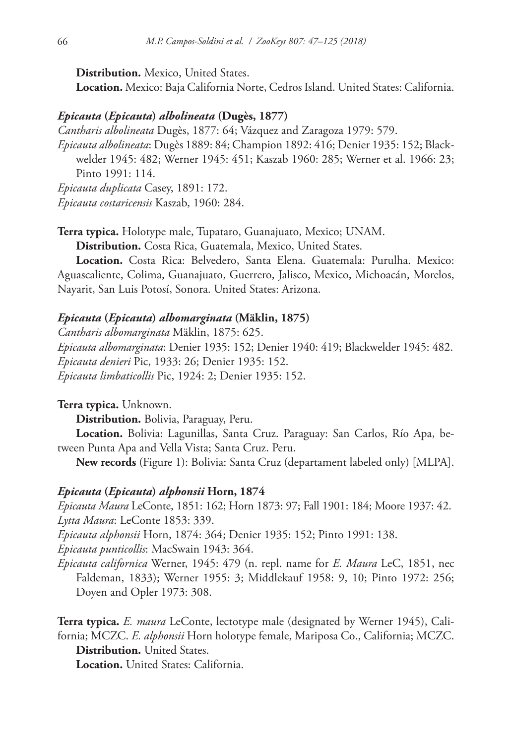**Distribution.** Mexico, United States.

**Location.** Mexico: Baja California Norte, Cedros Island. United States: California.

# *Epicauta* **(***Epicauta***)** *albolineata* **(Dugès, 1877)**

*Cantharis albolineata* Dugès, 1877: 64; Vázquez and Zaragoza 1979: 579.

*Epicauta albolineata*: Dugès 1889: 84; Champion 1892: 416; Denier 1935: 152; Blackwelder 1945: 482; Werner 1945: 451; Kaszab 1960: 285; Werner et al. 1966: 23; Pinto 1991: 114.

*Epicauta duplicata* Casey, 1891: 172.

*Epicauta costaricensis* Kaszab, 1960: 284.

**Terra typica.** Holotype male, Tupataro, Guanajuato, Mexico; UNAM.

**Distribution.** Costa Rica, Guatemala, Mexico, United States.

**Location.** Costa Rica: Belvedero, Santa Elena. Guatemala: Purulha. Mexico: Aguascaliente, Colima, Guanajuato, Guerrero, Jalisco, Mexico, Michoacán, Morelos, Nayarit, San Luis Potosí, Sonora. United States: Arizona.

# *Epicauta* **(***Epicauta***)** *albomarginata* **(Mäklin, 1875)**

*Cantharis albomarginata* Mäklin, 1875: 625. *Epicauta albomarginata*: Denier 1935: 152; Denier 1940: 419; Blackwelder 1945: 482. *Epicauta denieri* Pic, 1933: 26; Denier 1935: 152. *Epicauta limbaticollis* Pic, 1924: 2; Denier 1935: 152.

**Terra typica.** Unknown.

**Distribution.** Bolivia, Paraguay, Peru.

**Location.** Bolivia: Lagunillas, Santa Cruz. Paraguay: San Carlos, Río Apa, between Punta Apa and Vella Vista; Santa Cruz. Peru.

**New records** (Figure 1): Bolivia: Santa Cruz (departament labeled only) [MLPA].

### *Epicauta* **(***Epicauta***)** *alphonsii* **Horn, 1874**

*Epicauta Maura* LeConte, 1851: 162; Horn 1873: 97; Fall 1901: 184; Moore 1937: 42. *Lytta Maura*: LeConte 1853: 339.

*Epicauta alphonsii* Horn, 1874: 364; Denier 1935: 152; Pinto 1991: 138.

*Epicauta punticollis*: MacSwain 1943: 364.

*Epicauta californica* Werner, 1945: 479 (n. repl. name for *E. Maura* LeC, 1851, nec Faldeman, 1833); Werner 1955: 3; Middlekauf 1958: 9, 10; Pinto 1972: 256; Doyen and Opler 1973: 308.

**Terra typica.** *E. maura* LeConte, lectotype male (designated by Werner 1945), California; MCZC. *E. alphonsii* Horn holotype female, Mariposa Co., California; MCZC.

**Distribution.** United States.

**Location.** United States: California.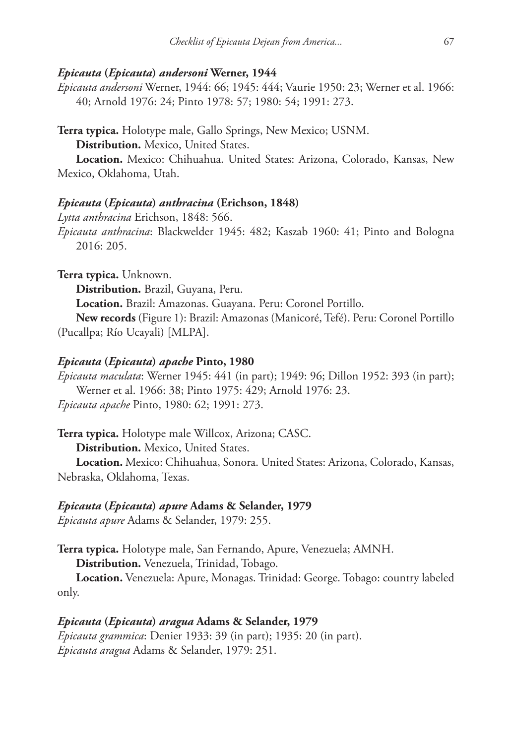### *Epicauta* **(***Epicauta***)** *andersoni* **Werner, 1944**

*Epicauta andersoni* Werner, 1944: 66; 1945: 444; Vaurie 1950: 23; Werner et al. 1966: 40; Arnold 1976: 24; Pinto 1978: 57; 1980: 54; 1991: 273.

**Terra typica.** Holotype male, Gallo Springs, New Mexico; USNM.

**Distribution.** Mexico, United States.

**Location.** Mexico: Chihuahua. United States: Arizona, Colorado, Kansas, New Mexico, Oklahoma, Utah.

# *Epicauta* **(***Epicauta***)** *anthracina* **(Erichson, 1848)**

*Lytta anthracina* Erichson, 1848: 566. *Epicauta anthracina*: Blackwelder 1945: 482; Kaszab 1960: 41; Pinto and Bologna 2016: 205.

**Terra typica.** Unknown.

**Distribution.** Brazil, Guyana, Peru.

**Location.** Brazil: Amazonas. Guayana. Peru: Coronel Portillo.

**New records** (Figure 1): Brazil: Amazonas (Manicoré, Tefé). Peru: Coronel Portillo (Pucallpa; Río Ucayali) [MLPA].

### *Epicauta* **(***Epicauta***)** *apache* **Pinto, 1980**

*Epicauta maculata*: Werner 1945: 441 (in part); 1949: 96; Dillon 1952: 393 (in part); Werner et al. 1966: 38; Pinto 1975: 429; Arnold 1976: 23. *Epicauta apache* Pinto, 1980: 62; 1991: 273.

**Terra typica.** Holotype male Willcox, Arizona; CASC.

**Distribution.** Mexico, United States.

**Location.** Mexico: Chihuahua, Sonora. United States: Arizona, Colorado, Kansas, Nebraska, Oklahoma, Texas.

# *Epicauta* **(***Epicauta***)** *apure* **Adams & Selander, 1979**

*Epicauta apure* Adams & Selander, 1979: 255.

**Terra typica.** Holotype male, San Fernando, Apure, Venezuela; AMNH. **Distribution.** Venezuela, Trinidad, Tobago.

**Location.** Venezuela: Apure, Monagas. Trinidad: George. Tobago: country labeled only.

# *Epicauta* **(***Epicauta***)** *aragua* **Adams & Selander, 1979**

*Epicauta grammica*: Denier 1933: 39 (in part); 1935: 20 (in part). *Epicauta aragua* Adams & Selander, 1979: 251.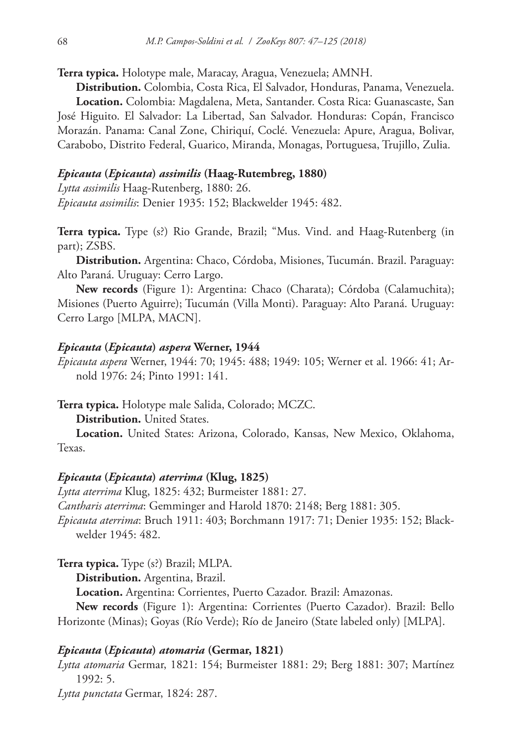**Terra typica.** Holotype male, Maracay, Aragua, Venezuela; AMNH.

**Distribution.** Colombia, Costa Rica, El Salvador, Honduras, Panama, Venezuela. **Location.** Colombia: Magdalena, Meta, Santander. Costa Rica: Guanascaste, San José Higuito. El Salvador: La Libertad, San Salvador. Honduras: Copán, Francisco Morazán. Panama: Canal Zone, Chiriquí, Coclé. Venezuela: Apure, Aragua, Bolivar, Carabobo, Distrito Federal, Guarico, Miranda, Monagas, Portuguesa, Trujillo, Zulia.

### *Epicauta* **(***Epicauta***)** *assimilis* **(Haag-Rutembreg, 1880)**

*Lytta assimilis* Haag-Rutenberg, 1880: 26.

*Epicauta assimilis*: Denier 1935: 152; Blackwelder 1945: 482.

**Terra typica.** Type (s?) Rio Grande, Brazil; "Mus. Vind. and Haag-Rutenberg (in part); ZSBS.

**Distribution.** Argentina: Chaco, Córdoba, Misiones, Tucumán. Brazil. Paraguay: Alto Paraná. Uruguay: Cerro Largo.

**New records** (Figure 1): Argentina: Chaco (Charata); Córdoba (Calamuchita); Misiones (Puerto Aguirre); Tucumán (Villa Monti). Paraguay: Alto Paraná. Uruguay: Cerro Largo [MLPA, MACN].

#### *Epicauta* **(***Epicauta***)** *aspera* **Werner, 1944**

*Epicauta aspera* Werner, 1944: 70; 1945: 488; 1949: 105; Werner et al. 1966: 41; Arnold 1976: 24; Pinto 1991: 141.

**Terra typica.** Holotype male Salida, Colorado; MCZC.

**Distribution.** United States.

**Location.** United States: Arizona, Colorado, Kansas, New Mexico, Oklahoma, Texas.

# *Epicauta* **(***Epicauta***)** *aterrima* **(Klug, 1825)**

*Lytta aterrima* Klug, 1825: 432; Burmeister 1881: 27.

*Cantharis aterrima*: Gemminger and Harold 1870: 2148; Berg 1881: 305.

*Epicauta aterrima*: Bruch 1911: 403; Borchmann 1917: 71; Denier 1935: 152; Blackwelder 1945: 482.

**Terra typica.** Type (s?) Brazil; MLPA.

**Distribution.** Argentina, Brazil.

**Location.** Argentina: Corrientes, Puerto Cazador. Brazil: Amazonas.

**New records** (Figure 1): Argentina: Corrientes (Puerto Cazador). Brazil: Bello Horizonte (Minas); Goyas (Río Verde); Río de Janeiro (State labeled only) [MLPA].

#### *Epicauta* **(***Epicauta***)** *atomaria* **(Germar, 1821)**

*Lytta atomaria* Germar, 1821: 154; Burmeister 1881: 29; Berg 1881: 307; Martínez 1992: 5.

*Lytta punctata* Germar, 1824: 287.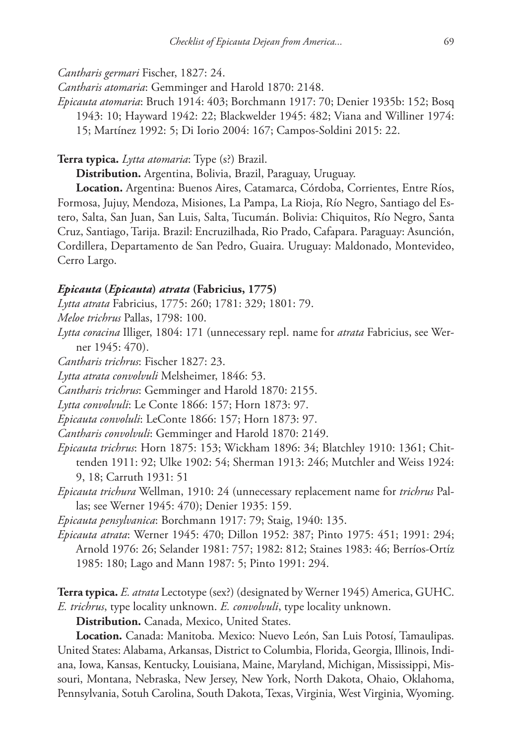*Cantharis germari* Fischer, 1827: 24.

*Cantharis atomaria*: Gemminger and Harold 1870: 2148.

*Epicauta atomaria*: Bruch 1914: 403; Borchmann 1917: 70; Denier 1935b: 152; Bosq 1943: 10; Hayward 1942: 22; Blackwelder 1945: 482; Viana and Williner 1974: 15; Martínez 1992: 5; Di Iorio 2004: 167; Campos-Soldini 2015: 22.

**Terra typica.** *Lytta atomaria*: Type (s?) Brazil.

**Distribution.** Argentina, Bolivia, Brazil, Paraguay, Uruguay.

**Location.** Argentina: Buenos Aires, Catamarca, Córdoba, Corrientes, Entre Ríos, Formosa, Jujuy, Mendoza, Misiones, La Pampa, La Rioja, Río Negro, Santiago del Estero, Salta, San Juan, San Luis, Salta, Tucumán. Bolivia: Chiquitos, Río Negro, Santa Cruz, Santiago, Tarija. Brazil: Encruzilhada, Rio Prado, Cafapara. Paraguay: Asunción, Cordillera, Departamento de San Pedro, Guaira. Uruguay: Maldonado, Montevideo, Cerro Largo.

### *Epicauta* **(***Epicauta***)** *atrata* **(Fabricius, 1775)**

*Lytta atrata* Fabricius, 1775: 260; 1781: 329; 1801: 79.

*Meloe trichrus* Pallas, 1798: 100.

*Lytta coracina* Illiger, 1804: 171 (unnecessary repl. name for *atrata* Fabricius, see Werner 1945: 470).

*Cantharis trichrus*: Fischer 1827: 23.

*Lytta atrata convolvuli* Melsheimer, 1846: 53.

*Cantharis trichrus*: Gemminger and Harold 1870: 2155.

*Lytta convolvuli*: Le Conte 1866: 157; Horn 1873: 97.

*Epicauta convoluli*: LeConte 1866: 157; Horn 1873: 97.

*Cantharis convolvuli*: Gemminger and Harold 1870: 2149.

- *Epicauta trichrus*: Horn 1875: 153; Wickham 1896: 34; Blatchley 1910: 1361; Chittenden 1911: 92; Ulke 1902: 54; Sherman 1913: 246; Mutchler and Weiss 1924: 9, 18; Carruth 1931: 51
- *Epicauta trichura* Wellman, 1910: 24 (unnecessary replacement name for *trichrus* Pallas; see Werner 1945: 470); Denier 1935: 159.

*Epicauta pensylvanica*: Borchmann 1917: 79; Staig, 1940: 135.

*Epicauta atrata*: Werner 1945: 470; Dillon 1952: 387; Pinto 1975: 451; 1991: 294; Arnold 1976: 26; Selander 1981: 757; 1982: 812; Staines 1983: 46; Berríos-Ortíz 1985: 180; Lago and Mann 1987: 5; Pinto 1991: 294.

**Terra typica.** *E. atrata* Lectotype (sex?) (designated by Werner 1945) America, GUHC. *E. trichrus*, type locality unknown. *E. convolvuli*, type locality unknown.

**Distribution.** Canada, Mexico, United States.

**Location.** Canada: Manitoba. Mexico: Nuevo León, San Luis Potosí, Tamaulipas. United States: Alabama, Arkansas, District to Columbia, Florida, Georgia, Illinois, Indiana, Iowa, Kansas, Kentucky, Louisiana, Maine, Maryland, Michigan, Mississippi, Missouri, Montana, Nebraska, New Jersey, New York, North Dakota, Ohaio, Oklahoma, Pennsylvania, Sotuh Carolina, South Dakota, Texas, Virginia, West Virginia, Wyoming.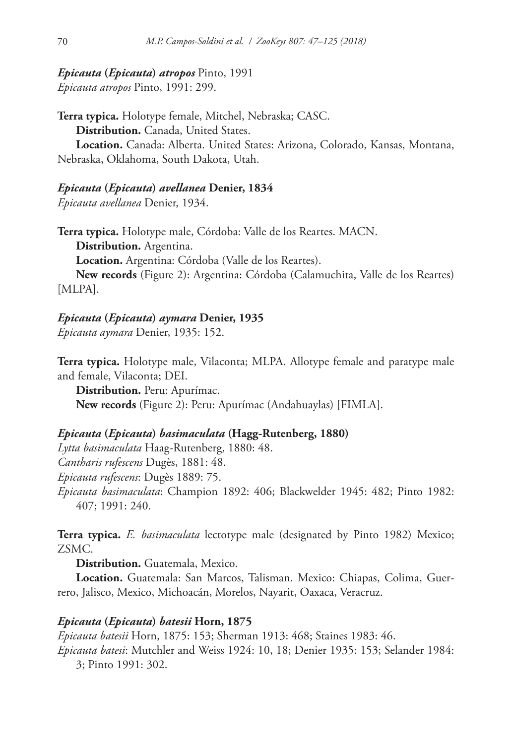# *Epicauta* **(***Epicauta***)** *atropos* Pinto, 1991

*Epicauta atropos* Pinto, 1991: 299.

**Terra typica.** Holotype female, Mitchel, Nebraska; CASC. **Distribution.** Canada, United States. **Location.** Canada: Alberta. United States: Arizona, Colorado, Kansas, Montana, Nebraska, Oklahoma, South Dakota, Utah.

# *Epicauta* **(***Epicauta***)** *avellanea* **Denier, 1834**

*Epicauta avellanea* Denier, 1934.

**Terra typica.** Holotype male, Córdoba: Valle de los Reartes. MACN. **Distribution.** Argentina. **Location.** Argentina: Córdoba (Valle de los Reartes).

**New records** (Figure 2): Argentina: Córdoba (Calamuchita, Valle de los Reartes) [MLPA].

# *Epicauta* **(***Epicauta***)** *aymara* **Denier, 1935**

*Epicauta aymara* Denier, 1935: 152.

**Terra typica.** Holotype male, Vilaconta; MLPA. Allotype female and paratype male and female, Vilaconta; DEI.

**Distribution.** Peru: Apurímac. **New records** (Figure 2): Peru: Apurímac (Andahuaylas) [FIMLA].

# *Epicauta* **(***Epicauta***)** *basimaculata* **(Hagg-Rutenberg, 1880)**

*Lytta basimaculata* Haag-Rutenberg, 1880: 48. *Cantharis rufescens* Dugès, 1881: 48. *Epicauta rufescens*: Dugès 1889: 75. *Epicauta basimaculata*: Champion 1892: 406; Blackwelder 1945: 482; Pinto 1982: 407; 1991: 240.

**Terra typica.** *E. basimaculata* lectotype male (designated by Pinto 1982) Mexico; ZSMC.

**Distribution.** Guatemala, Mexico.

**Location.** Guatemala: San Marcos, Talisman. Mexico: Chiapas, Colima, Guerrero, Jalisco, Mexico, Michoacán, Morelos, Nayarit, Oaxaca, Veracruz.

# *Epicauta* **(***Epicauta***)** *batesii* **Horn, 1875**

*Epicauta batesii* Horn, 1875: 153; Sherman 1913: 468; Staines 1983: 46. *Epicauta batesi*: Mutchler and Weiss 1924: 10, 18; Denier 1935: 153; Selander 1984: 3; Pinto 1991: 302.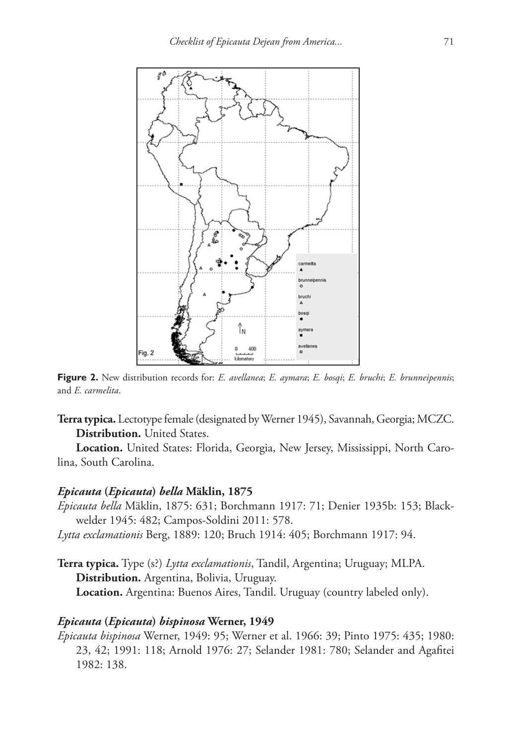

**Figure 2.** New distribution records for: *E. avellanea*; *E. aymara*; *E. bosqi*; *E. bruchi*; *E. brunneipennis*; and *E. carmelita*.

**Terra typica.** Lectotype female (designated by Werner 1945), Savannah, Georgia; MCZC. **Distribution.** United States.

**Location.** United States: Florida, Georgia, New Jersey, Mississippi, North Carolina, South Carolina.

# *Epicauta* **(***Epicauta***)** *bella* **Mäklin, 1875**

- *Epicauta bella* Mäklin, 1875: 631; Borchmann 1917: 71; Denier 1935b: 153; Blackwelder 1945: 482; Campos-Soldini 2011: 578.
- *Lytta exclamationis* Berg, 1889: 120; Bruch 1914: 405; Borchmann 1917: 94.
- **Terra typica.** Type (s?) *Lytta exclamationis*, Tandil, Argentina; Uruguay; MLPA. **Distribution.** Argentina, Bolivia, Uruguay. **Location.** Argentina: Buenos Aires, Tandil. Uruguay (country labeled only).

# *Epicauta* **(***Epicauta***)** *bispinosa* **Werner, 1949**

*Epicauta bispinosa* Werner, 1949: 95; Werner et al. 1966: 39; Pinto 1975: 435; 1980: 23, 42; 1991: 118; Arnold 1976: 27; Selander 1981: 780; Selander and Agafitei 1982: 138.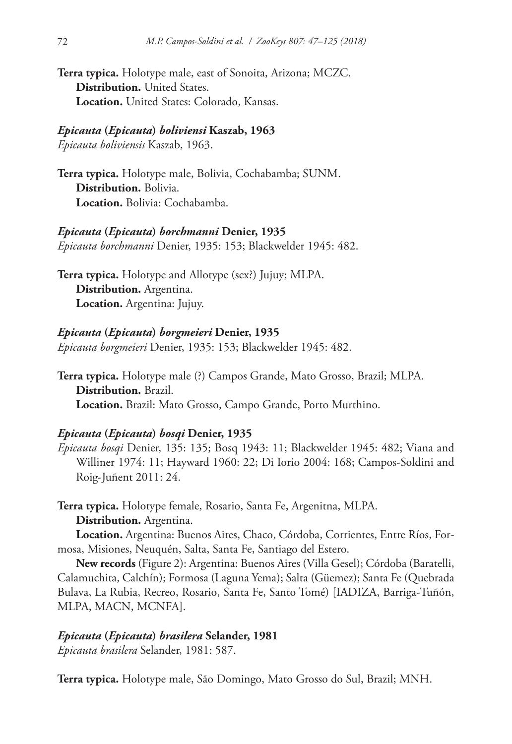**Terra typica.** Holotype male, east of Sonoita, Arizona; MCZC. **Distribution.** United States. **Location.** United States: Colorado, Kansas.

# *Epicauta* **(***Epicauta***)** *boliviensi* **Kaszab, 1963**

*Epicauta boliviensis* Kaszab, 1963.

**Terra typica.** Holotype male, Bolivia, Cochabamba; SUNM. **Distribution.** Bolivia. **Location.** Bolivia: Cochabamba.

### *Epicauta* **(***Epicauta***)** *borchmanni* **Denier, 1935**

*Epicauta borchmanni* Denier, 1935: 153; Blackwelder 1945: 482.

**Terra typica.** Holotype and Allotype (sex?) Jujuy; MLPA. **Distribution.** Argentina. **Location.** Argentina: Jujuy.

### *Epicauta* **(***Epicauta***)** *borgmeieri* **Denier, 1935**

*Epicauta borgmeieri* Denier, 1935: 153; Blackwelder 1945: 482.

**Terra typica.** Holotype male (?) Campos Grande, Mato Grosso, Brazil; MLPA. **Distribution.** Brazil. **Location.** Brazil: Mato Grosso, Campo Grande, Porto Murthino.

### *Epicauta* **(***Epicauta***)** *bosqi* **Denier, 1935**

*Epicauta bosqi* Denier, 135: 135; Bosq 1943: 11; Blackwelder 1945: 482; Viana and Williner 1974: 11; Hayward 1960: 22; Di Iorio 2004: 168; Campos-Soldini and Roig-Juñent 2011: 24.

**Terra typica.** Holotype female, Rosario, Santa Fe, Argenitna, MLPA. **Distribution.** Argentina.

**Location.** Argentina: Buenos Aires, Chaco, Córdoba, Corrientes, Entre Ríos, Formosa, Misiones, Neuquén, Salta, Santa Fe, Santiago del Estero.

**New records** (Figure 2): Argentina: Buenos Aires (Villa Gesel); Córdoba (Baratelli, Calamuchita, Calchín); Formosa (Laguna Yema); Salta (Güemez); Santa Fe (Quebrada Bulava, La Rubia, Recreo, Rosario, Santa Fe, Santo Tomé) [IADIZA, Barriga-Tuñón, MLPA, MACN, MCNFA].

# *Epicauta* **(***Epicauta***)** *brasilera* **Selander, 1981**

*Epicauta brasilera* Selander, 1981: 587.

**Terra typica.** Holotype male, São Domingo, Mato Grosso do Sul, Brazil; MNH.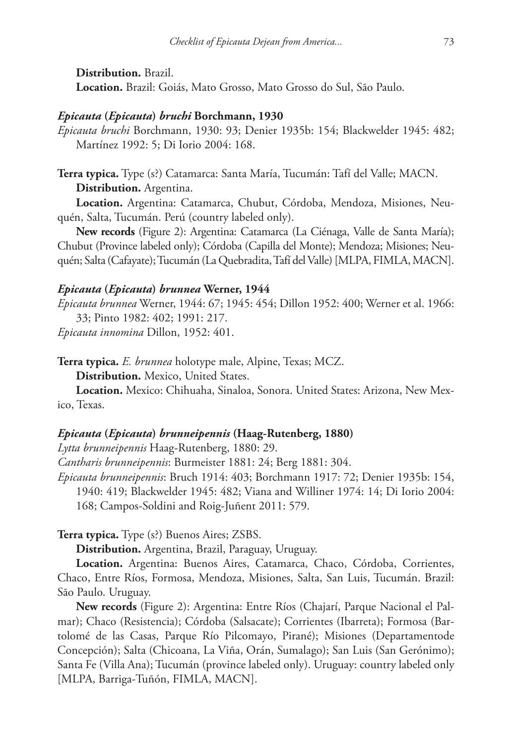**Distribution.** Brazil.

**Location.** Brazil: Goiás, Mato Grosso, Mato Grosso do Sul, São Paulo.

### *Epicauta* **(***Epicauta***)** *bruchi* **Borchmann, 1930**

*Epicauta bruchi* Borchmann, 1930: 93; Denier 1935b: 154; Blackwelder 1945: 482; Martínez 1992: 5; Di Iorio 2004: 168.

**Terra typica.** Type (s?) Catamarca: Santa María, Tucumán: Tafí del Valle; MACN. **Distribution.** Argentina.

**Location.** Argentina: Catamarca, Chubut, Córdoba, Mendoza, Misiones, Neuquén, Salta, Tucumán. Perú (country labeled only).

**New records** (Figure 2): Argentina: Catamarca (La Ciénaga, Valle de Santa María); Chubut (Province labeled only); Córdoba (Capilla del Monte); Mendoza; Misiones; Neuquén; Salta (Cafayate); Tucumán (La Quebradita, Tafí del Valle) [MLPA, FIMLA, MACN].

### *Epicauta* **(***Epicauta***)** *brunnea* **Werner, 1944**

*Epicauta brunnea* Werner, 1944: 67; 1945: 454; Dillon 1952: 400; Werner et al. 1966: 33; Pinto 1982: 402; 1991: 217.

*Epicauta innomina* Dillon, 1952: 401.

**Terra typica.** *E. brunnea* holotype male, Alpine, Texas; MCZ.

**Distribution.** Mexico, United States.

**Location.** Mexico: Chihuaha, Sinaloa, Sonora. United States: Arizona, New Mexico, Texas.

# *Epicauta* **(***Epicauta***)** *brunneipennis* **(Haag-Rutenberg, 1880)**

*Lytta brunneipennis* Haag-Rutenberg, 1880: 29.

*Cantharis brunneipennis*: Burmeister 1881: 24; Berg 1881: 304.

*Epicauta brunneipennis*: Bruch 1914: 403; Borchmann 1917: 72; Denier 1935b: 154, 1940: 419; Blackwelder 1945: 482; Viana and Williner 1974: 14; Di Iorio 2004: 168; Campos-Soldini and Roig-Juñent 2011: 579.

**Terra typica.** Type (s?) Buenos Aires; ZSBS.

**Distribution.** Argentina, Brazil, Paraguay, Uruguay.

**Location.** Argentina: Buenos Aires, Catamarca, Chaco, Córdoba, Corrientes, Chaco, Entre Ríos, Formosa, Mendoza, Misiones, Salta, San Luis, Tucumán. Brazil: São Paulo. Uruguay.

**New records** (Figure 2): Argentina: Entre Ríos (Chajarí, Parque Nacional el Palmar); Chaco (Resistencia); Córdoba (Salsacate); Corrientes (Ibarreta); Formosa (Bartolomé de las Casas, Parque Río Pilcomayo, Pirané); Misiones (Departamentode Concepción); Salta (Chicoana, La Viña, Orán, Sumalago); San Luis (San Gerónimo); Santa Fe (Villa Ana); Tucumán (province labeled only). Uruguay: country labeled only [MLPA, Barriga-Tuñón, FIMLA, MACN].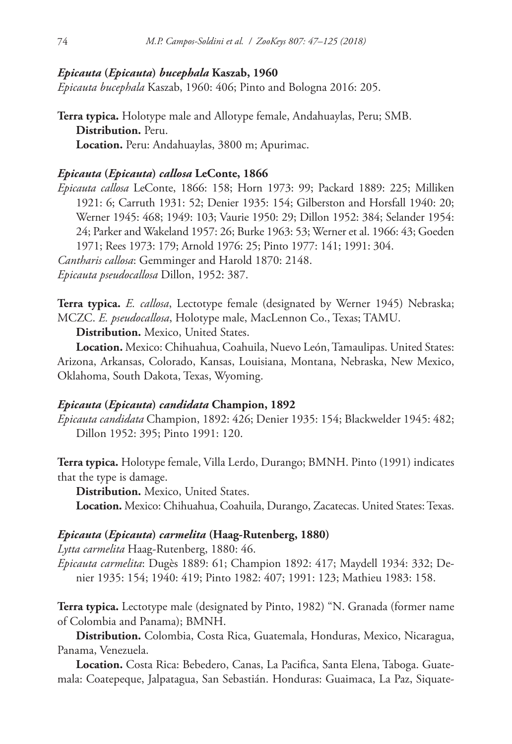### *Epicauta* **(***Epicauta***)** *bucephala* **Kaszab, 1960**

*Epicauta bucephala* Kaszab, 1960: 406; Pinto and Bologna 2016: 205.

**Terra typica.** Holotype male and Allotype female, Andahuaylas, Peru; SMB. **Distribution.** Peru. **Location.** Peru: Andahuaylas, 3800 m; Apurimac.

# *Epicauta* **(***Epicauta***)** *callosa* **LeConte, 1866**

*Epicauta callosa* LeConte, 1866: 158; Horn 1973: 99; Packard 1889: 225; Milliken 1921: 6; Carruth 1931: 52; Denier 1935: 154; Gilberston and Horsfall 1940: 20; Werner 1945: 468; 1949: 103; Vaurie 1950: 29; Dillon 1952: 384; Selander 1954: 24; Parker and Wakeland 1957: 26; Burke 1963: 53; Werner et al. 1966: 43; Goeden 1971; Rees 1973: 179; Arnold 1976: 25; Pinto 1977: 141; 1991: 304. *Cantharis callosa*: Gemminger and Harold 1870: 2148. *Epicauta pseudocallosa* Dillon, 1952: 387.

**Terra typica.** *E. callosa*, Lectotype female (designated by Werner 1945) Nebraska; MCZC. *E. pseudocallosa*, Holotype male, MacLennon Co., Texas; TAMU.

**Distribution.** Mexico, United States.

**Location.** Mexico: Chihuahua, Coahuila, Nuevo León, Tamaulipas. United States: Arizona, Arkansas, Colorado, Kansas, Louisiana, Montana, Nebraska, New Mexico, Oklahoma, South Dakota, Texas, Wyoming.

# *Epicauta* **(***Epicauta***)** *candidata* **Champion, 1892**

*Epicauta candidata* Champion, 1892: 426; Denier 1935: 154; Blackwelder 1945: 482; Dillon 1952: 395; Pinto 1991: 120.

**Terra typica.** Holotype female, Villa Lerdo, Durango; BMNH. Pinto (1991) indicates that the type is damage.

**Distribution.** Mexico, United States.

**Location.** Mexico: Chihuahua, Coahuila, Durango, Zacatecas. United States: Texas.

# *Epicauta* **(***Epicauta***)** *carmelita* **(Haag-Rutenberg, 1880)**

*Lytta carmelita* Haag-Rutenberg, 1880: 46.

*Epicauta carmelita*: Dugès 1889: 61; Champion 1892: 417; Maydell 1934: 332; Denier 1935: 154; 1940: 419; Pinto 1982: 407; 1991: 123; Mathieu 1983: 158.

**Terra typica.** Lectotype male (designated by Pinto, 1982) "N. Granada (former name of Colombia and Panama); BMNH.

**Distribution.** Colombia, Costa Rica, Guatemala, Honduras, Mexico, Nicaragua, Panama, Venezuela.

**Location.** Costa Rica: Bebedero, Canas, La Pacifica, Santa Elena, Taboga. Guatemala: Coatepeque, Jalpatagua, San Sebastián. Honduras: Guaimaca, La Paz, Siquate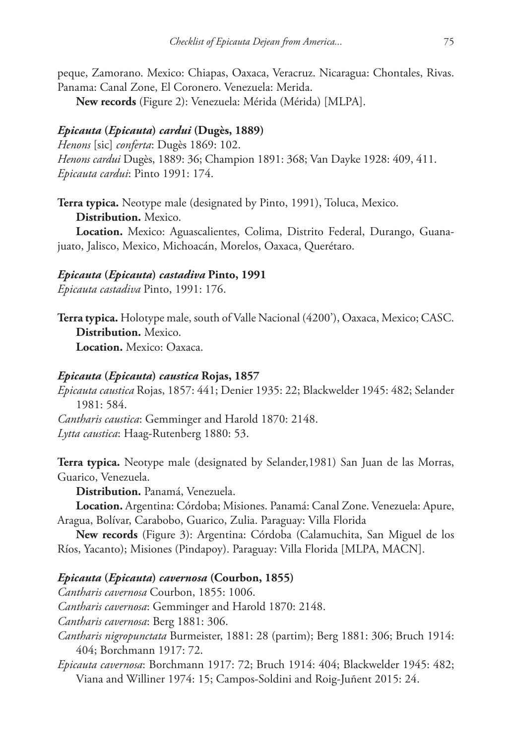peque, Zamorano. Mexico: Chiapas, Oaxaca, Veracruz. Nicaragua: Chontales, Rivas. Panama: Canal Zone, El Coronero. Venezuela: Merida.

**New records** (Figure 2): Venezuela: Mérida (Mérida) [MLPA].

# *Epicauta* **(***Epicauta***)** *cardui* **(Dugès, 1889)**

*Henons* [sic] *conferta*: Dugès 1869: 102. *Henons cardui* Dugès, 1889: 36; Champion 1891: 368; Van Dayke 1928: 409, 411. *Epicauta cardui*: Pinto 1991: 174.

**Terra typica.** Neotype male (designated by Pinto, 1991), Toluca, Mexico.

**Distribution.** Mexico.

**Location.** Mexico: Aguascalientes, Colima, Distrito Federal, Durango, Guanajuato, Jalisco, Mexico, Michoacán, Morelos, Oaxaca, Querétaro.

### *Epicauta* **(***Epicauta***)** *castadiva* **Pinto, 1991**

*Epicauta castadiva* Pinto, 1991: 176.

**Terra typica.** Holotype male, south of Valle Nacional (4200'), Oaxaca, Mexico; CASC. **Distribution.** Mexico. **Location.** Mexico: Oaxaca.

### *Epicauta* **(***Epicauta***)** *caustica* **Rojas, 1857**

*Epicauta caustica* Rojas, 1857: 441; Denier 1935: 22; Blackwelder 1945: 482; Selander 1981: 584.

*Cantharis caustica*: Gemminger and Harold 1870: 2148. *Lytta caustica*: Haag-Rutenberg 1880: 53.

**Terra typica.** Neotype male (designated by Selander,1981) San Juan de las Morras, Guarico, Venezuela.

**Distribution.** Panamá, Venezuela.

**Location.** Argentina: Córdoba; Misiones. Panamá: Canal Zone. Venezuela: Apure, Aragua, Bolívar, Carabobo, Guarico, Zulia. Paraguay: Villa Florida

**New records** (Figure 3): Argentina: Córdoba (Calamuchita, San Miguel de los Ríos, Yacanto); Misiones (Pindapoy). Paraguay: Villa Florida [MLPA, MACN].

# *Epicauta* **(***Epicauta***)** *cavernosa* **(Courbon, 1855)**

*Cantharis cavernosa* Courbon, 1855: 1006.

*Cantharis cavernosa*: Gemminger and Harold 1870: 2148.

*Cantharis cavernosa*: Berg 1881: 306.

*Cantharis nigropunctata* Burmeister, 1881: 28 (partim); Berg 1881: 306; Bruch 1914: 404; Borchmann 1917: 72.

*Epicauta cavernosa*: Borchmann 1917: 72; Bruch 1914: 404; Blackwelder 1945: 482; Viana and Williner 1974: 15; Campos-Soldini and Roig-Juñent 2015: 24.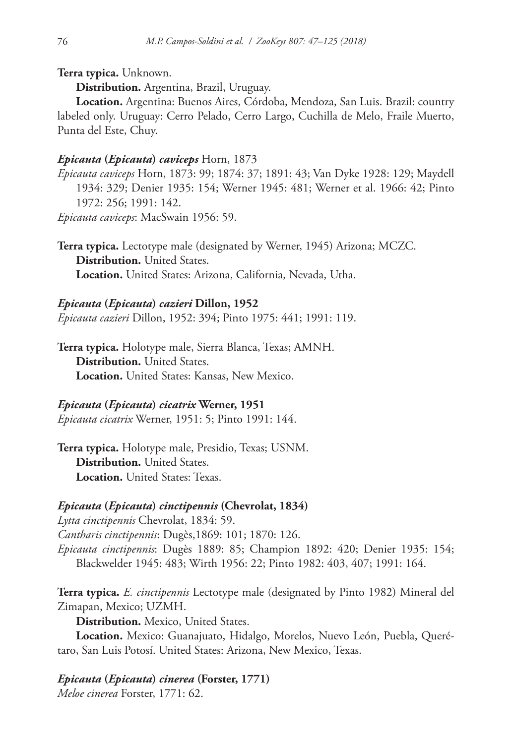# **Terra typica.** Unknown.

**Distribution.** Argentina, Brazil, Uruguay.

**Location.** Argentina: Buenos Aires, Córdoba, Mendoza, San Luis. Brazil: country labeled only. Uruguay: Cerro Pelado, Cerro Largo, Cuchilla de Melo, Fraile Muerto, Punta del Este, Chuy.

### *Epicauta* **(***Epicauta***)** *caviceps* Horn, 1873

*Epicauta caviceps* Horn, 1873: 99; 1874: 37; 1891: 43; Van Dyke 1928: 129; Maydell 1934: 329; Denier 1935: 154; Werner 1945: 481; Werner et al. 1966: 42; Pinto 1972: 256; 1991: 142.

*Epicauta caviceps*: MacSwain 1956: 59.

**Terra typica.** Lectotype male (designated by Werner, 1945) Arizona; MCZC. **Distribution.** United States. **Location.** United States: Arizona, California, Nevada, Utha.

### *Epicauta* **(***Epicauta***)** *cazieri* **Dillon, 1952**

*Epicauta cazieri* Dillon, 1952: 394; Pinto 1975: 441; 1991: 119.

**Terra typica.** Holotype male, Sierra Blanca, Texas; AMNH. **Distribution.** United States. **Location.** United States: Kansas, New Mexico.

### *Epicauta* **(***Epicauta***)** *cicatrix* **Werner, 1951**

*Epicauta cicatrix* Werner, 1951: 5; Pinto 1991: 144.

**Terra typica.** Holotype male, Presidio, Texas; USNM. **Distribution.** United States. **Location.** United States: Texas.

# *Epicauta* **(***Epicauta***)** *cinctipennis* **(Chevrolat, 1834)**

*Lytta cinctipennis* Chevrolat, 1834: 59. *Cantharis cinctipennis*: Dugès,1869: 101; 1870: 126. *Epicauta cinctipennis*: Dugès 1889: 85; Champion 1892: 420; Denier 1935: 154; Blackwelder 1945: 483; Wirth 1956: 22; Pinto 1982: 403, 407; 1991: 164.

**Terra typica.** *E. cinctipennis* Lectotype male (designated by Pinto 1982) Mineral del Zimapan, Mexico; UZMH.

**Distribution.** Mexico, United States.

**Location.** Mexico: Guanajuato, Hidalgo, Morelos, Nuevo León, Puebla, Querétaro, San Luis Potosí. United States: Arizona, New Mexico, Texas.

# *Epicauta* **(***Epicauta***)** *cinerea* **(Forster, 1771)**

*Meloe cinerea* Forster, 1771: 62.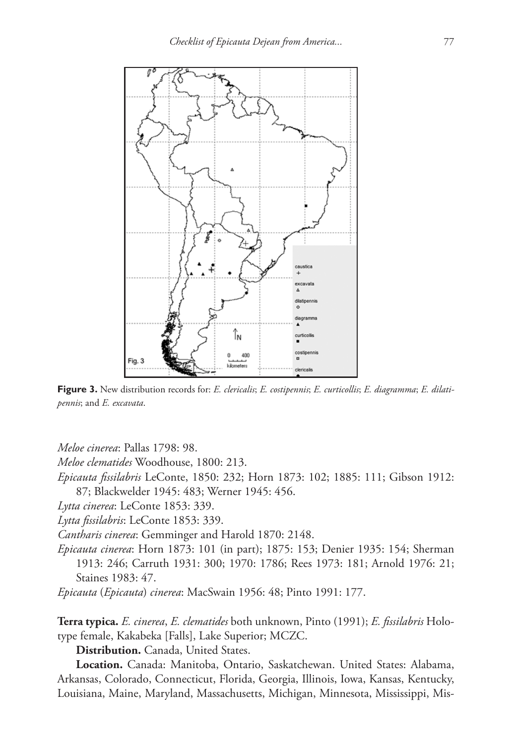

**Figure 3.** New distribution records for: *E. clericalis*; *E. costipennis*; *E. curticollis*; *E. diagramma*; *E. dilatipennis*; and *E. excavata*.

*Meloe cinerea*: Pallas 1798: 98.

*Meloe clematides* Woodhouse, 1800: 213.

*Epicauta fissilabris* LeConte, 1850: 232; Horn 1873: 102; 1885: 111; Gibson 1912: 87; Blackwelder 1945: 483; Werner 1945: 456.

*Lytta cinerea*: LeConte 1853: 339.

*Lytta fissilabris*: LeConte 1853: 339.

*Cantharis cinerea*: Gemminger and Harold 1870: 2148.

*Epicauta cinerea*: Horn 1873: 101 (in part); 1875: 153; Denier 1935: 154; Sherman 1913: 246; Carruth 1931: 300; 1970: 1786; Rees 1973: 181; Arnold 1976: 21; Staines 1983: 47.

*Epicauta* (*Epicauta*) *cinerea*: MacSwain 1956: 48; Pinto 1991: 177.

**Terra typica.** *E. cinerea*, *E. clematides* both unknown, Pinto (1991); *E. fissilabris* Holotype female, Kakabeka [Falls], Lake Superior; MCZC.

**Distribution.** Canada, United States.

**Location.** Canada: Manitoba, Ontario, Saskatchewan. United States: Alabama, Arkansas, Colorado, Connecticut, Florida, Georgia, Illinois, Iowa, Kansas, Kentucky, Louisiana, Maine, Maryland, Massachusetts, Michigan, Minnesota, Mississippi, Mis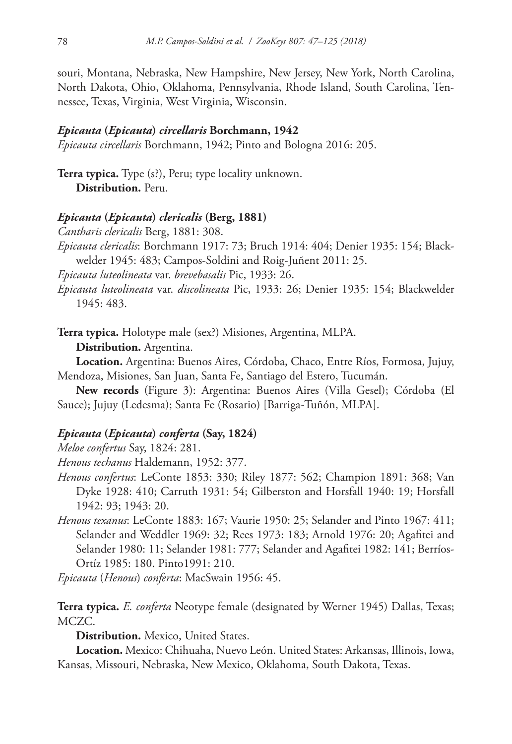souri, Montana, Nebraska, New Hampshire, New Jersey, New York, North Carolina, North Dakota, Ohio, Oklahoma, Pennsylvania, Rhode Island, South Carolina, Tennessee, Texas, Virginia, West Virginia, Wisconsin.

### *Epicauta* **(***Epicauta***)** *circellaris* **Borchmann, 1942**

*Epicauta circellaris* Borchmann, 1942; Pinto and Bologna 2016: 205.

**Terra typica.** Type (s?), Peru; type locality unknown. **Distribution.** Peru.

### *Epicauta* **(***Epicauta***)** *clericalis* **(Berg, 1881)**

*Cantharis clericalis* Berg, 1881: 308.

*Epicauta clericalis*: Borchmann 1917: 73; Bruch 1914: 404; Denier 1935: 154; Blackwelder 1945: 483; Campos-Soldini and Roig-Juñent 2011: 25.

*Epicauta luteolineata* var. *brevebasalis* Pic, 1933: 26.

*Epicauta luteolineata* var. *discolineata* Pic, 1933: 26; Denier 1935: 154; Blackwelder 1945: 483.

**Terra typica.** Holotype male (sex?) Misiones, Argentina, MLPA.

**Distribution.** Argentina.

**Location.** Argentina: Buenos Aires, Córdoba, Chaco, Entre Ríos, Formosa, Jujuy, Mendoza, Misiones, San Juan, Santa Fe, Santiago del Estero, Tucumán.

**New records** (Figure 3): Argentina: Buenos Aires (Villa Gesel); Córdoba (El Sauce); Jujuy (Ledesma); Santa Fe (Rosario) [Barriga-Tuñón, MLPA].

# *Epicauta* **(***Epicauta***)** *conferta* **(Say, 1824)**

*Meloe confertus* Say, 1824: 281.

*Henous techanus* Haldemann, 1952: 377.

*Henous confertus*: LeConte 1853: 330; Riley 1877: 562; Champion 1891: 368; Van Dyke 1928: 410; Carruth 1931: 54; Gilberston and Horsfall 1940: 19; Horsfall 1942: 93; 1943: 20.

*Henous texanus*: LeConte 1883: 167; Vaurie 1950: 25; Selander and Pinto 1967: 411; Selander and Weddler 1969: 32; Rees 1973: 183; Arnold 1976: 20; Agafitei and Selander 1980: 11; Selander 1981: 777; Selander and Agafitei 1982: 141; Berríos-Ortíz 1985: 180. Pinto1991: 210.

*Epicauta* (*Henous*) *conferta*: MacSwain 1956: 45.

**Terra typica.** *E. conferta* Neotype female (designated by Werner 1945) Dallas, Texas; MCZC.

**Distribution.** Mexico, United States.

**Location.** Mexico: Chihuaha, Nuevo León. United States: Arkansas, Illinois, Iowa, Kansas, Missouri, Nebraska, New Mexico, Oklahoma, South Dakota, Texas.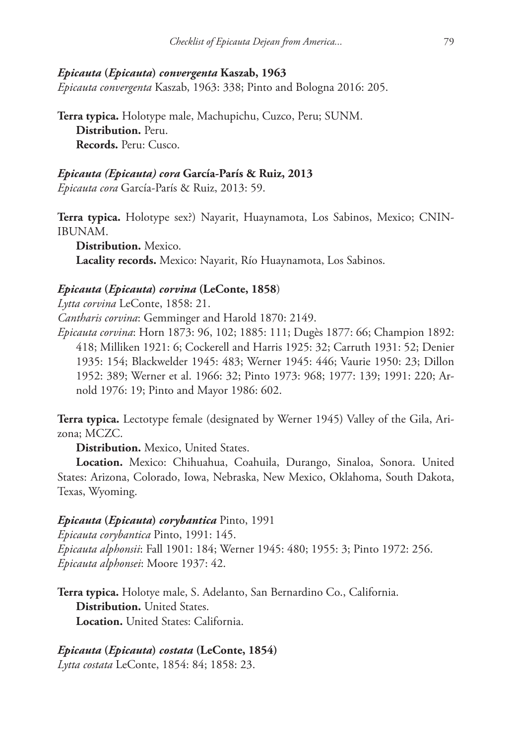### *Epicauta* **(***Epicauta***)** *convergenta* **Kaszab, 1963**

*Epicauta convergenta* Kaszab, 1963: 338; Pinto and Bologna 2016: 205.

**Terra typica.** Holotype male, Machupichu, Cuzco, Peru; SUNM. **Distribution.** Peru. **Records.** Peru: Cusco.

# *Epicauta (Epicauta) cora* **García-París & Ruiz, 2013**

*Epicauta cora* García-París & Ruiz, 2013: 59.

**Terra typica.** Holotype sex?) Nayarit, Huaynamota, Los Sabinos, Mexico; CNIN-IBUNAM.

**Distribution.** Mexico. **Lacality records.** Mexico: Nayarit, Río Huaynamota, Los Sabinos.

# *Epicauta* **(***Epicauta***)** *corvina* **(LeConte, 1858**)

*Lytta corvina* LeConte, 1858: 21. *Cantharis corvina*: Gemminger and Harold 1870: 2149. *Epicauta corvina*: Horn 1873: 96, 102; 1885: 111; Dugès 1877: 66; Champion 1892: 418; Milliken 1921: 6; Cockerell and Harris 1925: 32; Carruth 1931: 52; Denier 1935: 154; Blackwelder 1945: 483; Werner 1945: 446; Vaurie 1950: 23; Dillon 1952: 389; Werner et al. 1966: 32; Pinto 1973: 968; 1977: 139; 1991: 220; Arnold 1976: 19; Pinto and Mayor 1986: 602.

**Terra typica.** Lectotype female (designated by Werner 1945) Valley of the Gila, Arizona; MCZC.

**Distribution.** Mexico, United States.

**Location.** Mexico: Chihuahua, Coahuila, Durango, Sinaloa, Sonora. United States: Arizona, Colorado, Iowa, Nebraska, New Mexico, Oklahoma, South Dakota, Texas, Wyoming.

#### *Epicauta* **(***Epicauta***)** *corybantica* Pinto, 1991

*Epicauta corybantica* Pinto, 1991: 145. *Epicauta alphonsii*: Fall 1901: 184; Werner 1945: 480; 1955: 3; Pinto 1972: 256. *Epicauta alphonsei*: Moore 1937: 42.

**Terra typica.** Holotye male, S. Adelanto, San Bernardino Co., California. **Distribution.** United States. **Location.** United States: California.

# *Epicauta* **(***Epicauta***)** *costata* **(LeConte, 1854)**

*Lytta costata* LeConte, 1854: 84; 1858: 23.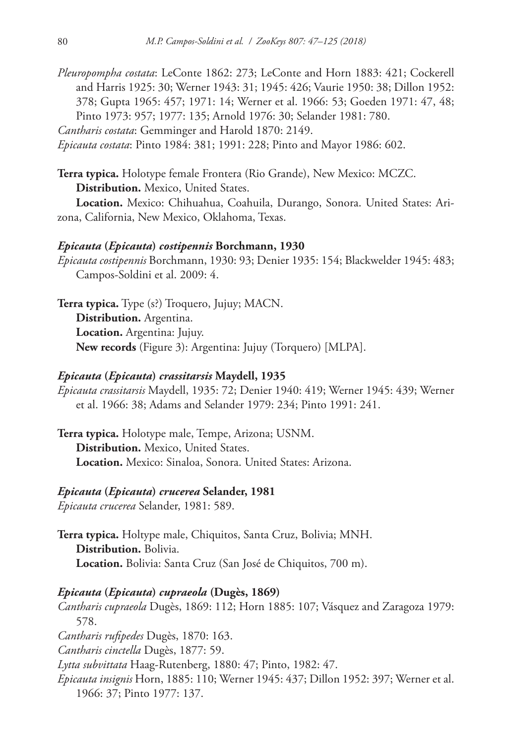*Pleuropompha costata*: LeConte 1862: 273; LeConte and Horn 1883: 421; Cockerell and Harris 1925: 30; Werner 1943: 31; 1945: 426; Vaurie 1950: 38; Dillon 1952: 378; Gupta 1965: 457; 1971: 14; Werner et al. 1966: 53; Goeden 1971: 47, 48; Pinto 1973: 957; 1977: 135; Arnold 1976: 30; Selander 1981: 780.

*Cantharis costata*: Gemminger and Harold 1870: 2149.

*Epicauta costata*: Pinto 1984: 381; 1991: 228; Pinto and Mayor 1986: 602.

**Terra typica.** Holotype female Frontera (Rio Grande), New Mexico: MCZC. **Distribution.** Mexico, United States.

**Location.** Mexico: Chihuahua, Coahuila, Durango, Sonora. United States: Arizona, California, New Mexico, Oklahoma, Texas.

### *Epicauta* **(***Epicauta***)** *costipennis* **Borchmann, 1930**

*Epicauta costipennis* Borchmann, 1930: 93; Denier 1935: 154; Blackwelder 1945: 483; Campos-Soldini et al. 2009: 4.

**Terra typica.** Type (s?) Troquero, Jujuy; MACN. **Distribution.** Argentina. **Location.** Argentina: Jujuy. **New records** (Figure 3): Argentina: Jujuy (Torquero) [MLPA].

### *Epicauta* **(***Epicauta***)** *crassitarsis* **Maydell, 1935**

*Epicauta crassitarsis* Maydell, 1935: 72; Denier 1940: 419; Werner 1945: 439; Werner et al. 1966: 38; Adams and Selander 1979: 234; Pinto 1991: 241.

**Terra typica.** Holotype male, Tempe, Arizona; USNM. **Distribution.** Mexico, United States. **Location.** Mexico: Sinaloa, Sonora. United States: Arizona.

### *Epicauta* **(***Epicauta***)** *crucerea* **Selander, 1981**

*Epicauta crucerea* Selander, 1981: 589.

**Terra typica.** Holtype male, Chiquitos, Santa Cruz, Bolivia; MNH. **Distribution.** Bolivia. **Location.** Bolivia: Santa Cruz (San José de Chiquitos, 700 m).

### *Epicauta* **(***Epicauta***)** *cupraeola* **(Dugès, 1869)**

*Cantharis cupraeola* Dugès, 1869: 112; Horn 1885: 107; Vásquez and Zaragoza 1979: 578. *Cantharis rufipedes* Dugès, 1870: 163. *Cantharis cinctella* Dugès, 1877: 59. *Lytta subvittata* Haag-Rutenberg, 1880: 47; Pinto, 1982: 47. *Epicauta insignis* Horn, 1885: 110; Werner 1945: 437; Dillon 1952: 397; Werner et al. 1966: 37; Pinto 1977: 137.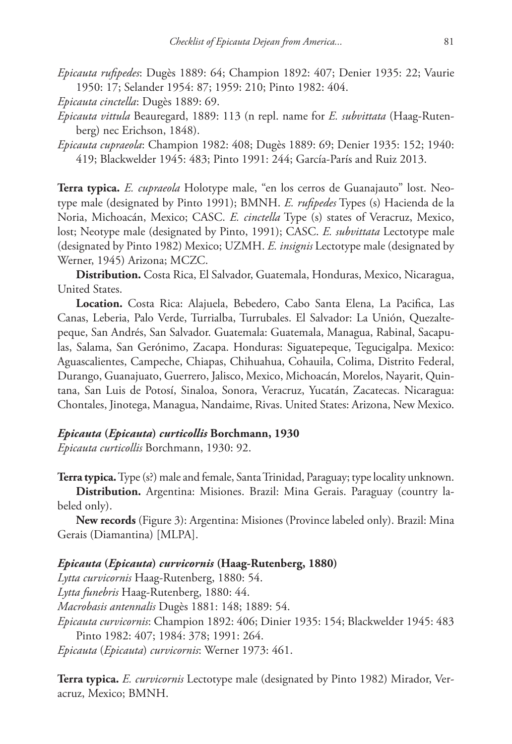*Epicauta rufipedes*: Dugès 1889: 64; Champion 1892: 407; Denier 1935: 22; Vaurie 1950: 17; Selander 1954: 87; 1959: 210; Pinto 1982: 404.

*Epicauta cinctella*: Dugès 1889: 69.

- *Epicauta vittula* Beauregard, 1889: 113 (n repl. name for *E. subvittata* (Haag-Rutenberg) nec Erichson, 1848).
- *Epicauta cupraeola*: Champion 1982: 408; Dugès 1889: 69; Denier 1935: 152; 1940: 419; Blackwelder 1945: 483; Pinto 1991: 244; García-París and Ruiz 2013.

**Terra typica.** *E. cupraeola* Holotype male, "en los cerros de Guanajauto" lost. Neotype male (designated by Pinto 1991); BMNH. *E. rufipedes* Types (s) Hacienda de la Noria, Michoacán, Mexico; CASC. *E. cinctella* Type (s) states of Veracruz, Mexico, lost; Neotype male (designated by Pinto, 1991); CASC. *E. subvittata* Lectotype male (designated by Pinto 1982) Mexico; UZMH. *E. insignis* Lectotype male (designated by Werner, 1945) Arizona; MCZC.

**Distribution.** Costa Rica, El Salvador, Guatemala, Honduras, Mexico, Nicaragua, United States.

**Location.** Costa Rica: Alajuela, Bebedero, Cabo Santa Elena, La Pacifica, Las Canas, Leberia, Palo Verde, Turrialba, Turrubales. El Salvador: La Unión, Quezaltepeque, San Andrés, San Salvador. Guatemala: Guatemala, Managua, Rabinal, Sacapulas, Salama, San Gerónimo, Zacapa. Honduras: Siguatepeque, Tegucigalpa. Mexico: Aguascalientes, Campeche, Chiapas, Chihuahua, Cohauila, Colima, Distrito Federal, Durango, Guanajuato, Guerrero, Jalisco, Mexico, Michoacán, Morelos, Nayarit, Quintana, San Luis de Potosí, Sinaloa, Sonora, Veracruz, Yucatán, Zacatecas. Nicaragua: Chontales, Jinotega, Managua, Nandaime, Rivas. United States: Arizona, New Mexico.

# *Epicauta* **(***Epicauta***)** *curticollis* **Borchmann, 1930**

*Epicauta curticollis* Borchmann, 1930: 92.

**Terra typica.** Type (s?) male and female, Santa Trinidad, Paraguay; type locality unknown.

**Distribution.** Argentina: Misiones. Brazil: Mina Gerais. Paraguay (country labeled only).

**New records** (Figure 3): Argentina: Misiones (Province labeled only). Brazil: Mina Gerais (Diamantina) [MLPA].

### *Epicauta* **(***Epicauta***)** *curvicornis* **(Haag-Rutenberg, 1880)**

*Lytta curvicornis* Haag-Rutenberg, 1880: 54. *Lytta funebris* Haag-Rutenberg, 1880: 44. *Macrobasis antennalis* Dugès 1881: 148; 1889: 54. *Epicauta curvicornis*: Champion 1892: 406; Dinier 1935: 154; Blackwelder 1945: 483 Pinto 1982: 407; 1984: 378; 1991: 264.

*Epicauta* (*Epicauta*) *curvicornis*: Werner 1973: 461.

**Terra typica.** *E. curvicornis* Lectotype male (designated by Pinto 1982) Mirador, Veracruz, Mexico; BMNH.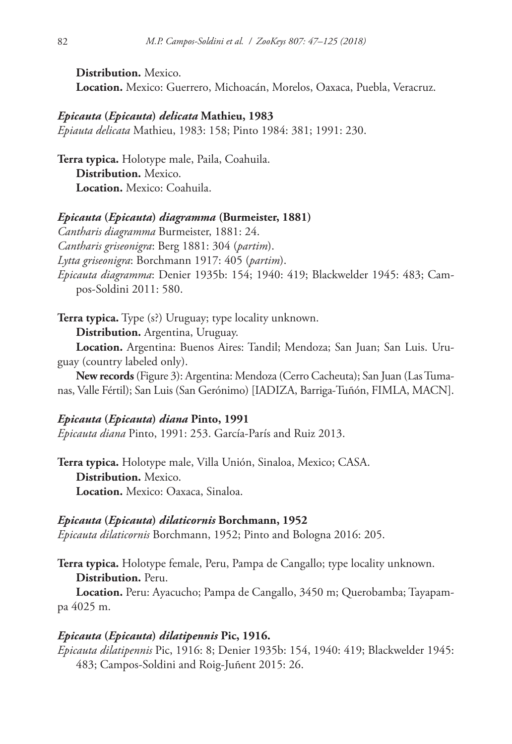**Distribution.** Mexico. **Location.** Mexico: Guerrero, Michoacán, Morelos, Oaxaca, Puebla, Veracruz.

### *Epicauta* **(***Epicauta***)** *delicata* **Mathieu, 1983**

*Epiauta delicata* Mathieu, 1983: 158; Pinto 1984: 381; 1991: 230.

**Terra typica.** Holotype male, Paila, Coahuila. **Distribution.** Mexico. **Location.** Mexico: Coahuila.

### *Epicauta* **(***Epicauta***)** *diagramma* **(Burmeister, 1881)**

*Cantharis diagramma* Burmeister, 1881: 24.

*Cantharis griseonigra*: Berg 1881: 304 (*partim*).

*Lytta griseonigra*: Borchmann 1917: 405 (*partim*).

*Epicauta diagramma*: Denier 1935b: 154; 1940: 419; Blackwelder 1945: 483; Campos-Soldini 2011: 580.

**Terra typica.** Type (s?) Uruguay; type locality unknown.

**Distribution.** Argentina, Uruguay.

**Location.** Argentina: Buenos Aires: Tandil; Mendoza; San Juan; San Luis. Uruguay (country labeled only).

**New records** (Figure 3): Argentina: Mendoza (Cerro Cacheuta); San Juan (Las Tumanas, Valle Fértil); San Luis (San Gerónimo) [IADIZA, Barriga-Tuñón, FIMLA, MACN].

### *Epicauta* **(***Epicauta***)** *diana* **Pinto, 1991**

*Epicauta diana* Pinto, 1991: 253. García-París and Ruiz 2013.

**Terra typica.** Holotype male, Villa Unión, Sinaloa, Mexico; CASA. **Distribution.** Mexico. **Location.** Mexico: Oaxaca, Sinaloa.

#### *Epicauta* **(***Epicauta***)** *dilaticornis* **Borchmann, 1952**

*Epicauta dilaticornis* Borchmann, 1952; Pinto and Bologna 2016: 205.

**Terra typica.** Holotype female, Peru, Pampa de Cangallo; type locality unknown. **Distribution.** Peru.

**Location.** Peru: Ayacucho; Pampa de Cangallo, 3450 m; Querobamba; Tayapampa 4025 m.

### *Epicauta* **(***Epicauta***)** *dilatipennis* **Pic, 1916.**

*Epicauta dilatipennis* Pic, 1916: 8; Denier 1935b: 154, 1940: 419; Blackwelder 1945: 483; Campos-Soldini and Roig-Juñent 2015: 26.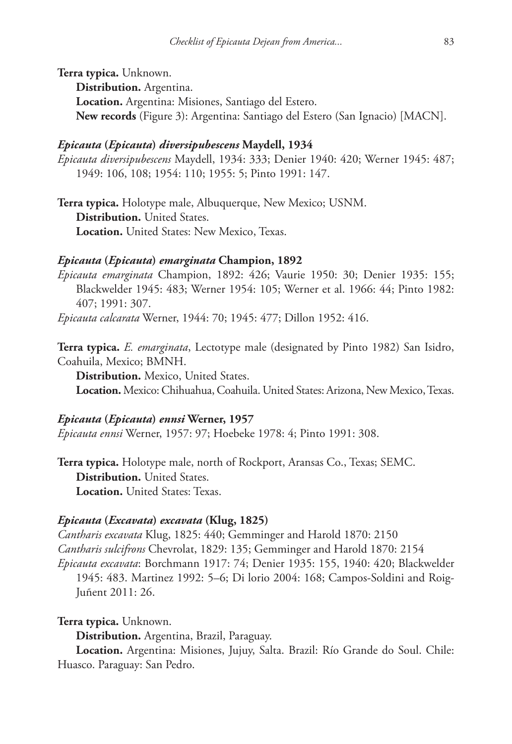**Terra typica.** Unknown.

**Distribution.** Argentina.

**Location.** Argentina: Misiones, Santiago del Estero. **New records** (Figure 3): Argentina: Santiago del Estero (San Ignacio) [MACN].

## *Epicauta* **(***Epicauta***)** *diversipubescens* **Maydell, 1934**

*Epicauta diversipubescens* Maydell, 1934: 333; Denier 1940: 420; Werner 1945: 487; 1949: 106, 108; 1954: 110; 1955: 5; Pinto 1991: 147.

**Terra typica.** Holotype male, Albuquerque, New Mexico; USNM. **Distribution.** United States. **Location.** United States: New Mexico, Texas.

## *Epicauta* **(***Epicauta***)** *emarginata* **Champion, 1892**

*Epicauta emarginata* Champion, 1892: 426; Vaurie 1950: 30; Denier 1935: 155; Blackwelder 1945: 483; Werner 1954: 105; Werner et al. 1966: 44; Pinto 1982: 407; 1991: 307.

*Epicauta calcarata* Werner, 1944: 70; 1945: 477; Dillon 1952: 416.

**Terra typica.** *E. emarginata*, Lectotype male (designated by Pinto 1982) San Isidro, Coahuila, Mexico; BMNH.

**Distribution.** Mexico, United States.

**Location.** Mexico: Chihuahua, Coahuila. United States: Arizona, New Mexico, Texas.

#### *Epicauta* **(***Epicauta***)** *ennsi* **Werner, 1957**

*Epicauta ennsi* Werner, 1957: 97; Hoebeke 1978: 4; Pinto 1991: 308.

**Terra typica.** Holotype male, north of Rockport, Aransas Co., Texas; SEMC. **Distribution.** United States. **Location.** United States: Texas.

#### *Epicauta* **(***Excavata***)** *excavata* **(Klug, 1825)**

*Cantharis excavata* Klug, 1825: 440; Gemminger and Harold 1870: 2150 *Cantharis sulcifrons* Chevrolat, 1829: 135; Gemminger and Harold 1870: 2154 *Epicauta excavata*: Borchmann 1917: 74; Denier 1935: 155, 1940: 420; Blackwelder 1945: 483. Martinez 1992: 5–6; Di lorio 2004: 168; Campos-Soldini and Roig-Juñent 2011: 26.

**Terra typica.** Unknown.

**Distribution.** Argentina, Brazil, Paraguay.

**Location.** Argentina: Misiones, Jujuy, Salta. Brazil: Río Grande do Soul. Chile: Huasco. Paraguay: San Pedro.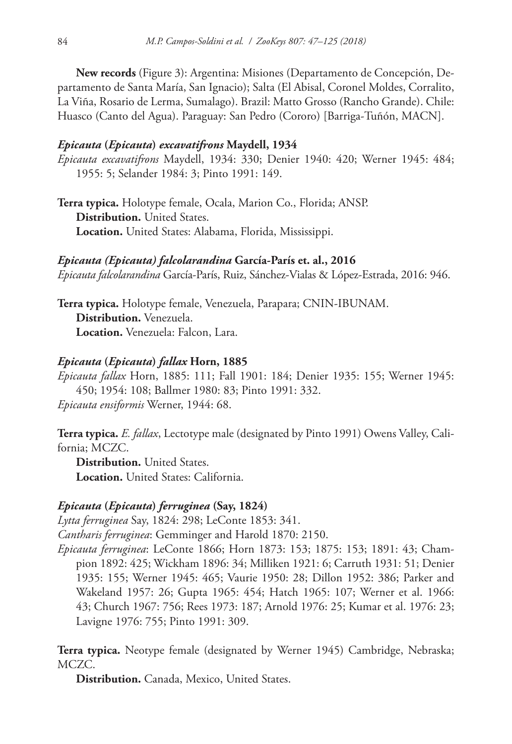**New records** (Figure 3): Argentina: Misiones (Departamento de Concepción, Departamento de Santa María, San Ignacio); Salta (El Abisal, Coronel Moldes, Corralito, La Viña, Rosario de Lerma, Sumalago). Brazil: Matto Grosso (Rancho Grande). Chile: Huasco (Canto del Agua). Paraguay: San Pedro (Cororo) [Barriga-Tuñón, MACN].

## *Epicauta* **(***Epicauta***)** *excavatifrons* **Maydell, 1934**

*Epicauta excavatifrons* Maydell, 1934: 330; Denier 1940: 420; Werner 1945: 484; 1955: 5; Selander 1984: 3; Pinto 1991: 149.

**Terra typica.** Holotype female, Ocala, Marion Co., Florida; ANSP. **Distribution.** United States. **Location.** United States: Alabama, Florida, Mississippi.

*Epicauta (Epicauta) falcolarandina* **García-París et. al., 2016** *Epicauta falcolarandina* García-París, Ruiz, Sánchez-Vialas & López-Estrada, 2016: 946.

**Terra typica.** Holotype female, Venezuela, Parapara; CNIN-IBUNAM. **Distribution.** Venezuela. **Location.** Venezuela: Falcon, Lara.

#### *Epicauta* **(***Epicauta***)** *fallax* **Horn, 1885**

*Epicauta fallax* Horn, 1885: 111; Fall 1901: 184; Denier 1935: 155; Werner 1945: 450; 1954: 108; Ballmer 1980: 83; Pinto 1991: 332. *Epicauta ensiformis* Werner, 1944: 68.

**Terra typica.** *E. fallax*, Lectotype male (designated by Pinto 1991) Owens Valley, California; MCZC.

**Distribution.** United States. **Location.** United States: California.

#### *Epicauta* **(***Epicauta***)** *ferruginea* **(Say, 1824)**

*Lytta ferruginea* Say, 1824: 298; LeConte 1853: 341.

*Cantharis ferruginea*: Gemminger and Harold 1870: 2150.

*Epicauta ferruginea*: LeConte 1866; Horn 1873: 153; 1875: 153; 1891: 43; Champion 1892: 425; Wickham 1896: 34; Milliken 1921: 6; Carruth 1931: 51; Denier 1935: 155; Werner 1945: 465; Vaurie 1950: 28; Dillon 1952: 386; Parker and Wakeland 1957: 26; Gupta 1965: 454; Hatch 1965: 107; Werner et al. 1966: 43; Church 1967: 756; Rees 1973: 187; Arnold 1976: 25; Kumar et al. 1976: 23; Lavigne 1976: 755; Pinto 1991: 309.

**Terra typica.** Neotype female (designated by Werner 1945) Cambridge, Nebraska; MCZC.

**Distribution.** Canada, Mexico, United States.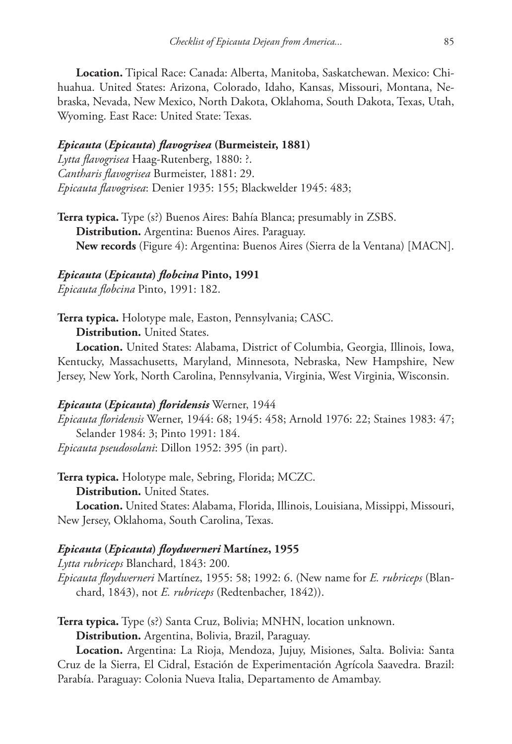**Location.** Tipical Race: Canada: Alberta, Manitoba, Saskatchewan. Mexico: Chihuahua. United States: Arizona, Colorado, Idaho, Kansas, Missouri, Montana, Nebraska, Nevada, New Mexico, North Dakota, Oklahoma, South Dakota, Texas, Utah, Wyoming. East Race: United State: Texas.

#### *Epicauta* **(***Epicauta***)** *flavogrisea* **(Burmeisteir, 1881)**

*Lytta flavogrisea* Haag-Rutenberg, 1880: ?. *Cantharis flavogrisea* Burmeister, 1881: 29. *Epicauta flavogrisea*: Denier 1935: 155; Blackwelder 1945: 483;

**Terra typica.** Type (s?) Buenos Aires: Bahía Blanca; presumably in ZSBS. **Distribution.** Argentina: Buenos Aires. Paraguay. **New records** (Figure 4): Argentina: Buenos Aires (Sierra de la Ventana) [MACN].

#### *Epicauta* **(***Epicauta***)** *flobcina* **Pinto, 1991**

*Epicauta flobcina* Pinto, 1991: 182.

**Terra typica.** Holotype male, Easton, Pennsylvania; CASC. **Distribution.** United States.

**Location.** United States: Alabama, District of Columbia, Georgia, Illinois, Iowa, Kentucky, Massachusetts, Maryland, Minnesota, Nebraska, New Hampshire, New Jersey, New York, North Carolina, Pennsylvania, Virginia, West Virginia, Wisconsin.

#### *Epicauta* **(***Epicauta***)** *floridensis* Werner, 1944

*Epicauta floridensis* Werner, 1944: 68; 1945: 458; Arnold 1976: 22; Staines 1983: 47; Selander 1984: 3; Pinto 1991: 184. *Epicauta pseudosolani*: Dillon 1952: 395 (in part).

**Terra typica.** Holotype male, Sebring, Florida; MCZC. **Distribution.** United States.

**Location.** United States: Alabama, Florida, Illinois, Louisiana, Missippi, Missouri, New Jersey, Oklahoma, South Carolina, Texas.

## *Epicauta* **(***Epicauta***)** *floydwerneri* **Martínez, 1955**

*Lytta rubriceps* Blanchard, 1843: 200*.*

*Epicauta floydwerneri* Martínez, 1955: 58; 1992: 6. (New name for *E. rubriceps* (Blanchard, 1843), not *E. rubriceps* (Redtenbacher, 1842)).

**Terra typica.** Type (s?) Santa Cruz, Bolivia; MNHN, location unknown. **Distribution.** Argentina, Bolivia, Brazil, Paraguay.

**Location.** Argentina: La Rioja, Mendoza, Jujuy, Misiones, Salta. Bolivia: Santa Cruz de la Sierra, El Cidral, Estación de Experimentación Agrícola Saavedra. Brazil: Parabía. Paraguay: Colonia Nueva Italia, Departamento de Amambay.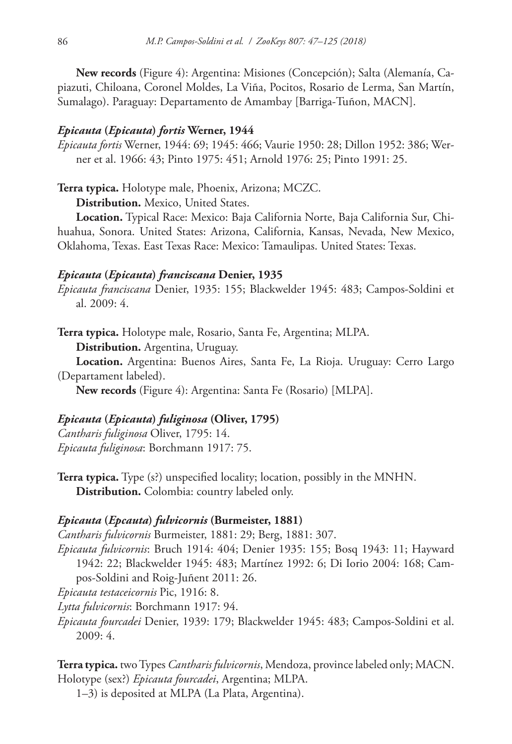**New records** (Figure 4): Argentina: Misiones (Concepción); Salta (Alemanía, Capiazuti, Chiloana, Coronel Moldes, La Viña, Pocitos, Rosario de Lerma, San Martín, Sumalago). Paraguay: Departamento de Amambay [Barriga-Tuñon, MACN].

#### *Epicauta* **(***Epicauta***)** *fortis* **Werner, 1944**

*Epicauta fortis* Werner, 1944: 69; 1945: 466; Vaurie 1950: 28; Dillon 1952: 386; Werner et al. 1966: 43; Pinto 1975: 451; Arnold 1976: 25; Pinto 1991: 25.

**Terra typica.** Holotype male, Phoenix, Arizona; MCZC.

**Distribution.** Mexico, United States.

**Location.** Typical Race: Mexico: Baja California Norte, Baja California Sur, Chihuahua, Sonora. United States: Arizona, California, Kansas, Nevada, New Mexico, Oklahoma, Texas. East Texas Race: Mexico: Tamaulipas. United States: Texas.

#### *Epicauta* **(***Epicauta***)** *franciscana* **Denier, 1935**

*Epicauta franciscana* Denier, 1935: 155; Blackwelder 1945: 483; Campos-Soldini et al. 2009: 4.

**Terra typica.** Holotype male, Rosario, Santa Fe, Argentina; MLPA.

**Distribution.** Argentina, Uruguay.

**Location.** Argentina: Buenos Aires, Santa Fe, La Rioja. Uruguay: Cerro Largo (Departament labeled).

**New records** (Figure 4): Argentina: Santa Fe (Rosario) [MLPA].

### *Epicauta* **(***Epicauta***)** *fuliginosa* **(Oliver, 1795)**

*Cantharis fuliginosa* Oliver, 1795: 14. *Epicauta fuliginosa*: Borchmann 1917: 75.

**Terra typica.** Type (s?) unspecified locality; location, possibly in the MNHN. **Distribution.** Colombia: country labeled only.

#### *Epicauta* **(***Epcauta***)** *fulvicornis* **(Burmeister, 1881)**

*Cantharis fulvicornis* Burmeister, 1881: 29; Berg, 1881: 307.

*Epicauta fulvicornis*: Bruch 1914: 404; Denier 1935: 155; Bosq 1943: 11; Hayward 1942: 22; Blackwelder 1945: 483; Martínez 1992: 6; Di Iorio 2004: 168; Campos-Soldini and Roig-Juñent 2011: 26.

*Epicauta testaceicornis* Pic, 1916: 8.

*Lytta fulvicornis*: Borchmann 1917: 94.

*Epicauta fourcadei* Denier, 1939: 179; Blackwelder 1945: 483; Campos-Soldini et al. 2009: 4.

**Terra typica.** two Types *Cantharis fulvicornis*, Mendoza, province labeled only; MACN. Holotype (sex?) *Epicauta fourcadei*, Argentina; MLPA.

1–3) is deposited at MLPA (La Plata, Argentina).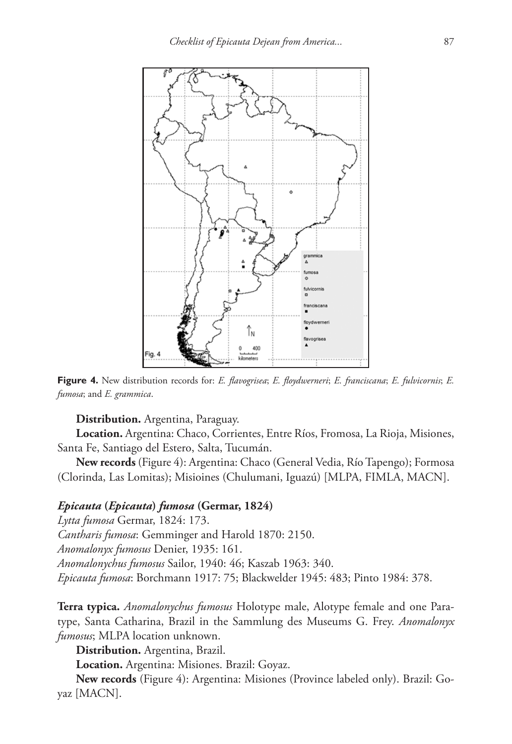

**Figure 4.** New distribution records for: *E. flavogrisea*; *E. floydwerneri*; *E. franciscana*; *E. fulvicornis*; *E. fumosa*; and *E. grammica*.

**Distribution.** Argentina, Paraguay.

**Location.** Argentina: Chaco, Corrientes, Entre Ríos, Fromosa, La Rioja, Misiones, Santa Fe, Santiago del Estero, Salta, Tucumán.

**New records** (Figure 4): Argentina: Chaco (General Vedia, Río Tapengo); Formosa (Clorinda, Las Lomitas); Misioines (Chulumani, Iguazú) [MLPA, FIMLA, MACN].

#### *Epicauta* **(***Epicauta***)** *fumosa* **(Germar, 1824)**

*Lytta fumosa* Germar, 1824: 173. *Cantharis fumosa*: Gemminger and Harold 1870: 2150. *Anomalonyx fumosus* Denier, 1935: 161. *Anomalonychus fumosus* Sailor, 1940: 46; Kaszab 1963: 340. *Epicauta fumosa*: Borchmann 1917: 75; Blackwelder 1945: 483; Pinto 1984: 378.

**Terra typica.** *Anomalonychus fumosus* Holotype male, Alotype female and one Paratype, Santa Catharina, Brazil in the Sammlung des Museums G. Frey. *Anomalonyx fumosus*; MLPA location unknown.

**Distribution.** Argentina, Brazil.

**Location.** Argentina: Misiones. Brazil: Goyaz.

**New records** (Figure 4): Argentina: Misiones (Province labeled only). Brazil: Goyaz [MACN].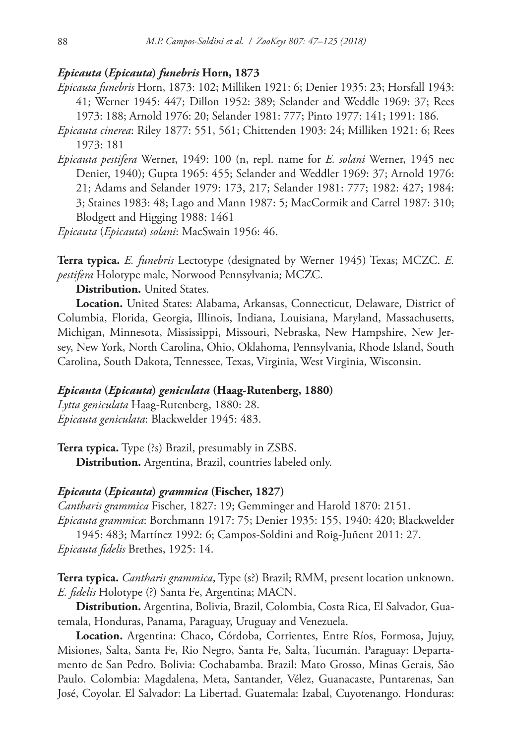#### *Epicauta* **(***Epicauta***)** *funebris* **Horn, 1873**

*Epicauta funebris* Horn, 1873: 102; Milliken 1921: 6; Denier 1935: 23; Horsfall 1943: 41; Werner 1945: 447; Dillon 1952: 389; Selander and Weddle 1969: 37; Rees 1973: 188; Arnold 1976: 20; Selander 1981: 777; Pinto 1977: 141; 1991: 186.

*Epicauta cinerea*: Riley 1877: 551, 561; Chittenden 1903: 24; Milliken 1921: 6; Rees 1973: 181

*Epicauta pestifera* Werner, 1949: 100 (n, repl. name for *E. solani* Werner, 1945 nec Denier, 1940); Gupta 1965: 455; Selander and Weddler 1969: 37; Arnold 1976: 21; Adams and Selander 1979: 173, 217; Selander 1981: 777; 1982: 427; 1984: 3; Staines 1983: 48; Lago and Mann 1987: 5; MacCormik and Carrel 1987: 310; Blodgett and Higging 1988: 1461

*Epicauta* (*Epicauta*) *solani*: MacSwain 1956: 46.

**Terra typica.** *E. funebris* Lectotype (designated by Werner 1945) Texas; MCZC. *E. pestifera* Holotype male, Norwood Pennsylvania; MCZC.

**Distribution.** United States.

**Location.** United States: Alabama, Arkansas, Connecticut, Delaware, District of Columbia, Florida, Georgia, Illinois, Indiana, Louisiana, Maryland, Massachusetts, Michigan, Minnesota, Mississippi, Missouri, Nebraska, New Hampshire, New Jersey, New York, North Carolina, Ohio, Oklahoma, Pennsylvania, Rhode Island, South Carolina, South Dakota, Tennessee, Texas, Virginia, West Virginia, Wisconsin.

#### *Epicauta* **(***Epicauta***)** *geniculata* **(Haag-Rutenberg, 1880)**

*Lytta geniculata* Haag-Rutenberg, 1880: 28. *Epicauta geniculata*: Blackwelder 1945: 483.

**Terra typica.** Type (?s) Brazil, presumably in ZSBS. **Distribution.** Argentina, Brazil, countries labeled only.

#### *Epicauta* **(***Epicauta***)** *grammica* **(Fischer, 1827)**

*Cantharis grammica* Fischer, 1827: 19; Gemminger and Harold 1870: 2151.

*Epicauta grammica*: Borchmann 1917: 75; Denier 1935: 155, 1940: 420; Blackwelder 1945: 483; Martínez 1992: 6; Campos-Soldini and Roig-Juñent 2011: 27.

*Epicauta fidelis* Brethes, 1925: 14.

**Terra typica.** *Cantharis grammica*, Type (s?) Brazil; RMM, present location unknown. *E. fidelis* Holotype (?) Santa Fe, Argentina; MACN.

**Distribution.** Argentina, Bolivia, Brazil, Colombia, Costa Rica, El Salvador, Guatemala, Honduras, Panama, Paraguay, Uruguay and Venezuela.

**Location.** Argentina: Chaco, Córdoba, Corrientes, Entre Ríos, Formosa, Jujuy, Misiones, Salta, Santa Fe, Rio Negro, Santa Fe, Salta, Tucumán. Paraguay: Departamento de San Pedro. Bolivia: Cochabamba. Brazil: Mato Grosso, Minas Gerais, São Paulo. Colombia: Magdalena, Meta, Santander, Vélez, Guanacaste, Puntarenas, San José, Coyolar. El Salvador: La Libertad. Guatemala: Izabal, Cuyotenango. Honduras: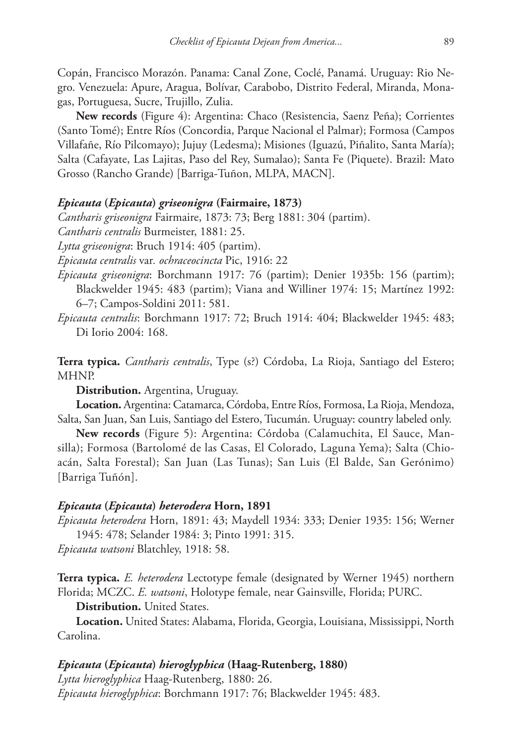Copán, Francisco Morazón. Panama: Canal Zone, Coclé, Panamá. Uruguay: Rio Negro. Venezuela: Apure, Aragua, Bolívar, Carabobo, Distrito Federal, Miranda, Monagas, Portuguesa, Sucre, Trujillo, Zulia.

**New records** (Figure 4): Argentina: Chaco (Resistencia, Saenz Peña); Corrientes (Santo Tomé); Entre Ríos (Concordia, Parque Nacional el Palmar); Formosa (Campos Villafañe, Río Pilcomayo); Jujuy (Ledesma); Misiones (Iguazú, Piñalito, Santa María); Salta (Cafayate, Las Lajitas, Paso del Rey, Sumalao); Santa Fe (Piquete). Brazil: Mato Grosso (Rancho Grande) [Barriga-Tuñon, MLPA, MACN].

#### *Epicauta* **(***Epicauta***)** *griseonigra* **(Fairmaire, 1873)**

*Cantharis griseonigra* Fairmaire, 1873: 73; Berg 1881: 304 (partim).

*Cantharis centralis* Burmeister, 1881: 25.

*Lytta griseonigra*: Bruch 1914: 405 (partim).

*Epicauta centralis* var*. ochraceocincta* Pic, 1916: 22

*Epicauta griseonigra*: Borchmann 1917: 76 (partim); Denier 1935b: 156 (partim); Blackwelder 1945: 483 (partim); Viana and Williner 1974: 15; Martínez 1992: 6–7; Campos-Soldini 2011: 581.

*Epicauta centralis*: Borchmann 1917: 72; Bruch 1914: 404; Blackwelder 1945: 483; Di Iorio 2004: 168.

**Terra typica.** *Cantharis centralis*, Type (s?) Córdoba, La Rioja, Santiago del Estero; MHNP.

**Distribution.** Argentina, Uruguay.

**Location.** Argentina: Catamarca, Córdoba, Entre Ríos, Formosa, La Rioja, Mendoza, Salta, San Juan, San Luis, Santiago del Estero, Tucumán. Uruguay: country labeled only.

**New records** (Figure 5): Argentina: Córdoba (Calamuchita, El Sauce, Mansilla); Formosa (Bartolomé de las Casas, El Colorado, Laguna Yema); Salta (Chioacán, Salta Forestal); San Juan (Las Tunas); San Luis (El Balde, San Gerónimo) [Barriga Tuñón].

#### *Epicauta* **(***Epicauta***)** *heterodera* **Horn, 1891**

*Epicauta heterodera* Horn, 1891: 43; Maydell 1934: 333; Denier 1935: 156; Werner 1945: 478; Selander 1984: 3; Pinto 1991: 315.

*Epicauta watsoni* Blatchley, 1918: 58.

**Terra typica.** *E. heterodera* Lectotype female (designated by Werner 1945) northern Florida; MCZC. *E. watsoni*, Holotype female, near Gainsville, Florida; PURC.

**Distribution.** United States.

**Location.** United States: Alabama, Florida, Georgia, Louisiana, Mississippi, North Carolina.

## *Epicauta* **(***Epicauta***)** *hieroglyphica* **(Haag-Rutenberg, 1880)**

*Lytta hieroglyphica* Haag-Rutenberg, 1880: 26. *Epicauta hieroglyphica*: Borchmann 1917: 76; Blackwelder 1945: 483.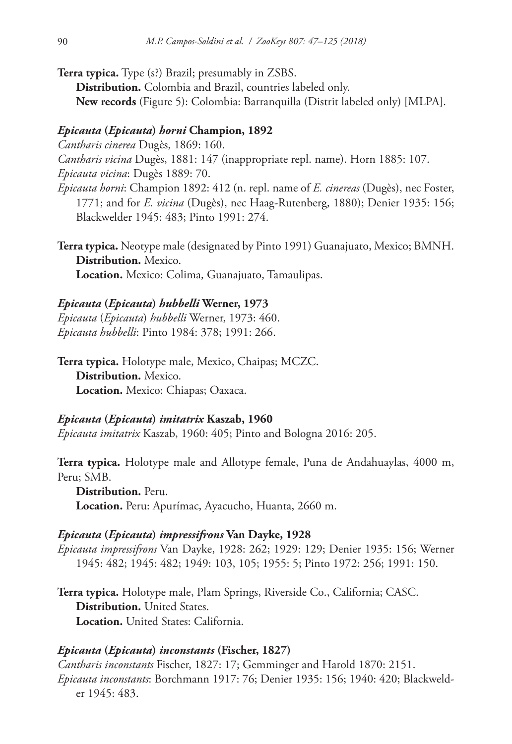- **Terra typica.** Type (s?) Brazil; presumably in ZSBS.
	- **Distribution.** Colombia and Brazil, countries labeled only.
	- **New records** (Figure 5): Colombia: Barranquilla (Distrit labeled only) [MLPA].

## *Epicauta* **(***Epicauta***)** *horni* **Champion, 1892**

*Cantharis cinerea* Dugès, 1869: 160.

*Cantharis vicina* Dugès, 1881: 147 (inappropriate repl. name). Horn 1885: 107. *Epicauta vicina*: Dugès 1889: 70.

- *Epicauta horni*: Champion 1892: 412 (n. repl. name of *E. cinereas* (Dugès), nec Foster, 1771; and for *E. vicina* (Dugès), nec Haag-Rutenberg, 1880); Denier 1935: 156; Blackwelder 1945: 483; Pinto 1991: 274.
- **Terra typica.** Neotype male (designated by Pinto 1991) Guanajuato, Mexico; BMNH. **Distribution.** Mexico. **Location.** Mexico: Colima, Guanajuato, Tamaulipas.

#### *Epicauta* **(***Epicauta***)** *hubbelli* **Werner, 1973**

*Epicauta* (*Epicauta*) *hubbelli* Werner, 1973: 460. *Epicauta hubbelli*: Pinto 1984: 378; 1991: 266.

**Terra typica.** Holotype male, Mexico, Chaipas; MCZC. **Distribution.** Mexico. **Location.** Mexico: Chiapas; Oaxaca.

#### *Epicauta* **(***Epicauta***)** *imitatrix* **Kaszab, 1960**

*Epicauta imitatrix* Kaszab, 1960: 405; Pinto and Bologna 2016: 205.

**Terra typica.** Holotype male and Allotype female, Puna de Andahuaylas, 4000 m, Peru; SMB.

**Distribution.** Peru. **Location.** Peru: Apurímac, Ayacucho, Huanta, 2660 m.

#### *Epicauta* **(***Epicauta***)** *impressifrons* **Van Dayke, 1928**

*Epicauta impressifrons* Van Dayke, 1928: 262; 1929: 129; Denier 1935: 156; Werner 1945: 482; 1945: 482; 1949: 103, 105; 1955: 5; Pinto 1972: 256; 1991: 150.

**Terra typica.** Holotype male, Plam Springs, Riverside Co., California; CASC. **Distribution.** United States. **Location.** United States: California.

#### *Epicauta* **(***Epicauta***)** *inconstants* **(Fischer, 1827)**

*Cantharis inconstants* Fischer, 1827: 17; Gemminger and Harold 1870: 2151. *Epicauta inconstants*: Borchmann 1917: 76; Denier 1935: 156; 1940: 420; Blackwelder 1945: 483.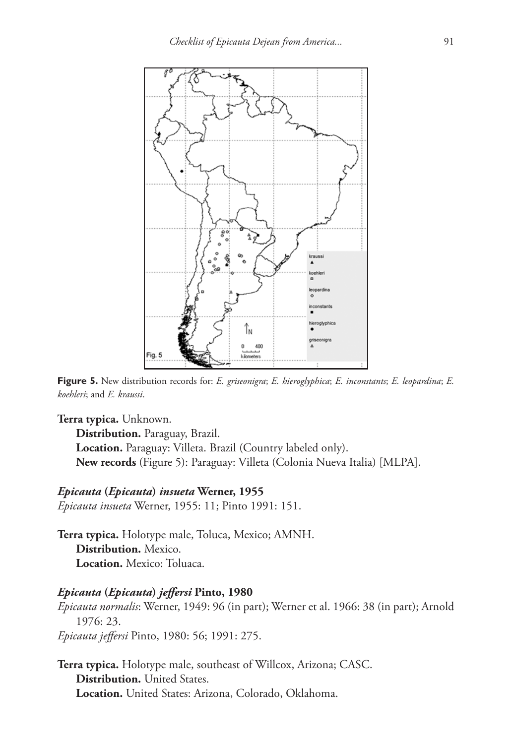

**Figure 5.** New distribution records for: *E. griseonigra*; *E. hieroglyphica*; *E. inconstants*; *E. leopardina*; *E. koehleri*; and *E. kraussi*.

**Terra typica.** Unknown.

**Distribution.** Paraguay, Brazil. **Location.** Paraguay: Villeta. Brazil (Country labeled only). **New records** (Figure 5): Paraguay: Villeta (Colonia Nueva Italia) [MLPA].

#### *Epicauta* **(***Epicauta***)** *insueta* **Werner, 1955**

*Epicauta insueta* Werner, 1955: 11; Pinto 1991: 151.

**Terra typica.** Holotype male, Toluca, Mexico; AMNH. **Distribution.** Mexico. **Location.** Mexico: Toluaca.

#### *Epicauta* **(***Epicauta***)** *jeffersi* **Pinto, 1980**

*Epicauta normalis*: Werner, 1949: 96 (in part); Werner et al. 1966: 38 (in part); Arnold 1976: 23. *Epicauta jeffersi* Pinto, 1980: 56; 1991: 275.

**Terra typica.** Holotype male, southeast of Willcox, Arizona; CASC. **Distribution.** United States. **Location.** United States: Arizona, Colorado, Oklahoma.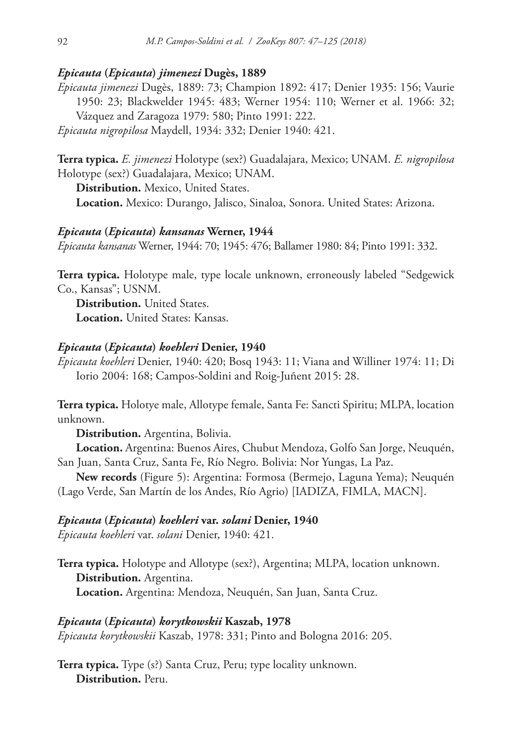## *Epicauta* **(***Epicauta***)** *jimenezi* **Dugès, 1889**

*Epicauta jimenezi* Dugès, 1889: 73; Champion 1892: 417; Denier 1935: 156; Vaurie 1950: 23; Blackwelder 1945: 483; Werner 1954: 110; Werner et al. 1966: 32; Vázquez and Zaragoza 1979: 580; Pinto 1991: 222.

*Epicauta nigropilosa* Maydell, 1934: 332; Denier 1940: 421.

**Terra typica.** *E. jimenezi* Holotype (sex?) Guadalajara, Mexico; UNAM. *E. nigropilosa* Holotype (sex?) Guadalajara, Mexico; UNAM.

**Distribution.** Mexico, United States.

**Location.** Mexico: Durango, Jalisco, Sinaloa, Sonora. United States: Arizona.

#### *Epicauta* **(***Epicauta***)** *kansanas* **Werner, 1944**

*Epicauta kansanas* Werner, 1944: 70; 1945: 476; Ballamer 1980: 84; Pinto 1991: 332.

**Terra typica.** Holotype male, type locale unknown, erroneously labeled "Sedgewick Co., Kansas"; USNM.

**Distribution.** United States. **Location.** United States: Kansas.

#### *Epicauta* **(***Epicauta***)** *koehleri* **Denier, 1940**

*Epicauta koehleri* Denier, 1940: 420; Bosq 1943: 11; Viana and Williner 1974: 11; Di Iorio 2004: 168; Campos-Soldini and Roig-Juñent 2015: 28.

**Terra typica.** Holotye male, Allotype female, Santa Fe: Sancti Spiritu; MLPA, location unknown.

**Distribution.** Argentina, Bolivia.

**Location.** Argentina: Buenos Aires, Chubut Mendoza, Golfo San Jorge, Neuquén, San Juan, Santa Cruz, Santa Fe, Río Negro. Bolivia: Nor Yungas, La Paz.

**New records** (Figure 5): Argentina: Formosa (Bermejo, Laguna Yema); Neuquén (Lago Verde, San Martín de los Andes, Río Agrio) [IADIZA, FIMLA, MACN].

#### *Epicauta* **(***Epicauta***)** *koehleri* **var.** *solani* **Denier, 1940**

*Epicauta koehleri* var. *solani* Denier, 1940: 421.

**Terra typica.** Holotype and Allotype (sex?), Argentina; MLPA, location unknown. **Distribution.** Argentina. **Location.** Argentina: Mendoza, Neuquén, San Juan, Santa Cruz.

### *Epicauta* **(***Epicauta***)** *korytkowskii* **Kaszab, 1978**

*Epicauta korytkowskii* Kaszab, 1978: 331; Pinto and Bologna 2016: 205.

**Terra typica.** Type (s?) Santa Cruz, Peru; type locality unknown. **Distribution.** Peru.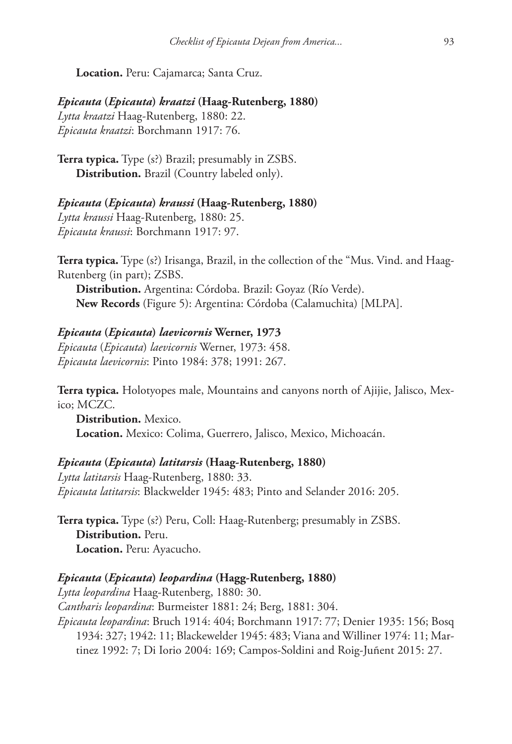**Location.** Peru: Cajamarca; Santa Cruz.

*Epicauta* **(***Epicauta***)** *kraatzi* **(Haag-Rutenberg, 1880)** *Lytta kraatzi* Haag-Rutenberg, 1880: 22. *Epicauta kraatzi*: Borchmann 1917: 76.

**Terra typica.** Type (s?) Brazil; presumably in ZSBS. **Distribution.** Brazil (Country labeled only).

*Epicauta* **(***Epicauta***)** *kraussi* **(Haag-Rutenberg, 1880)** *Lytta kraussi* Haag-Rutenberg, 1880: 25. *Epicauta kraussi*: Borchmann 1917: 97.

**Terra typica.** Type (s?) Irisanga, Brazil, in the collection of the "Mus. Vind. and Haag-Rutenberg (in part); ZSBS.

**Distribution.** Argentina: Córdoba. Brazil: Goyaz (Río Verde). **New Records** (Figure 5): Argentina: Córdoba (Calamuchita) [MLPA].

#### *Epicauta* **(***Epicauta***)** *laevicornis* **Werner, 1973**

*Epicauta* (*Epicauta*) *laevicornis* Werner, 1973: 458. *Epicauta laevicornis*: Pinto 1984: 378; 1991: 267.

**Terra typica.** Holotyopes male, Mountains and canyons north of Ajijie, Jalisco, Mexico; MCZC.

**Distribution.** Mexico. **Location.** Mexico: Colima, Guerrero, Jalisco, Mexico, Michoacán.

*Epicauta* **(***Epicauta***)** *latitarsis* **(Haag-Rutenberg, 1880)** *Lytta latitarsis* Haag-Rutenberg, 1880: 33.

*Epicauta latitarsis*: Blackwelder 1945: 483; Pinto and Selander 2016: 205.

**Terra typica.** Type (s?) Peru, Coll: Haag-Rutenberg; presumably in ZSBS. **Distribution.** Peru. **Location.** Peru: Ayacucho.

## *Epicauta* **(***Epicauta***)** *leopardina* **(Hagg-Rutenberg, 1880)**

*Lytta leopardina* Haag-Rutenberg, 1880: 30. *Cantharis leopardina*: Burmeister 1881: 24; Berg, 1881: 304. *Epicauta leopardina*: Bruch 1914: 404; Borchmann 1917: 77; Denier 1935: 156; Bosq 1934: 327; 1942: 11; Blackewelder 1945: 483; Viana and Williner 1974: 11; Martinez 1992: 7; Di Iorio 2004: 169; Campos-Soldini and Roig-Juñent 2015: 27.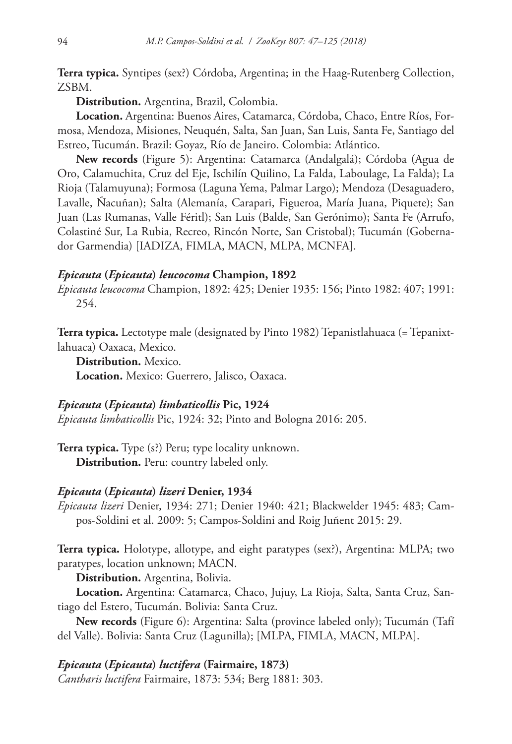**Terra typica.** Syntipes (sex?) Córdoba, Argentina; in the Haag-Rutenberg Collection, ZSBM.

**Distribution.** Argentina, Brazil, Colombia.

**Location.** Argentina: Buenos Aires, Catamarca, Córdoba, Chaco, Entre Ríos, Formosa, Mendoza, Misiones, Neuquén, Salta, San Juan, San Luis, Santa Fe, Santiago del Estreo, Tucumán. Brazil: Goyaz, Río de Janeiro. Colombia: Atlántico.

**New records** (Figure 5): Argentina: Catamarca (Andalgalá); Córdoba (Agua de Oro, Calamuchita, Cruz del Eje, Ischilín Quilino, La Falda, Laboulage, La Falda); La Rioja (Talamuyuna); Formosa (Laguna Yema, Palmar Largo); Mendoza (Desaguadero, Lavalle, Ñacuñan); Salta (Alemanía, Carapari, Figueroa, María Juana, Piquete); San Juan (Las Rumanas, Valle Féritl); San Luis (Balde, San Gerónimo); Santa Fe (Arrufo, Colastiné Sur, La Rubia, Recreo, Rincón Norte, San Cristobal); Tucumán (Gobernador Garmendia) [IADIZA, FIMLA, MACN, MLPA, MCNFA].

#### *Epicauta* **(***Epicauta***)** *leucocoma* **Champion, 1892**

*Epicauta leucocoma* Champion, 1892: 425; Denier 1935: 156; Pinto 1982: 407; 1991: 254.

**Terra typica.** Lectotype male (designated by Pinto 1982) Tepanistlahuaca (= Tepanixtlahuaca) Oaxaca, Mexico.

**Distribution.** Mexico. **Location.** Mexico: Guerrero, Jalisco, Oaxaca.

#### *Epicauta* **(***Epicauta***)** *limbaticollis* **Pic, 1924**

*Epicauta limbaticollis* Pic, 1924: 32; Pinto and Bologna 2016: 205.

**Terra typica.** Type (s?) Peru; type locality unknown. **Distribution.** Peru: country labeled only.

#### *Epicauta* **(***Epicauta***)** *lizeri* **Denier, 1934**

*Epicauta lizeri* Denier, 1934: 271; Denier 1940: 421; Blackwelder 1945: 483; Campos-Soldini et al. 2009: 5; Campos-Soldini and Roig Juñent 2015: 29.

**Terra typica.** Holotype, allotype, and eight paratypes (sex?), Argentina: MLPA; two paratypes, location unknown; MACN.

**Distribution.** Argentina, Bolivia.

**Location.** Argentina: Catamarca, Chaco, Jujuy, La Rioja, Salta, Santa Cruz, Santiago del Estero, Tucumán. Bolivia: Santa Cruz.

**New records** (Figure 6): Argentina: Salta (province labeled only); Tucumán (Tafí del Valle). Bolivia: Santa Cruz (Lagunilla); [MLPA, FIMLA, MACN, MLPA].

#### *Epicauta* **(***Epicauta***)** *luctifera* **(Fairmaire, 1873)**

*Cantharis luctifera* Fairmaire, 1873: 534; Berg 1881: 303.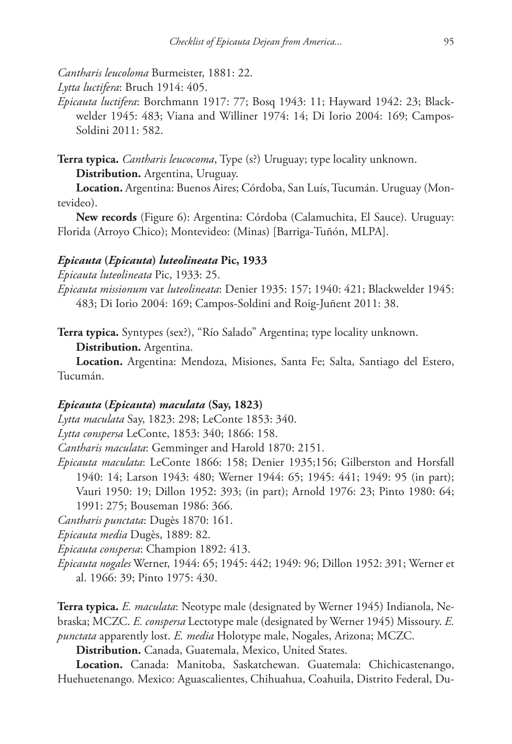*Cantharis leucoloma* Burmeister, 1881: 22.

*Lytta luctifera*: Bruch 1914: 405.

*Epicauta luctifera*: Borchmann 1917: 77; Bosq 1943: 11; Hayward 1942: 23; Blackwelder 1945: 483; Viana and Williner 1974: 14; Di Iorio 2004: 169; Campos-Soldini 2011: 582.

**Terra typica.** *Cantharis leucocoma*, Type (s?) Uruguay; type locality unknown.

**Distribution.** Argentina, Uruguay.

**Location.** Argentina: Buenos Aires; Córdoba, San Luís, Tucumán. Uruguay (Montevideo).

**New records** (Figure 6): Argentina: Córdoba (Calamuchita, El Sauce). Uruguay: Florida (Arroyo Chico); Montevideo: (Minas) [Barriga-Tuñón, MLPA].

#### *Epicauta* **(***Epicauta***)** *luteolineata* **Pic, 1933**

*Epicauta luteolineata* Pic, 1933: 25.

*Epicauta missionum* var *luteolineata*: Denier 1935: 157; 1940: 421; Blackwelder 1945: 483; Di Iorio 2004: 169; Campos-Soldini and Roig-Juñent 2011: 38.

**Terra typica.** Syntypes (sex?), "Río Salado" Argentina; type locality unknown.

**Distribution.** Argentina.

**Location.** Argentina: Mendoza, Misiones, Santa Fe; Salta, Santiago del Estero, Tucumán.

#### *Epicauta* **(***Epicauta***)** *maculata* **(Say, 1823)**

*Lytta maculata* Say, 1823: 298; LeConte 1853: 340.

*Lytta conspersa* LeConte, 1853: 340; 1866: 158.

*Cantharis maculata*: Gemminger and Harold 1870: 2151.

*Epicauta maculata*: LeConte 1866: 158; Denier 1935;156; Gilberston and Horsfall 1940: 14; Larson 1943: 480; Werner 1944: 65; 1945: 441; 1949: 95 (in part); Vauri 1950: 19; Dillon 1952: 393; (in part); Arnold 1976: 23; Pinto 1980: 64; 1991: 275; Bouseman 1986: 366.

*Cantharis punctata*: Dugès 1870: 161.

*Epicauta media* Dugès, 1889: 82.

*Epicauta conspersa*: Champion 1892: 413.

*Epicauta nogales* Werner, 1944: 65; 1945: 442; 1949: 96; Dillon 1952: 391; Werner et al. 1966: 39; Pinto 1975: 430.

**Terra typica.** *E. maculata*: Neotype male (designated by Werner 1945) Indianola, Nebraska; MCZC. *E. conspersa* Lectotype male (designated by Werner 1945) Missoury. *E. punctata* apparently lost. *E. media* Holotype male, Nogales, Arizona; MCZC.

**Distribution.** Canada, Guatemala, Mexico, United States.

**Location.** Canada: Manitoba, Saskatchewan. Guatemala: Chichicastenango, Huehuetenango. Mexico: Aguascalientes, Chihuahua, Coahuila, Distrito Federal, Du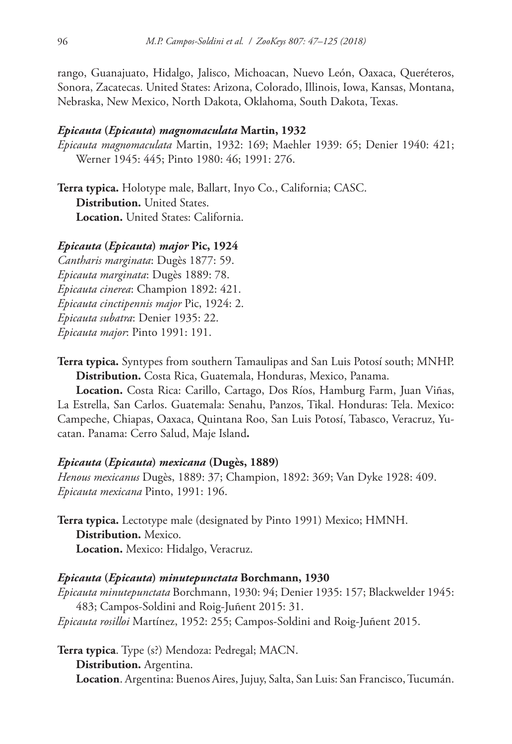rango, Guanajuato, Hidalgo, Jalisco, Michoacan, Nuevo León, Oaxaca, Queréteros, Sonora, Zacatecas. United States: Arizona, Colorado, Illinois, Iowa, Kansas, Montana, Nebraska, New Mexico, North Dakota, Oklahoma, South Dakota, Texas.

#### *Epicauta* **(***Epicauta***)** *magnomaculata* **Martin, 1932**

*Epicauta magnomaculata* Martin, 1932: 169; Maehler 1939: 65; Denier 1940: 421; Werner 1945: 445; Pinto 1980: 46; 1991: 276.

**Terra typica.** Holotype male, Ballart, Inyo Co., California; CASC. **Distribution.** United States. **Location.** United States: California.

## *Epicauta* **(***Epicauta***)** *major* **Pic, 1924**

*Cantharis marginata*: Dugès 1877: 59. *Epicauta marginata*: Dugès 1889: 78. *Epicauta cinerea*: Champion 1892: 421. *Epicauta cinctipennis major* Pic, 1924: 2. *Epicauta subatra*: Denier 1935: 22. *Epicauta major*: Pinto 1991: 191.

**Terra typica.** Syntypes from southern Tamaulipas and San Luis Potosí south; MNHP. **Distribution.** Costa Rica, Guatemala, Honduras, Mexico, Panama.

**Location.** Costa Rica: Carillo, Cartago, Dos Ríos, Hamburg Farm, Juan Viñas, La Estrella, San Carlos. Guatemala: Senahu, Panzos, Tikal. Honduras: Tela. Mexico: Campeche, Chiapas, Oaxaca, Quintana Roo, San Luis Potosí, Tabasco, Veracruz, Yucatan. Panama: Cerro Salud, Maje Island*.*

## *Epicauta* **(***Epicauta***)** *mexicana* **(Dugès, 1889)**

*Henous mexicanus* Dugès, 1889: 37; Champion, 1892: 369; Van Dyke 1928: 409. *Epicauta mexicana* Pinto, 1991: 196.

**Terra typica.** Lectotype male (designated by Pinto 1991) Mexico; HMNH. **Distribution.** Mexico. **Location.** Mexico: Hidalgo, Veracruz.

#### *Epicauta* **(***Epicauta***)** *minutepunctata* **Borchmann, 1930**

*Epicauta minutepunctata* Borchmann, 1930: 94; Denier 1935: 157; Blackwelder 1945: 483; Campos-Soldini and Roig-Juñent 2015: 31. *Epicauta rosilloi* Martínez, 1952: 255; Campos-Soldini and Roig-Juñent 2015.

**Terra typica**. Type (s?) Mendoza: Pedregal; MACN.

**Distribution.** Argentina.

**Location**. Argentina: Buenos Aires, Jujuy, Salta, San Luis: San Francisco, Tucumán.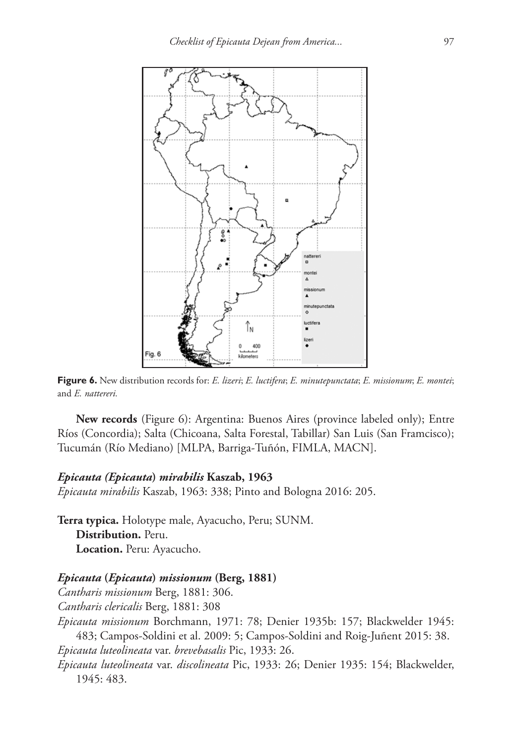

**Figure 6.** New distribution records for: *E. lizeri*; *E. luctifera*; *E. minutepunctata*; *E. missionum*; *E. montei*; and *E. nattereri.*

**New records** (Figure 6): Argentina: Buenos Aires (province labeled only); Entre Ríos (Concordia); Salta (Chicoana, Salta Forestal, Tabillar) San Luis (San Framcisco); Tucumán (Río Mediano) [MLPA, Barriga-Tuñón, FIMLA, MACN].

#### *Epicauta (Epicauta***)** *mirabilis* **Kaszab, 1963**

*Epicauta mirabilis* Kaszab, 1963: 338; Pinto and Bologna 2016: 205.

**Terra typica.** Holotype male, Ayacucho, Peru; SUNM. **Distribution.** Peru. **Location.** Peru: Ayacucho.

#### *Epicauta* **(***Epicauta***)** *missionum* **(Berg, 1881)**

*Cantharis missionum* Berg, 1881: 306.

*Cantharis clericalis* Berg, 1881: 308

*Epicauta missionum* Borchmann, 1971: 78; Denier 1935b: 157; Blackwelder 1945: 483; Campos-Soldini et al. 2009: 5; Campos-Soldini and Roig-Juñent 2015: 38. *Epicauta luteolineata* var. *brevebasalis* Pic, 1933: 26.

*Epicauta luteolineata* var. *discolineata* Pic, 1933: 26; Denier 1935: 154; Blackwelder, 1945: 483.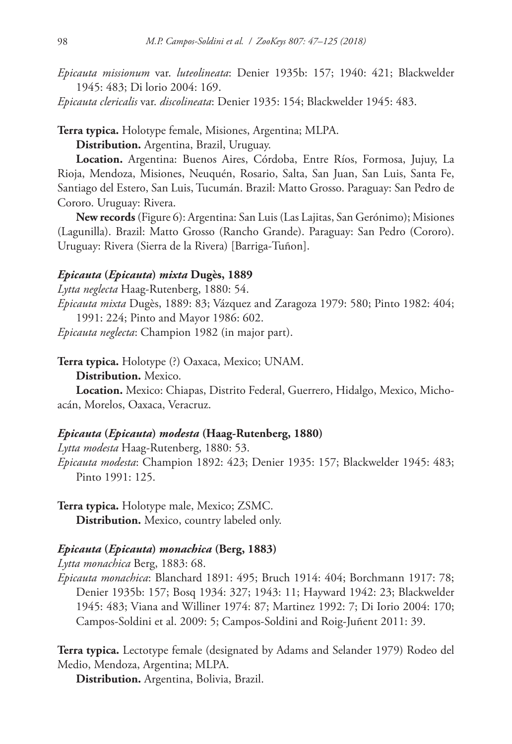*Epicauta missionum* var. *luteolineata*: Denier 1935b: 157; 1940: 421; Blackwelder 1945: 483; Di lorio 2004: 169.

*Epicauta clericalis* var. *discolineata*: Denier 1935: 154; Blackwelder 1945: 483.

**Terra typica.** Holotype female, Misiones, Argentina; MLPA.

**Distribution.** Argentina, Brazil, Uruguay.

**Location.** Argentina: Buenos Aires, Córdoba, Entre Ríos, Formosa, Jujuy, La Rioja, Mendoza, Misiones, Neuquén, Rosario, Salta, San Juan, San Luis, Santa Fe, Santiago del Estero, San Luis, Tucumán. Brazil: Matto Grosso. Paraguay: San Pedro de Cororo. Uruguay: Rivera.

**New records** (Figure 6): Argentina: San Luis (Las Lajitas, San Gerónimo); Misiones (Lagunilla). Brazil: Matto Grosso (Rancho Grande). Paraguay: San Pedro (Cororo). Uruguay: Rivera (Sierra de la Rivera) [Barriga-Tuñon].

#### *Epicauta* **(***Epicauta***)** *mixta* **Dugès, 1889**

*Lytta neglecta* Haag-Rutenberg, 1880: 54.

*Epicauta mixta* Dugès, 1889: 83; Vázquez and Zaragoza 1979: 580; Pinto 1982: 404; 1991: 224; Pinto and Mayor 1986: 602.

*Epicauta neglecta*: Champion 1982 (in major part).

**Terra typica.** Holotype (?) Oaxaca, Mexico; UNAM.

**Distribution.** Mexico.

**Location.** Mexico: Chiapas, Distrito Federal, Guerrero, Hidalgo, Mexico, Michoacán, Morelos, Oaxaca, Veracruz.

#### *Epicauta* **(***Epicauta***)** *modesta* **(Haag-Rutenberg, 1880)**

*Lytta modesta* Haag-Rutenberg, 1880: 53.

*Epicauta modesta*: Champion 1892: 423; Denier 1935: 157; Blackwelder 1945: 483; Pinto 1991: 125.

**Terra typica.** Holotype male, Mexico; ZSMC. **Distribution.** Mexico, country labeled only.

#### *Epicauta* **(***Epicauta***)** *monachica* **(Berg, 1883)**

*Lytta monachica* Berg, 1883: 68.

*Epicauta monachica*: Blanchard 1891: 495; Bruch 1914: 404; Borchmann 1917: 78; Denier 1935b: 157; Bosq 1934: 327; 1943: 11; Hayward 1942: 23; Blackwelder 1945: 483; Viana and Williner 1974: 87; Martinez 1992: 7; Di Iorio 2004: 170; Campos-Soldini et al. 2009: 5; Campos-Soldini and Roig-Juñent 2011: 39.

**Terra typica.** Lectotype female (designated by Adams and Selander 1979) Rodeo del Medio, Mendoza, Argentina; MLPA.

**Distribution.** Argentina, Bolivia, Brazil.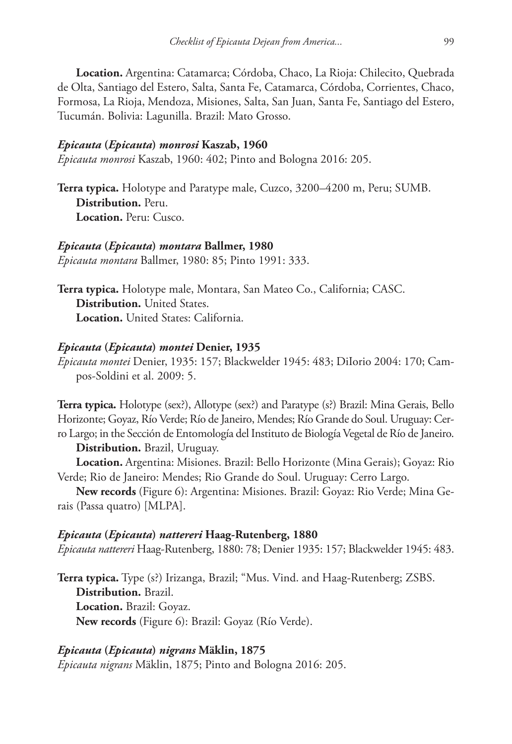**Location.** Argentina: Catamarca; Córdoba, Chaco, La Rioja: Chilecito, Quebrada de Olta, Santiago del Estero, Salta, Santa Fe, Catamarca, Córdoba, Corrientes, Chaco, Formosa, La Rioja, Mendoza, Misiones, Salta, San Juan, Santa Fe, Santiago del Estero, Tucumán. Bolivia: Lagunilla. Brazil: Mato Grosso.

#### *Epicauta* **(***Epicauta***)** *monrosi* **Kaszab, 1960**

*Epicauta monrosi* Kaszab, 1960: 402; Pinto and Bologna 2016: 205.

**Terra typica.** Holotype and Paratype male, Cuzco, 3200–4200 m, Peru; SUMB. **Distribution.** Peru. **Location.** Peru: Cusco.

#### *Epicauta* **(***Epicauta***)** *montara* **Ballmer, 1980**

*Epicauta montara* Ballmer, 1980: 85; Pinto 1991: 333.

**Terra typica.** Holotype male, Montara, San Mateo Co., California; CASC. **Distribution.** United States. **Location.** United States: California.

#### *Epicauta* **(***Epicauta***)** *montei* **Denier, 1935**

*Epicauta montei* Denier, 1935: 157; Blackwelder 1945: 483; DiIorio 2004: 170; Campos-Soldini et al. 2009: 5.

**Terra typica.** Holotype (sex?), Allotype (sex?) and Paratype (s?) Brazil: Mina Gerais, Bello Horizonte; Goyaz, Río Verde; Río de Janeiro, Mendes; Río Grande do Soul. Uruguay: Cerro Largo; in the Sección de Entomología del Instituto de Biología Vegetal de Río de Janeiro.

**Distribution.** Brazil, Uruguay.

**Location.** Argentina: Misiones. Brazil: Bello Horizonte (Mina Gerais); Goyaz: Rio Verde; Rio de Janeiro: Mendes; Rio Grande do Soul. Uruguay: Cerro Largo.

**New records** (Figure 6): Argentina: Misiones. Brazil: Goyaz: Rio Verde; Mina Gerais (Passa quatro) [MLPA].

#### *Epicauta* **(***Epicauta***)** *nattereri* **Haag-Rutenberg, 1880**

*Epicauta nattereri* Haag-Rutenberg, 1880: 78; Denier 1935: 157; Blackwelder 1945: 483.

**Terra typica.** Type (s?) Irizanga, Brazil; "Mus. Vind. and Haag-Rutenberg; ZSBS. **Distribution.** Brazil. **Location.** Brazil: Goyaz. **New records** (Figure 6): Brazil: Goyaz (Río Verde).

#### *Epicauta* **(***Epicauta***)** *nigrans* **Mäklin, 1875**

*Epicauta nigrans* Mäklin, 1875; Pinto and Bologna 2016: 205.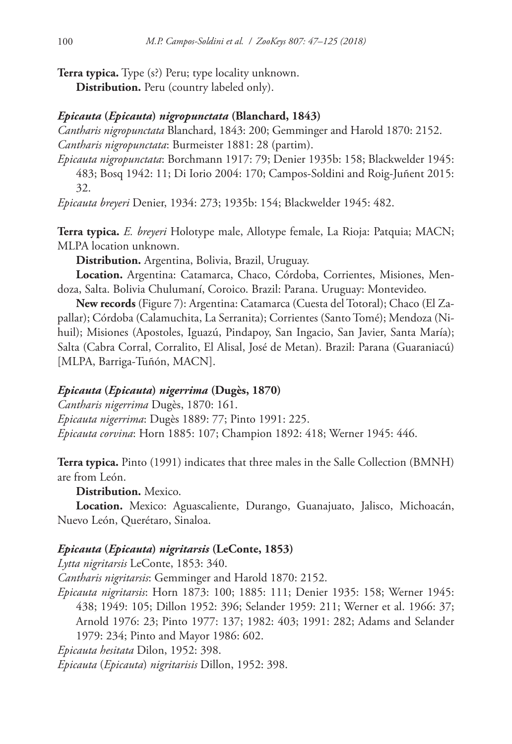**Terra typica.** Type (s?) Peru; type locality unknown.

**Distribution.** Peru (country labeled only).

## *Epicauta* **(***Epicauta***)** *nigropunctata* **(Blanchard, 1843)**

*Cantharis nigropunctata* Blanchard, 1843: 200; Gemminger and Harold 1870: 2152. *Cantharis nigropunctata*: Burmeister 1881: 28 (partim).

*Epicauta nigropunctata*: Borchmann 1917: 79; Denier 1935b: 158; Blackwelder 1945: 483; Bosq 1942: 11; Di Iorio 2004: 170; Campos-Soldini and Roig-Juñent 2015: 32.

*Epicauta breyeri* Denier, 1934: 273; 1935b: 154; Blackwelder 1945: 482.

**Terra typica.** *E. breyeri* Holotype male, Allotype female, La Rioja: Patquia; MACN; MLPA location unknown.

**Distribution.** Argentina, Bolivia, Brazil, Uruguay.

**Location.** Argentina: Catamarca, Chaco, Córdoba, Corrientes, Misiones, Mendoza, Salta. Bolivia Chulumaní, Coroico. Brazil: Parana. Uruguay: Montevideo.

**New records** (Figure 7): Argentina: Catamarca (Cuesta del Totoral); Chaco (El Zapallar); Córdoba (Calamuchita, La Serranita); Corrientes (Santo Tomé); Mendoza (Nihuil); Misiones (Apostoles, Iguazú, Pindapoy, San Ingacio, San Javier, Santa María); Salta (Cabra Corral, Corralito, El Alisal, José de Metan). Brazil: Parana (Guaraniacú) [MLPA, Barriga-Tuñón, MACN].

## *Epicauta* **(***Epicauta***)** *nigerrima* **(Dugès, 1870)**

*Cantharis nigerrima* Dugès, 1870: 161. *Epicauta nigerrima*: Dugès 1889: 77; Pinto 1991: 225.

*Epicauta corvina*: Horn 1885: 107; Champion 1892: 418; Werner 1945: 446.

**Terra typica.** Pinto (1991) indicates that three males in the Salle Collection (BMNH) are from León.

**Distribution.** Mexico.

**Location.** Mexico: Aguascaliente, Durango, Guanajuato, Jalisco, Michoacán, Nuevo León, Querétaro, Sinaloa.

## *Epicauta* **(***Epicauta***)** *nigritarsis* **(LeConte, 1853)**

*Lytta nigritarsis* LeConte, 1853: 340.

*Cantharis nigritarsis*: Gemminger and Harold 1870: 2152.

*Epicauta nigritarsis*: Horn 1873: 100; 1885: 111; Denier 1935: 158; Werner 1945: 438; 1949: 105; Dillon 1952: 396; Selander 1959: 211; Werner et al. 1966: 37; Arnold 1976: 23; Pinto 1977: 137; 1982: 403; 1991: 282; Adams and Selander 1979: 234; Pinto and Mayor 1986: 602.

*Epicauta hesitata* Dilon, 1952: 398.

*Epicauta* (*Epicauta*) *nigritarisis* Dillon, 1952: 398.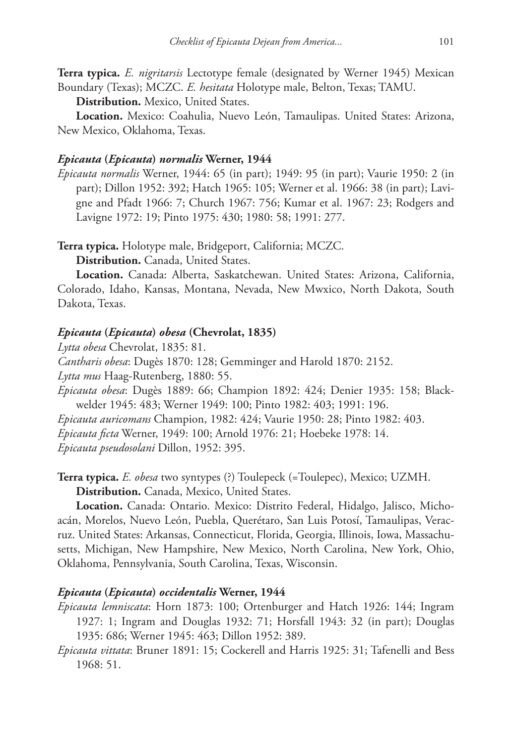**Terra typica.** *E. nigritarsis* Lectotype female (designated by Werner 1945) Mexican Boundary (Texas); MCZC. *E. hesitata* Holotype male, Belton, Texas; TAMU.

**Distribution.** Mexico, United States.

**Location.** Mexico: Coahulia, Nuevo León, Tamaulipas. United States: Arizona, New Mexico, Oklahoma, Texas.

#### *Epicauta* **(***Epicauta***)** *normalis* **Werner, 1944**

*Epicauta normalis* Werner, 1944: 65 (in part); 1949: 95 (in part); Vaurie 1950: 2 (in part); Dillon 1952: 392; Hatch 1965: 105; Werner et al. 1966: 38 (in part); Lavigne and Pfadt 1966: 7; Church 1967: 756; Kumar et al. 1967: 23; Rodgers and Lavigne 1972: 19; Pinto 1975: 430; 1980: 58; 1991: 277.

**Terra typica.** Holotype male, Bridgeport, California; MCZC.

**Distribution.** Canada, United States.

**Location.** Canada: Alberta, Saskatchewan. United States: Arizona, California, Colorado, Idaho, Kansas, Montana, Nevada, New Mwxico, North Dakota, South Dakota, Texas.

#### *Epicauta* **(***Epicauta***)** *obesa* **(Chevrolat, 1835)**

*Lytta obesa* Chevrolat, 1835: 81.

*Cantharis obesa*: Dugès 1870: 128; Gemminger and Harold 1870: 2152.

*Lytta mus* Haag-Rutenberg, 1880: 55.

*Epicauta obesa*: Dugès 1889: 66; Champion 1892: 424; Denier 1935: 158; Blackwelder 1945: 483; Werner 1949: 100; Pinto 1982: 403; 1991: 196.

*Epicauta auricomans* Champion, 1982: 424; Vaurie 1950: 28; Pinto 1982: 403.

*Epicauta ficta* Werner, 1949: 100; Arnold 1976: 21; Hoebeke 1978: 14.

*Epicauta pseudosolani* Dillon, 1952: 395.

**Terra typica.** *E. obesa* two syntypes (?) Toulepeck (=Toulepec), Mexico; UZMH. **Distribution.** Canada, Mexico, United States.

**Location.** Canada: Ontario. Mexico: Distrito Federal, Hidalgo, Jalisco, Michoacán, Morelos, Nuevo León, Puebla, Querétaro, San Luis Potosí, Tamaulipas, Veracruz. United States: Arkansas, Connecticut, Florida, Georgia, Illinois, Iowa, Massachusetts, Michigan, New Hampshire, New Mexico, North Carolina, New York, Ohio, Oklahoma, Pennsylvania, South Carolina, Texas, Wisconsin.

### *Epicauta* **(***Epicauta***)** *occidentalis* **Werner, 1944**

*Epicauta lemniscata*: Horn 1873: 100; Ortenburger and Hatch 1926: 144; Ingram 1927: 1; Ingram and Douglas 1932: 71; Horsfall 1943: 32 (in part); Douglas 1935: 686; Werner 1945: 463; Dillon 1952: 389.

*Epicauta vittata*: Bruner 1891: 15; Cockerell and Harris 1925: 31; Tafenelli and Bess 1968: 51.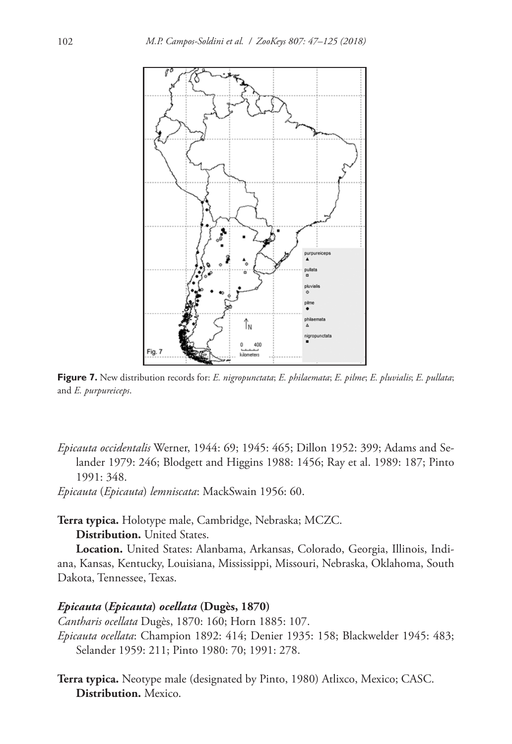

**Figure 7.** New distribution records for: *E. nigropunctata*; *E. philaemata*; *E. pilme*; *E. pluvialis*; *E. pullata*; and *E. purpureiceps*.

*Epicauta occidentalis* Werner, 1944: 69; 1945: 465; Dillon 1952: 399; Adams and Selander 1979: 246; Blodgett and Higgins 1988: 1456; Ray et al. 1989: 187; Pinto 1991: 348.

*Epicauta* (*Epicauta*) *lemniscata*: MackSwain 1956: 60.

**Terra typica.** Holotype male, Cambridge, Nebraska; MCZC.

**Distribution.** United States.

**Location.** United States: Alanbama, Arkansas, Colorado, Georgia, Illinois, Indiana, Kansas, Kentucky, Louisiana, Mississippi, Missouri, Nebraska, Oklahoma, South Dakota, Tennessee, Texas.

#### *Epicauta* **(***Epicauta***)** *ocellata* **(Dugès, 1870)**

*Cantharis ocellata* Dugès, 1870: 160; Horn 1885: 107. *Epicauta ocellata*: Champion 1892: 414; Denier 1935: 158; Blackwelder 1945: 483; Selander 1959: 211; Pinto 1980: 70; 1991: 278.

**Terra typica.** Neotype male (designated by Pinto, 1980) Atlixco, Mexico; CASC. **Distribution.** Mexico.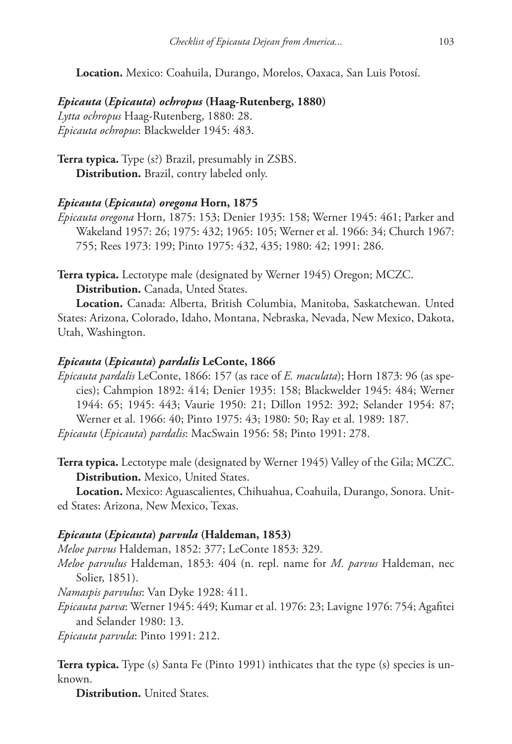**Location.** Mexico: Coahuila, Durango, Morelos, Oaxaca, San Luis Potosí.

*Epicauta* **(***Epicauta***)** *ochropus* **(Haag-Rutenberg, 1880)** *Lytta ochropus* Haag-Rutenberg, 1880: 28. *Epicauta ochropus*: Blackwelder 1945: 483.

**Terra typica.** Type (s?) Brazil, presumably in ZSBS. **Distribution.** Brazil, contry labeled only.

### *Epicauta* **(***Epicauta***)** *oregona* **Horn, 1875**

*Epicauta oregona* Horn, 1875: 153; Denier 1935: 158; Werner 1945: 461; Parker and Wakeland 1957: 26; 1975: 432; 1965: 105; Werner et al. 1966: 34; Church 1967: 755; Rees 1973: 199; Pinto 1975: 432, 435; 1980: 42; 1991: 286.

**Terra typica.** Lectotype male (designated by Werner 1945) Oregon; MCZC. **Distribution.** Canada, Unted States.

**Location.** Canada: Alberta, British Columbia, Manitoba, Saskatchewan. Unted States: Arizona, Colorado, Idaho, Montana, Nebraska, Nevada, New Mexico, Dakota, Utah, Washington.

#### *Epicauta* **(***Epicauta***)** *pardalis* **LeConte, 1866**

*Epicauta pardalis* LeConte, 1866: 157 (as race of *E. maculata*); Horn 1873: 96 (as species); Cahmpion 1892: 414; Denier 1935: 158; Blackwelder 1945: 484; Werner 1944: 65; 1945: 443; Vaurie 1950: 21; Dillon 1952: 392; Selander 1954: 87; Werner et al. 1966: 40; Pinto 1975: 43; 1980: 50; Ray et al. 1989: 187. *Epicauta* (*Epicauta*) *pardalis*: MacSwain 1956: 58; Pinto 1991: 278.

**Terra typica.** Lectotype male (designated by Werner 1945) Valley of the Gila; MCZC. **Distribution.** Mexico, United States.

**Location.** Mexico: Aguascalientes, Chihuahua, Coahuila, Durango, Sonora. United States: Arizona, New Mexico, Texas.

#### *Epicauta* **(***Epicauta***)** *parvula* **(Haldeman, 1853)**

*Meloe parvus* Haldeman, 1852: 377; LeConte 1853: 329.

*Meloe parvulus* Haldeman, 1853: 404 (n. repl. name for *M. parvus* Haldeman, nec Solier, 1851).

*Namaspis parvulus*: Van Dyke 1928: 411.

*Epicauta parva*: Werner 1945: 449; Kumar et al. 1976: 23; Lavigne 1976: 754; Agafitei and Selander 1980: 13.

*Epicauta parvula*: Pinto 1991: 212.

**Terra typica.** Type (s) Santa Fe (Pinto 1991) inthicates that the type (s) species is unknown.

**Distribution.** United States.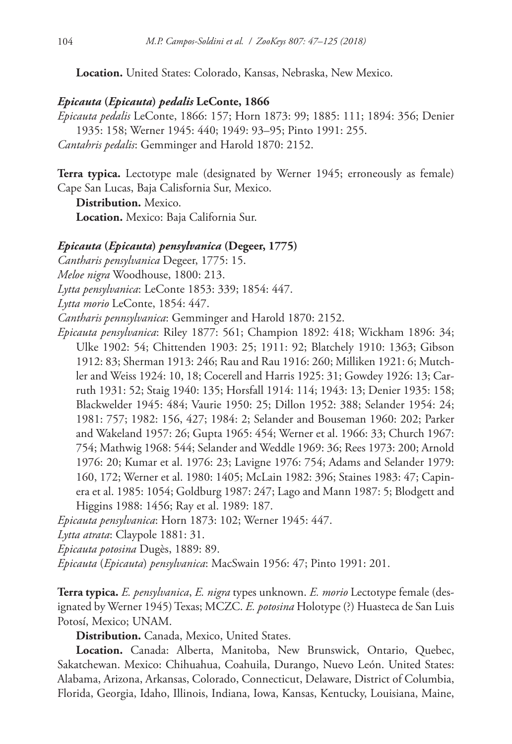**Location.** United States: Colorado, Kansas, Nebraska, New Mexico.

#### *Epicauta* **(***Epicauta***)** *pedalis* **LeConte, 1866**

*Epicauta pedalis* LeConte, 1866: 157; Horn 1873: 99; 1885: 111; 1894: 356; Denier 1935: 158; Werner 1945: 440; 1949: 93–95; Pinto 1991: 255. *Cantahris pedalis*: Gemminger and Harold 1870: 2152.

**Terra typica.** Lectotype male (designated by Werner 1945; erroneously as female) Cape San Lucas, Baja Calisfornia Sur, Mexico.

**Distribution.** Mexico.

**Location.** Mexico: Baja California Sur.

#### *Epicauta* **(***Epicauta***)** *pensylvanica* **(Degeer, 1775)**

*Cantharis pensylvanica* Degeer, 1775: 15.

*Meloe nigra* Woodhouse, 1800: 213.

*Lytta pensylvanica*: LeConte 1853: 339; 1854: 447.

*Lytta morio* LeConte, 1854: 447.

*Cantharis pennsylvanica*: Gemminger and Harold 1870: 2152.

*Epicauta pensylvanica*: Riley 1877: 561; Champion 1892: 418; Wickham 1896: 34; Ulke 1902: 54; Chittenden 1903: 25; 1911: 92; Blatchely 1910: 1363; Gibson 1912: 83; Sherman 1913: 246; Rau and Rau 1916: 260; Milliken 1921: 6; Mutchler and Weiss 1924: 10, 18; Cocerell and Harris 1925: 31; Gowdey 1926: 13; Carruth 1931: 52; Staig 1940: 135; Horsfall 1914: 114; 1943: 13; Denier 1935: 158; Blackwelder 1945: 484; Vaurie 1950: 25; Dillon 1952: 388; Selander 1954: 24; 1981: 757; 1982: 156, 427; 1984: 2; Selander and Bouseman 1960: 202; Parker and Wakeland 1957: 26; Gupta 1965: 454; Werner et al. 1966: 33; Church 1967: 754; Mathwig 1968: 544; Selander and Weddle 1969: 36; Rees 1973: 200; Arnold 1976: 20; Kumar et al. 1976: 23; Lavigne 1976: 754; Adams and Selander 1979: 160, 172; Werner et al. 1980: 1405; McLain 1982: 396; Staines 1983: 47; Capinera et al. 1985: 1054; Goldburg 1987: 247; Lago and Mann 1987: 5; Blodgett and Higgins 1988: 1456; Ray et al. 1989: 187.

*Epicauta pensylvanica*: Horn 1873: 102; Werner 1945: 447.

*Lytta atrata*: Claypole 1881: 31.

*Epicauta potosina* Dugès, 1889: 89.

*Epicauta* (*Epicauta*) *pensylvanica*: MacSwain 1956: 47; Pinto 1991: 201.

**Terra typica.** *E. pensylvanica*, *E. nigra* types unknown. *E. morio* Lectotype female (designated by Werner 1945) Texas; MCZC. *E. potosina* Holotype (?) Huasteca de San Luis Potosí, Mexico; UNAM.

**Distribution.** Canada, Mexico, United States.

**Location.** Canada: Alberta, Manitoba, New Brunswick, Ontario, Quebec, Sakatchewan. Mexico: Chihuahua, Coahuila, Durango, Nuevo León. United States: Alabama, Arizona, Arkansas, Colorado, Connecticut, Delaware, District of Columbia, Florida, Georgia, Idaho, Illinois, Indiana, Iowa, Kansas, Kentucky, Louisiana, Maine,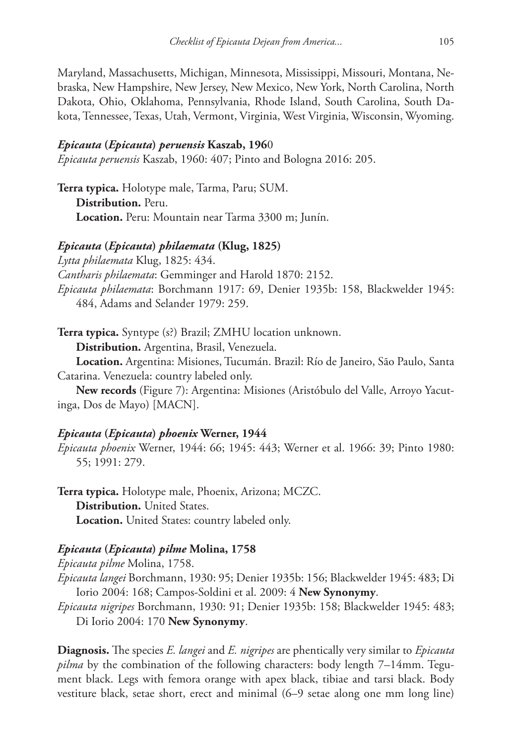Maryland, Massachusetts, Michigan, Minnesota, Mississippi, Missouri, Montana, Nebraska, New Hampshire, New Jersey, New Mexico, New York, North Carolina, North Dakota, Ohio, Oklahoma, Pennsylvania, Rhode Island, South Carolina, South Dakota, Tennessee, Texas, Utah, Vermont, Virginia, West Virginia, Wisconsin, Wyoming.

#### *Epicauta* **(***Epicauta***)** *peruensis* **Kaszab, 196**0

*Epicauta peruensis* Kaszab, 1960: 407; Pinto and Bologna 2016: 205.

**Terra typica.** Holotype male, Tarma, Paru; SUM. **Distribution.** Peru. **Location.** Peru: Mountain near Tarma 3300 m; Junín.

#### *Epicauta* **(***Epicauta***)** *philaemata* **(Klug, 1825)**

*Lytta philaemata* Klug, 1825: 434.

*Cantharis philaemata*: Gemminger and Harold 1870: 2152.

*Epicauta philaemata*: Borchmann 1917: 69, Denier 1935b: 158, Blackwelder 1945: 484, Adams and Selander 1979: 259.

**Terra typica.** Syntype (s?) Brazil; ZMHU location unknown.

**Distribution.** Argentina, Brasil, Venezuela.

**Location.** Argentina: Misiones, Tucumán. Brazil: Río de Janeiro, São Paulo, Santa Catarina. Venezuela: country labeled only.

**New records** (Figure 7): Argentina: Misiones (Aristóbulo del Valle, Arroyo Yacutinga, Dos de Mayo) [MACN].

#### *Epicauta* **(***Epicauta***)** *phoenix* **Werner, 1944**

*Epicauta phoenix* Werner, 1944: 66; 1945: 443; Werner et al. 1966: 39; Pinto 1980: 55; 1991: 279.

**Terra typica.** Holotype male, Phoenix, Arizona; MCZC. **Distribution.** United States. **Location.** United States: country labeled only.

#### *Epicauta* **(***Epicauta***)** *pilme* **Molina, 1758**

*Epicauta pilme* Molina, 1758.

*Epicauta langei* Borchmann, 1930: 95; Denier 1935b: 156; Blackwelder 1945: 483; Di Iorio 2004: 168; Campos-Soldini et al. 2009: 4 **New Synonymy**.

*Epicauta nigripes* Borchmann, 1930: 91; Denier 1935b: 158; Blackwelder 1945: 483; Di Iorio 2004: 170 **New Synonymy**.

**Diagnosis.** The species *E. langei* and *E. nigripes* are phentically very similar to *Epicauta pilma* by the combination of the following characters: body length 7–14mm. Tegument black. Legs with femora orange with apex black, tibiae and tarsi black. Body vestiture black, setae short, erect and minimal (6–9 setae along one mm long line)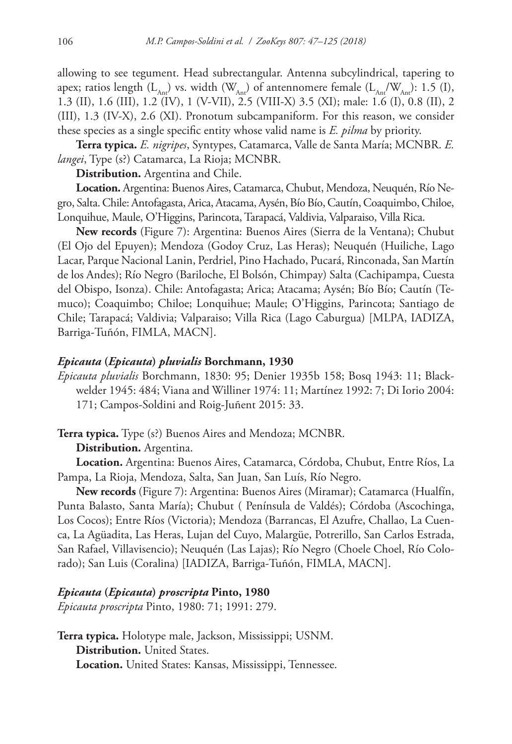allowing to see tegument. Head subrectangular. Antenna subcylindrical, tapering to apex; ratios length  $(L_{\text{Ant}})$  vs. width  $(W_{\text{Ant}})$  of antennomere female  $(L_{\text{Ant}}/W_{\text{Ant}}): 1.5$  (I), 1.3 (II), 1.6 (III), 1.2 (IV), 1 (V-VII), 2.5 (VIII-X) 3.5 (XI); male: 1.6 (I), 0.8 (II), 2 (III), 1.3 (IV-X), 2.6 (XI). Pronotum subcampaniform. For this reason, we consider these species as a single specific entity whose valid name is *E. pilma* by priority.

**Terra typica.** *E. nigripes*, Syntypes, Catamarca, Valle de Santa María; MCNBR. *E. langei*, Type (s?) Catamarca, La Rioja; MCNBR.

**Distribution.** Argentina and Chile.

**Location.** Argentina: Buenos Aires, Catamarca, Chubut, Mendoza, Neuquén, Río Negro, Salta. Chile: Antofagasta, Arica, Atacama, Aysén, Bío Bío, Cautín, Coaquimbo, Chiloe, Lonquihue, Maule, O'Higgins, Parincota, Tarapacá, Valdivia, Valparaiso, Villa Rica.

**New records** (Figure 7): Argentina: Buenos Aires (Sierra de la Ventana); Chubut (El Ojo del Epuyen); Mendoza (Godoy Cruz, Las Heras); Neuquén (Huiliche, Lago Lacar, Parque Nacional Lanin, Perdriel, Pino Hachado, Pucará, Rinconada, San Martín de los Andes); Río Negro (Bariloche, El Bolsón, Chimpay) Salta (Cachipampa, Cuesta del Obispo, Isonza). Chile: Antofagasta; Arica; Atacama; Aysén; Bío Bío; Cautín (Temuco); Coaquimbo; Chiloe; Lonquihue; Maule; O'Higgins, Parincota; Santiago de Chile; Tarapacá; Valdivia; Valparaiso; Villa Rica (Lago Caburgua) [MLPA, IADIZA, Barriga-Tuñón, FIMLA, MACN].

## *Epicauta* **(***Epicauta***)** *pluvialis* **Borchmann, 1930**

*Epicauta pluvialis* Borchmann, 1830: 95; Denier 1935b 158; Bosq 1943: 11; Blackwelder 1945: 484; Viana and Williner 1974: 11; Martínez 1992: 7; Di Iorio 2004: 171; Campos-Soldini and Roig-Juñent 2015: 33.

## **Terra typica.** Type (s?) Buenos Aires and Mendoza; MCNBR.

## **Distribution.** Argentina.

**Location.** Argentina: Buenos Aires, Catamarca, Córdoba, Chubut, Entre Ríos, La Pampa, La Rioja, Mendoza, Salta, San Juan, San Luís, Río Negro.

**New records** (Figure 7): Argentina: Buenos Aires (Miramar); Catamarca (Hualfín, Punta Balasto, Santa María); Chubut ( Península de Valdés); Córdoba (Ascochinga, Los Cocos); Entre Ríos (Victoria); Mendoza (Barrancas, El Azufre, Challao, La Cuenca, La Agüadita, Las Heras, Lujan del Cuyo, Malargüe, Potrerillo, San Carlos Estrada, San Rafael, Villavisencio); Neuquén (Las Lajas); Río Negro (Choele Choel, Río Colorado); San Luis (Coralina) [IADIZA, Barriga-Tuñón, FIMLA, MACN].

## *Epicauta* **(***Epicauta***)** *proscripta* **Pinto, 1980**

*Epicauta proscripta* Pinto, 1980: 71; 1991: 279.

**Terra typica.** Holotype male, Jackson, Mississippi; USNM. **Distribution.** United States. **Location.** United States: Kansas, Mississippi, Tennessee.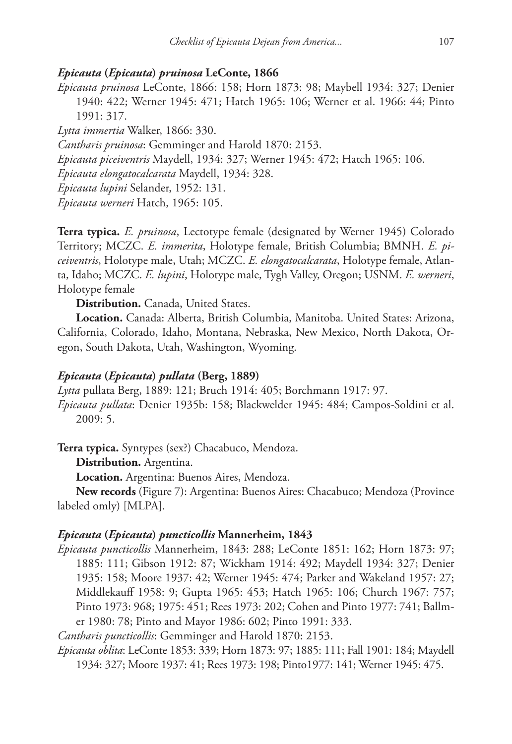### *Epicauta* **(***Epicauta***)** *pruinosa* **LeConte, 1866**

*Epicauta pruinosa* LeConte, 1866: 158; Horn 1873: 98; Maybell 1934: 327; Denier 1940: 422; Werner 1945: 471; Hatch 1965: 106; Werner et al. 1966: 44; Pinto 1991: 317.

*Lytta immertia* Walker, 1866: 330.

*Cantharis pruinosa*: Gemminger and Harold 1870: 2153.

*Epicauta piceiventris* Maydell, 1934: 327; Werner 1945: 472; Hatch 1965: 106.

*Epicauta elongatocalcarata* Maydell, 1934: 328.

*Epicauta lupini* Selander, 1952: 131.

*Epicauta werneri* Hatch, 1965: 105.

**Terra typica.** *E. pruinosa*, Lectotype female (designated by Werner 1945) Colorado Territory; MCZC. *E. immerita*, Holotype female, British Columbia; BMNH. *E. piceiventris*, Holotype male, Utah; MCZC. *E. elongatocalcarata*, Holotype female, Atlanta, Idaho; MCZC. *E. lupini*, Holotype male, Tygh Valley, Oregon; USNM. *E. werneri*, Holotype female

**Distribution.** Canada, United States.

**Location.** Canada: Alberta, British Columbia, Manitoba. United States: Arizona, California, Colorado, Idaho, Montana, Nebraska, New Mexico, North Dakota, Oregon, South Dakota, Utah, Washington, Wyoming.

#### *Epicauta* **(***Epicauta***)** *pullata* **(Berg, 1889)**

*Lytta* pullata Berg, 1889: 121; Bruch 1914: 405; Borchmann 1917: 97. *Epicauta pullata*: Denier 1935b: 158; Blackwelder 1945: 484; Campos-Soldini et al. 2009: 5.

**Terra typica.** Syntypes (sex?) Chacabuco, Mendoza.

**Distribution.** Argentina.

**Location.** Argentina: Buenos Aires, Mendoza.

**New records** (Figure 7): Argentina: Buenos Aires: Chacabuco; Mendoza (Province labeled omly) [MLPA].

### *Epicauta* **(***Epicauta***)** *puncticollis* **Mannerheim, 1843**

*Epicauta puncticollis* Mannerheim, 1843: 288; LeConte 1851: 162; Horn 1873: 97; 1885: 111; Gibson 1912: 87; Wickham 1914: 492; Maydell 1934: 327; Denier 1935: 158; Moore 1937: 42; Werner 1945: 474; Parker and Wakeland 1957: 27; Middlekauff 1958: 9; Gupta 1965: 453; Hatch 1965: 106; Church 1967: 757; Pinto 1973: 968; 1975: 451; Rees 1973: 202; Cohen and Pinto 1977: 741; Ballmer 1980: 78; Pinto and Mayor 1986: 602; Pinto 1991: 333.

*Cantharis puncticollis*: Gemminger and Harold 1870: 2153.

*Epicauta oblita*: LeConte 1853: 339; Horn 1873: 97; 1885: 111; Fall 1901: 184; Maydell 1934: 327; Moore 1937: 41; Rees 1973: 198; Pinto1977: 141; Werner 1945: 475.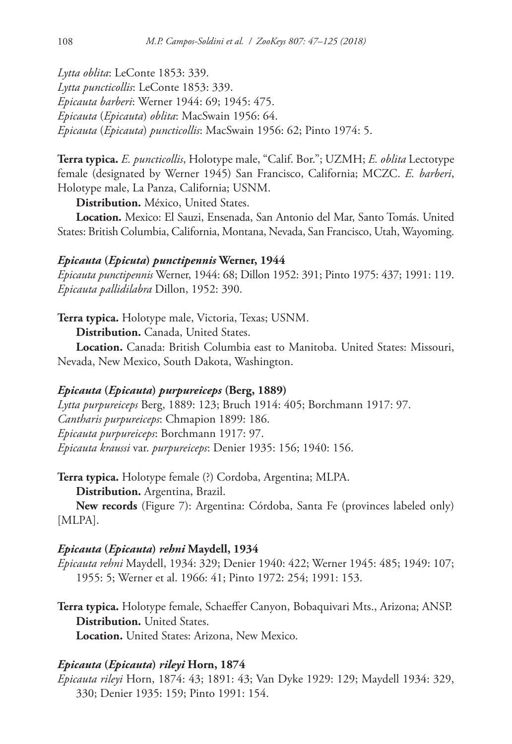*Lytta oblita*: LeConte 1853: 339. *Lytta puncticollis*: LeConte 1853: 339. *Epicauta barberi*: Werner 1944: 69; 1945: 475. *Epicauta* (*Epicauta*) *oblita*: MacSwain 1956: 64. *Epicauta* (*Epicauta*) *puncticollis*: MacSwain 1956: 62; Pinto 1974: 5.

**Terra typica.** *E. puncticollis*, Holotype male, "Calif. Bor."; UZMH; *E. oblita* Lectotype female (designated by Werner 1945) San Francisco, California; MCZC. *E. barberi*, Holotype male, La Panza, California; USNM.

**Distribution.** México, United States.

**Location.** Mexico: El Sauzi, Ensenada, San Antonio del Mar, Santo Tomás. United States: British Columbia, California, Montana, Nevada, San Francisco, Utah, Wayoming.

## *Epicauta* **(***Epicuta***)** *punctipennis* **Werner, 1944**

*Epicauta punctipennis* Werner, 1944: 68; Dillon 1952: 391; Pinto 1975: 437; 1991: 119. *Epicauta pallidilabra* Dillon, 1952: 390.

**Terra typica.** Holotype male, Victoria, Texas; USNM.

**Distribution.** Canada, United States.

**Location.** Canada: British Columbia east to Manitoba. United States: Missouri, Nevada, New Mexico, South Dakota, Washington.

## *Epicauta* **(***Epicauta***)** *purpureiceps* **(Berg, 1889)**

*Lytta purpureiceps* Berg, 1889: 123; Bruch 1914: 405; Borchmann 1917: 97. *Cantharis purpureiceps*: Chmapion 1899: 186. *Epicauta purpureiceps*: Borchmann 1917: 97. *Epicauta kraussi* var. *purpureiceps*: Denier 1935: 156; 1940: 156.

**Terra typica.** Holotype female (?) Cordoba, Argentina; MLPA. **Distribution.** Argentina, Brazil.

**New records** (Figure 7): Argentina: Córdoba, Santa Fe (provinces labeled only) [MLPA].

#### *Epicauta* **(***Epicauta***)** *rehni* **Maydell, 1934**

*Epicauta rehni* Maydell, 1934: 329; Denier 1940: 422; Werner 1945: 485; 1949: 107; 1955: 5; Werner et al. 1966: 41; Pinto 1972: 254; 1991: 153.

**Terra typica.** Holotype female, Schaeffer Canyon, Bobaquivari Mts., Arizona; ANSP. **Distribution.** United States.

**Location.** United States: Arizona, New Mexico.

## *Epicauta* **(***Epicauta***)** *rileyi* **Horn, 1874**

*Epicauta rileyi* Horn, 1874: 43; 1891: 43; Van Dyke 1929: 129; Maydell 1934: 329, 330; Denier 1935: 159; Pinto 1991: 154.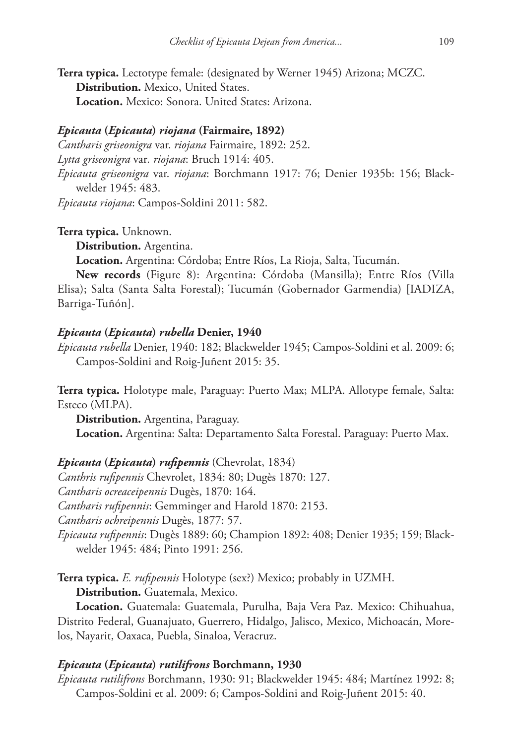**Terra typica.** Lectotype female: (designated by Werner 1945) Arizona; MCZC. **Distribution.** Mexico, United States. **Location.** Mexico: Sonora. United States: Arizona.

#### *Epicauta* **(***Epicauta***)** *riojana* **(Fairmaire, 1892)**

*Cantharis griseonigra* var. *riojana* Fairmaire, 1892: 252. *Lytta griseonigra* var*. riojana*: Bruch 1914: 405. *Epicauta griseonigra* var. *riojana*: Borchmann 1917: 76; Denier 1935b: 156; Black-

welder 1945: 483.

*Epicauta riojana*: Campos-Soldini 2011: 582.

**Terra typica.** Unknown.

**Distribution.** Argentina.

**Location.** Argentina: Córdoba; Entre Ríos, La Rioja, Salta, Tucumán.

**New records** (Figure 8): Argentina: Córdoba (Mansilla); Entre Ríos (Villa Elisa); Salta (Santa Salta Forestal); Tucumán (Gobernador Garmendia) [IADIZA, Barriga-Tuñón].

#### *Epicauta* **(***Epicauta***)** *rubella* **Denier, 1940**

*Epicauta rubella* Denier, 1940: 182; Blackwelder 1945; Campos-Soldini et al. 2009: 6; Campos-Soldini and Roig-Juñent 2015: 35.

**Terra typica.** Holotype male, Paraguay: Puerto Max; MLPA. Allotype female, Salta: Esteco (MLPA).

**Distribution.** Argentina, Paraguay. **Location.** Argentina: Salta: Departamento Salta Forestal. Paraguay: Puerto Max.

*Epicauta* **(***Epicauta***)** *rufipennis* (Chevrolat, 1834) *Canthris rufipennis* Chevrolet, 1834: 80; Dugès 1870: 127. *Cantharis ocreaceipennis* Dugès, 1870: 164. *Cantharis rufipennis*: Gemminger and Harold 1870: 2153. *Cantharis ochreipennis* Dugès, 1877: 57. *Epicauta rufipennis*: Dugès 1889: 60; Champion 1892: 408; Denier 1935; 159; Blackwelder 1945: 484; Pinto 1991: 256.

**Terra typica.** *E. rufipennis* Holotype (sex?) Mexico; probably in UZMH.

**Distribution.** Guatemala, Mexico.

**Location.** Guatemala: Guatemala, Purulha, Baja Vera Paz. Mexico: Chihuahua, Distrito Federal, Guanajuato, Guerrero, Hidalgo, Jalisco, Mexico, Michoacán, Morelos, Nayarit, Oaxaca, Puebla, Sinaloa, Veracruz.

#### *Epicauta* **(***Epicauta***)** *rutilifrons* **Borchmann, 1930**

*Epicauta rutilifrons* Borchmann, 1930: 91; Blackwelder 1945: 484; Martínez 1992: 8; Campos-Soldini et al. 2009: 6; Campos-Soldini and Roig-Juñent 2015: 40.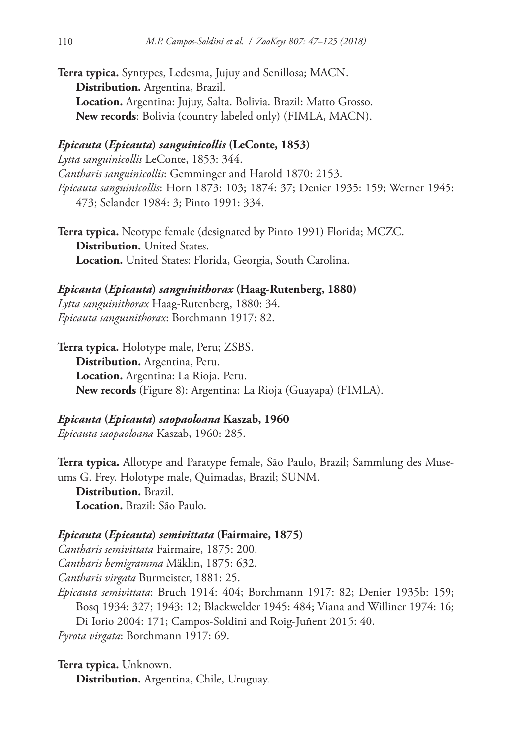**Terra typica.** Syntypes, Ledesma, Jujuy and Senillosa; MACN. **Distribution.** Argentina, Brazil. **Location.** Argentina: Jujuy, Salta. Bolivia. Brazil: Matto Grosso. **New records**: Bolivia (country labeled only) (FIMLA, MACN).

## *Epicauta* **(***Epicauta***)** *sanguinicollis* **(LeConte, 1853)**

*Lytta sanguinicollis* LeConte, 1853: 344. *Cantharis sanguinicollis*: Gemminger and Harold 1870: 2153. *Epicauta sanguinicollis*: Horn 1873: 103; 1874: 37; Denier 1935: 159; Werner 1945: 473; Selander 1984: 3; Pinto 1991: 334.

**Terra typica.** Neotype female (designated by Pinto 1991) Florida; MCZC. **Distribution.** United States. **Location.** United States: Florida, Georgia, South Carolina.

## *Epicauta* **(***Epicauta***)** *sanguinithorax* **(Haag-Rutenberg, 1880)** *Lytta sanguinithorax* Haag-Rutenberg, 1880: 34. *Epicauta sanguinithorax*: Borchmann 1917: 82.

**Terra typica.** Holotype male, Peru; ZSBS. **Distribution.** Argentina, Peru. **Location.** Argentina: La Rioja. Peru. **New records** (Figure 8): Argentina: La Rioja (Guayapa) (FIMLA).

## *Epicauta* **(***Epicauta***)** *saopaoloana* **Kaszab, 1960**

*Epicauta saopaoloana* Kaszab, 1960: 285.

**Terra typica.** Allotype and Paratype female, São Paulo, Brazil; Sammlung des Museums G. Frey. Holotype male, Quimadas, Brazil; SUNM.

**Distribution.** Brazil. **Location.** Brazil: São Paulo.

## *Epicauta* **(***Epicauta***)** *semivittata* **(Fairmaire, 1875)**

*Cantharis semivittata* Fairmaire, 1875: 200. *Cantharis hemigramma* Mäklin, 1875: 632. *Cantharis virgata* Burmeister, 1881: 25. *Epicauta semivittata*: Bruch 1914: 404; Borchmann 1917: 82; Denier 1935b: 159; Bosq 1934: 327; 1943: 12; Blackwelder 1945: 484; Viana and Williner 1974: 16;

Di Iorio 2004: 171; Campos-Soldini and Roig-Juñent 2015: 40. *Pyrota virgata*: Borchmann 1917: 69.

**Terra typica.** Unknown. **Distribution.** Argentina, Chile, Uruguay.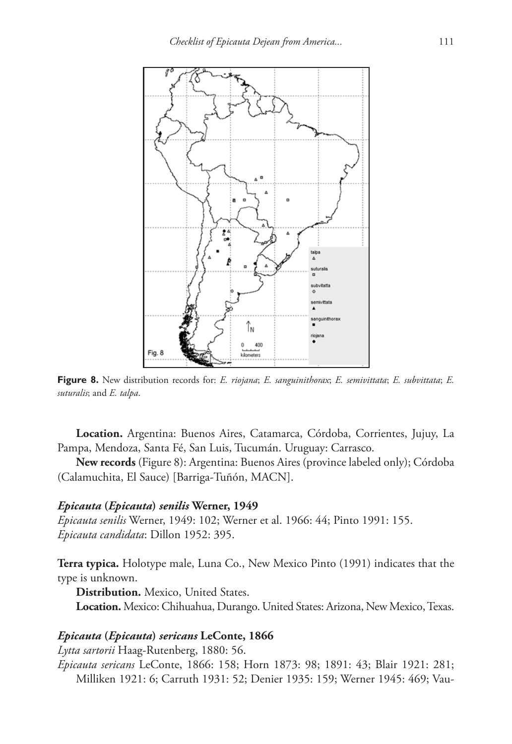

**Figure 8.** New distribution records for: *E. riojana*; *E. sanguinithorax*; *E. semivittata*; *E. subvittata*; *E. suturalis*; and *E. talpa*.

**Location.** Argentina: Buenos Aires, Catamarca, Córdoba, Corrientes, Jujuy, La Pampa, Mendoza, Santa Fé, San Luis, Tucumán. Uruguay: Carrasco.

**New records** (Figure 8): Argentina: Buenos Aires (province labeled only); Córdoba (Calamuchita, El Sauce) [Barriga-Tuñón, MACN].

#### *Epicauta* **(***Epicauta***)** *senilis* **Werner, 1949**

*Epicauta senilis* Werner, 1949: 102; Werner et al. 1966: 44; Pinto 1991: 155. *Epicauta candidata*: Dillon 1952: 395.

**Terra typica.** Holotype male, Luna Co., New Mexico Pinto (1991) indicates that the type is unknown.

**Distribution.** Mexico, United States.

**Location.** Mexico: Chihuahua, Durango. United States: Arizona, New Mexico, Texas.

## *Epicauta* **(***Epicauta***)** *sericans* **LeConte, 1866**

*Lytta sartorii* Haag-Rutenberg, 1880: 56.

*Epicauta sericans* LeConte, 1866: 158; Horn 1873: 98; 1891: 43; Blair 1921: 281; Milliken 1921: 6; Carruth 1931: 52; Denier 1935: 159; Werner 1945: 469; Vau-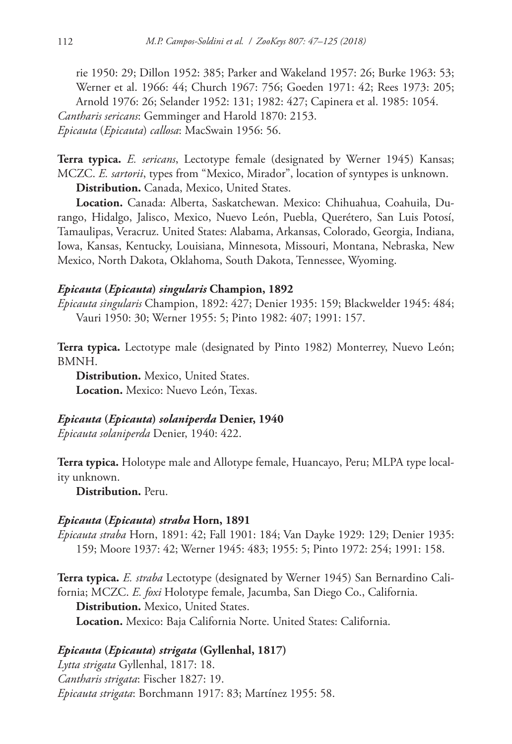rie 1950: 29; Dillon 1952: 385; Parker and Wakeland 1957: 26; Burke 1963: 53; Werner et al. 1966: 44; Church 1967: 756; Goeden 1971: 42; Rees 1973: 205; Arnold 1976: 26; Selander 1952: 131; 1982: 427; Capinera et al. 1985: 1054. *Cantharis sericans*: Gemminger and Harold 1870: 2153. *Epicauta* (*Epicauta*) *callosa*: MacSwain 1956: 56.

**Terra typica.** *E. sericans*, Lectotype female (designated by Werner 1945) Kansas; MCZC. *E. sartorii*, types from "Mexico, Mirador", location of syntypes is unknown.

**Distribution.** Canada, Mexico, United States.

**Location.** Canada: Alberta, Saskatchewan. Mexico: Chihuahua, Coahuila, Durango, Hidalgo, Jalisco, Mexico, Nuevo León, Puebla, Querétero, San Luis Potosí, Tamaulipas, Veracruz. United States: Alabama, Arkansas, Colorado, Georgia, Indiana, Iowa, Kansas, Kentucky, Louisiana, Minnesota, Missouri, Montana, Nebraska, New Mexico, North Dakota, Oklahoma, South Dakota, Tennessee, Wyoming.

#### *Epicauta* **(***Epicauta***)** *singularis* **Champion, 1892**

*Epicauta singularis* Champion, 1892: 427; Denier 1935: 159; Blackwelder 1945: 484; Vauri 1950: 30; Werner 1955: 5; Pinto 1982: 407; 1991: 157.

**Terra typica.** Lectotype male (designated by Pinto 1982) Monterrey, Nuevo León; BMNH.

**Distribution.** Mexico, United States. **Location.** Mexico: Nuevo León, Texas.

## *Epicauta* **(***Epicauta***)** *solaniperda* **Denier, 1940**

*Epicauta solaniperda* Denier, 1940: 422.

**Terra typica.** Holotype male and Allotype female, Huancayo, Peru; MLPA type locality unknown.

**Distribution.** Peru.

#### *Epicauta* **(***Epicauta***)** *straba* **Horn, 1891**

*Epicauta straba* Horn, 1891: 42; Fall 1901: 184; Van Dayke 1929: 129; Denier 1935: 159; Moore 1937: 42; Werner 1945: 483; 1955: 5; Pinto 1972: 254; 1991: 158.

**Terra typica.** *E. straba* Lectotype (designated by Werner 1945) San Bernardino California; MCZC. *E. foxi* Holotype female, Jacumba, San Diego Co., California. **Distribution.** Mexico, United States. **Location.** Mexico: Baja California Norte. United States: California.

## *Epicauta* **(***Epicauta***)** *strigata* **(Gyllenhal, 1817)**

*Lytta strigata* Gyllenhal, 1817: 18. *Cantharis strigata*: Fischer 1827: 19. *Epicauta strigata*: Borchmann 1917: 83; Martínez 1955: 58.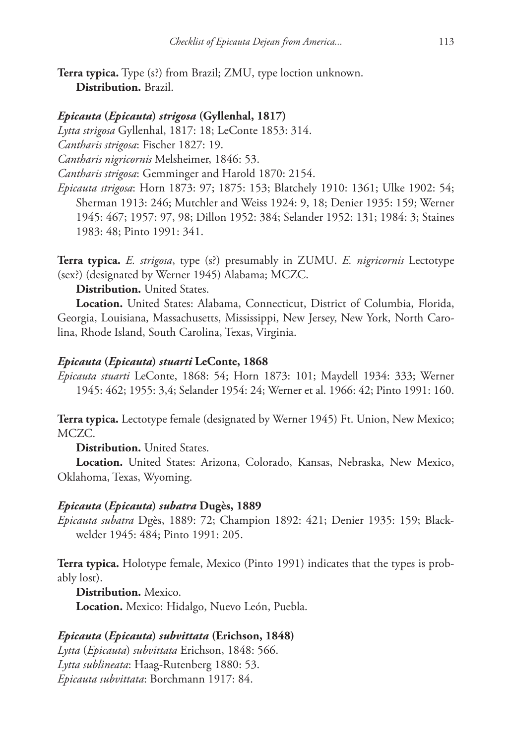**Terra typica.** Type (s?) from Brazil; ZMU, type loction unknown. **Distribution.** Brazil.

#### *Epicauta* **(***Epicauta***)** *strigosa* **(Gyllenhal, 1817)**

*Lytta strigosa* Gyllenhal, 1817: 18; LeConte 1853: 314.

*Cantharis strigosa*: Fischer 1827: 19.

*Cantharis nigricornis* Melsheimer, 1846: 53.

*Cantharis strigosa*: Gemminger and Harold 1870: 2154.

*Epicauta strigosa*: Horn 1873: 97; 1875: 153; Blatchely 1910: 1361; Ulke 1902: 54; Sherman 1913: 246; Mutchler and Weiss 1924: 9, 18; Denier 1935: 159; Werner 1945: 467; 1957: 97, 98; Dillon 1952: 384; Selander 1952: 131; 1984: 3; Staines 1983: 48; Pinto 1991: 341.

**Terra typica.** *E. strigosa*, type (s?) presumably in ZUMU. *E. nigricornis* Lectotype (sex?) (designated by Werner 1945) Alabama; MCZC.

**Distribution.** United States.

**Location.** United States: Alabama, Connecticut, District of Columbia, Florida, Georgia, Louisiana, Massachusetts, Mississippi, New Jersey, New York, North Carolina, Rhode Island, South Carolina, Texas, Virginia.

#### *Epicauta* **(***Epicauta***)** *stuarti* **LeConte, 1868**

*Epicauta stuarti* LeConte, 1868: 54; Horn 1873: 101; Maydell 1934: 333; Werner 1945: 462; 1955: 3,4; Selander 1954: 24; Werner et al. 1966: 42; Pinto 1991: 160.

**Terra typica.** Lectotype female (designated by Werner 1945) Ft. Union, New Mexico; MCZC.

**Distribution.** United States.

**Location.** United States: Arizona, Colorado, Kansas, Nebraska, New Mexico, Oklahoma, Texas, Wyoming.

#### *Epicauta* **(***Epicauta***)** *subatra* **Dugès, 1889**

*Epicauta subatra* Dgès, 1889: 72; Champion 1892: 421; Denier 1935: 159; Blackwelder 1945: 484; Pinto 1991: 205.

**Terra typica.** Holotype female, Mexico (Pinto 1991) indicates that the types is probably lost).

**Distribution.** Mexico. **Location.** Mexico: Hidalgo, Nuevo León, Puebla.

## *Epicauta* **(***Epicauta***)** *subvittata* **(Erichson, 1848)**

*Lytta* (*Epicauta*) *subvittata* Erichson, 1848: 566. *Lytta sublineata*: Haag-Rutenberg 1880: 53. *Epicauta subvittata*: Borchmann 1917: 84.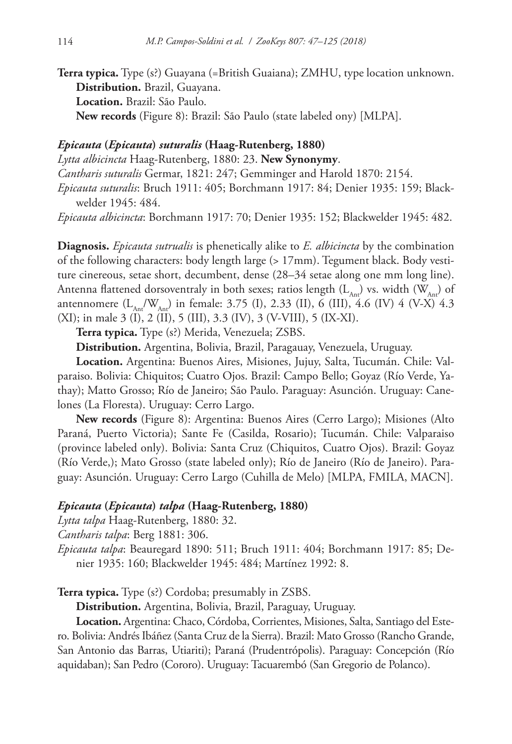**Terra typica.** Type (s?) Guayana (=British Guaiana); ZMHU, type location unknown. **Distribution.** Brazil, Guayana. **Location.** Brazil: São Paulo. **New records** (Figure 8): Brazil: São Paulo (state labeled ony) [MLPA].

## *Epicauta* **(***Epicauta***)** *suturalis* **(Haag-Rutenberg, 1880)**

*Lytta albicincta* Haag-Rutenberg, 1880: 23. **New Synonymy**. *Cantharis suturalis* Germar, 1821: 247; Gemminger and Harold 1870: 2154. *Epicauta suturalis*: Bruch 1911: 405; Borchmann 1917: 84; Denier 1935: 159; Blackwelder 1945: 484.

*Epicauta albicincta*: Borchmann 1917: 70; Denier 1935: 152; Blackwelder 1945: 482.

**Diagnosis.** *Epicauta sutrualis* is phenetically alike to *E. albicincta* by the combination of the following characters: body length large (> 17mm). Tegument black. Body vestiture cinereous, setae short, decumbent, dense (28–34 setae along one mm long line). Antenna flattened dorsoventraly in both sexes; ratios length  $(L_{\text{av}})$  vs. width  $(W_{\text{av}})$  of antennomere  $(L_{\text{Ar}}/W_{\text{Ar}})$  in female: 3.75 (I), 2.33 (II), 6 (III), 4.6 (IV) 4 (V-X) 4.3 (XI); in male 3 (I), 2 (II), 5 (III), 3.3 (IV), 3 (V-VIII), 5 (IX-XI).

**Terra typica.** Type (s?) Merida, Venezuela; ZSBS.

**Distribution.** Argentina, Bolivia, Brazil, Paragauay, Venezuela, Uruguay.

**Location.** Argentina: Buenos Aires, Misiones, Jujuy, Salta, Tucumán. Chile: Valparaiso. Bolivia: Chiquitos; Cuatro Ojos. Brazil: Campo Bello; Goyaz (Río Verde, Yathay); Matto Grosso; Río de Janeiro; São Paulo. Paraguay: Asunción. Uruguay: Canelones (La Floresta). Uruguay: Cerro Largo.

**New records** (Figure 8): Argentina: Buenos Aires (Cerro Largo); Misiones (Alto Paraná, Puerto Victoria); Sante Fe (Casilda, Rosario); Tucumán. Chile: Valparaiso (province labeled only). Bolivia: Santa Cruz (Chiquitos, Cuatro Ojos). Brazil: Goyaz (Río Verde,); Mato Grosso (state labeled only); Río de Janeiro (Río de Janeiro). Paraguay: Asunción. Uruguay: Cerro Largo (Cuhilla de Melo) [MLPA, FMILA, MACN].

#### *Epicauta* **(***Epicauta***)** *talpa* **(Haag-Rutenberg, 1880)**

*Lytta talpa* Haag-Rutenberg, 1880: 32.

*Cantharis talpa*: Berg 1881: 306.

*Epicauta talpa*: Beauregard 1890: 511; Bruch 1911: 404; Borchmann 1917: 85; Denier 1935: 160; Blackwelder 1945: 484; Martínez 1992: 8.

**Terra typica.** Type (s?) Cordoba; presumably in ZSBS.

**Distribution.** Argentina, Bolivia, Brazil, Paraguay, Uruguay.

**Location.** Argentina: Chaco, Córdoba, Corrientes, Misiones, Salta, Santiago del Estero. Bolivia: Andrés Ibáñez (Santa Cruz de la Sierra). Brazil: Mato Grosso (Rancho Grande, San Antonio das Barras, Utiariti); Paraná (Prudentrópolis). Paraguay: Concepción (Río aquidaban); San Pedro (Cororo). Uruguay: Tacuarembó (San Gregorio de Polanco).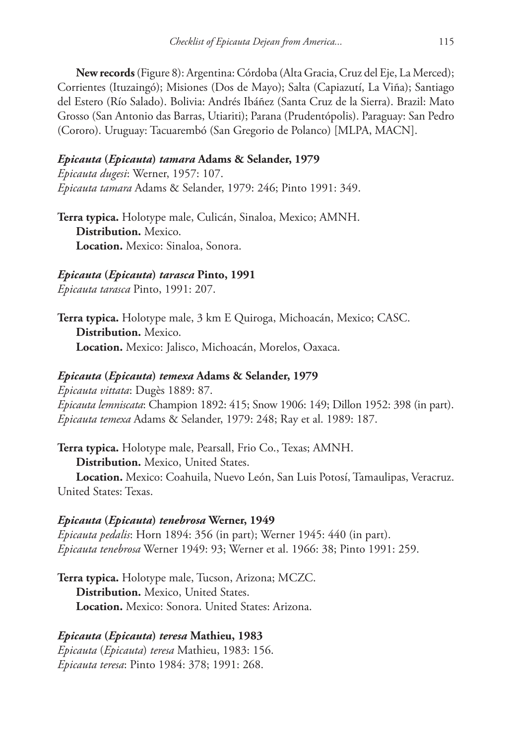**New records** (Figure 8): Argentina: Córdoba (Alta Gracia, Cruz del Eje, La Merced); Corrientes (Ituzaingó); Misiones (Dos de Mayo); Salta (Capiazutí, La Viña); Santiago del Estero (Río Salado). Bolivia: Andrés Ibáñez (Santa Cruz de la Sierra). Brazil: Mato Grosso (San Antonio das Barras, Utiariti); Parana (Prudentópolis). Paraguay: San Pedro (Cororo). Uruguay: Tacuarembó (San Gregorio de Polanco) [MLPA, MACN].

## *Epicauta* **(***Epicauta***)** *tamara* **Adams & Selander, 1979**

*Epicauta dugesi*: Werner, 1957: 107. *Epicauta tamara* Adams & Selander, 1979: 246; Pinto 1991: 349.

**Terra typica.** Holotype male, Culicán, Sinaloa, Mexico; AMNH. **Distribution.** Mexico. **Location.** Mexico: Sinaloa, Sonora.

## *Epicauta* **(***Epicauta***)** *tarasca* **Pinto, 1991**

*Epicauta tarasca* Pinto, 1991: 207.

**Terra typica.** Holotype male, 3 km E Quiroga, Michoacán, Mexico; CASC. **Distribution.** Mexico. **Location.** Mexico: Jalisco, Michoacán, Morelos, Oaxaca.

## *Epicauta* **(***Epicauta***)** *temexa* **Adams & Selander, 1979**

*Epicauta vittata*: Dugès 1889: 87. *Epicauta lemniscata*: Champion 1892: 415; Snow 1906: 149; Dillon 1952: 398 (in part). *Epicauta temexa* Adams & Selander, 1979: 248; Ray et al. 1989: 187.

**Terra typica.** Holotype male, Pearsall, Frio Co., Texas; AMNH.

**Distribution.** Mexico, United States.

**Location.** Mexico: Coahuila, Nuevo León, San Luis Potosí, Tamaulipas, Veracruz. United States: Texas.

## *Epicauta* **(***Epicauta***)** *tenebrosa* **Werner, 1949**

*Epicauta pedalis*: Horn 1894: 356 (in part); Werner 1945: 440 (in part). *Epicauta tenebrosa* Werner 1949: 93; Werner et al. 1966: 38; Pinto 1991: 259.

**Terra typica.** Holotype male, Tucson, Arizona; MCZC. **Distribution.** Mexico, United States. **Location.** Mexico: Sonora. United States: Arizona.

# *Epicauta* **(***Epicauta***)** *teresa* **Mathieu, 1983**

*Epicauta* (*Epicauta*) *teresa* Mathieu, 1983: 156. *Epicauta teresa*: Pinto 1984: 378; 1991: 268.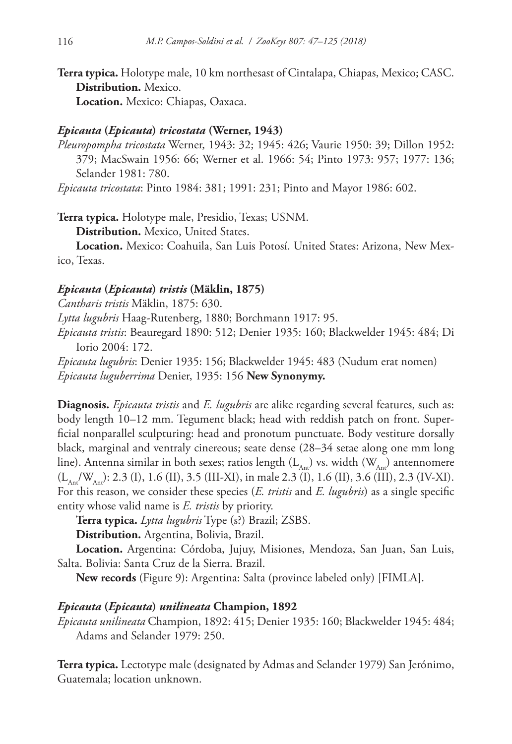**Terra typica.** Holotype male, 10 km northesast of Cintalapa, Chiapas, Mexico; CASC. **Distribution.** Mexico.

**Location.** Mexico: Chiapas, Oaxaca.

#### *Epicauta* **(***Epicauta***)** *tricostata* **(Werner, 1943)**

*Pleuropompha tricostata* Werner, 1943: 32; 1945: 426; Vaurie 1950: 39; Dillon 1952: 379; MacSwain 1956: 66; Werner et al. 1966: 54; Pinto 1973: 957; 1977: 136; Selander 1981: 780.

*Epicauta tricostata*: Pinto 1984: 381; 1991: 231; Pinto and Mayor 1986: 602.

**Terra typica.** Holotype male, Presidio, Texas; USNM.

**Distribution.** Mexico, United States.

**Location.** Mexico: Coahuila, San Luis Potosí. United States: Arizona, New Mexico, Texas.

## *Epicauta* **(***Epicauta***)** *tristis* **(Mäklin, 1875)**

*Cantharis tristis* Mäklin, 1875: 630.

*Lytta lugubris* Haag-Rutenberg, 1880; Borchmann 1917: 95.

*Epicauta tristis*: Beauregard 1890: 512; Denier 1935: 160; Blackwelder 1945: 484; Di Iorio 2004: 172.

*Epicauta lugubris*: Denier 1935: 156; Blackwelder 1945: 483 (Nudum erat nomen) *Epicauta luguberrima* Denier, 1935: 156 **New Synonymy.**

**Diagnosis.** *Epicauta tristis* and *E. lugubris* are alike regarding several features, such as: body length 10–12 mm. Tegument black; head with reddish patch on front. Superficial nonparallel sculpturing: head and pronotum punctuate. Body vestiture dorsally black, marginal and ventraly cinereous; seate dense (28–34 setae along one mm long line). Antenna similar in both sexes; ratios length  $(L_{\text{A}_{\text{nr}}})$  vs. width  $(W_{\text{A}_{\text{nr}}})$  antennomere  $(L_{\text{A}_{\text{nr}}}/W_{\text{A}_{\text{nr}}})$ : 2.3 (I), 1.6 (II), 3.5 (III-XI), in male 2.3 (I), 1.6 (II), 3.6 (III), 2.3 (IV-XI). For this reason, we consider these species (*E. tristis* and *E. lugubris*) as a single specific entity whose valid name is *E. tristis* by priority.

**Terra typica.** *Lytta lugubris* Type (s?) Brazil; ZSBS.

**Distribution.** Argentina, Bolivia, Brazil.

**Location.** Argentina: Córdoba, Jujuy, Misiones, Mendoza, San Juan, San Luis, Salta. Bolivia: Santa Cruz de la Sierra. Brazil.

**New records** (Figure 9): Argentina: Salta (province labeled only) [FIMLA].

## *Epicauta* **(***Epicauta***)** *unilineata* **Champion, 1892**

*Epicauta unilineata* Champion, 1892: 415; Denier 1935: 160; Blackwelder 1945: 484; Adams and Selander 1979: 250.

**Terra typica.** Lectotype male (designated by Admas and Selander 1979) San Jerónimo, Guatemala; location unknown.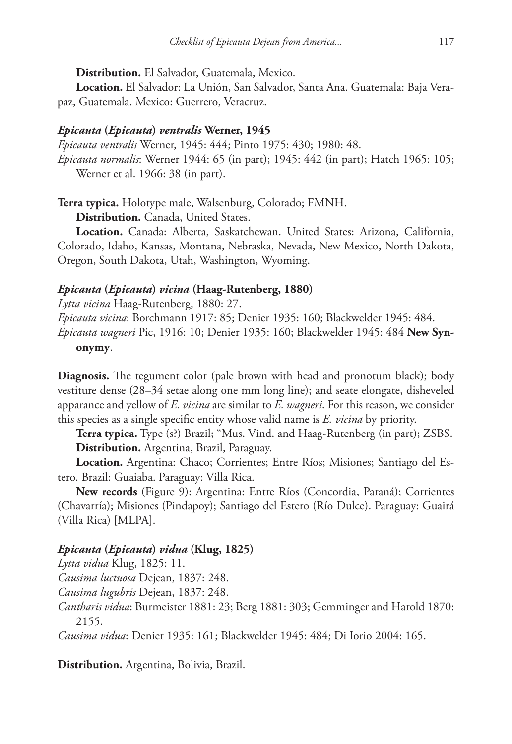**Distribution.** El Salvador, Guatemala, Mexico.

**Location.** El Salvador: La Unión, San Salvador, Santa Ana. Guatemala: Baja Verapaz, Guatemala. Mexico: Guerrero, Veracruz.

## *Epicauta* **(***Epicauta***)** *ventralis* **Werner, 1945**

*Epicauta ventralis* Werner, 1945: 444; Pinto 1975: 430; 1980: 48. *Epicauta normalis*: Werner 1944: 65 (in part); 1945: 442 (in part); Hatch 1965: 105; Werner et al. 1966: 38 (in part).

**Terra typica.** Holotype male, Walsenburg, Colorado; FMNH.

**Distribution.** Canada, United States.

**Location.** Canada: Alberta, Saskatchewan. United States: Arizona, California, Colorado, Idaho, Kansas, Montana, Nebraska, Nevada, New Mexico, North Dakota, Oregon, South Dakota, Utah, Washington, Wyoming.

## *Epicauta* **(***Epicauta***)** *vicina* **(Haag-Rutenberg, 1880)**

*Lytta vicina* Haag-Rutenberg, 1880: 27. *Epicauta vicina*: Borchmann 1917: 85; Denier 1935: 160; Blackwelder 1945: 484. *Epicauta wagneri* Pic, 1916: 10; Denier 1935: 160; Blackwelder 1945: 484 **New Synonymy**.

**Diagnosis.** The tegument color (pale brown with head and pronotum black); body vestiture dense (28–34 setae along one mm long line); and seate elongate, disheveled apparance and yellow of *E. vicina* are similar to *E. wagneri*. For this reason, we consider this species as a single specific entity whose valid name is *E. vicina* by priority.

**Terra typica.** Type (s?) Brazil; "Mus. Vind. and Haag-Rutenberg (in part); ZSBS. **Distribution.** Argentina, Brazil, Paraguay.

**Location.** Argentina: Chaco; Corrientes; Entre Ríos; Misiones; Santiago del Estero. Brazil: Guaiaba. Paraguay: Villa Rica.

**New records** (Figure 9): Argentina: Entre Ríos (Concordia, Paraná); Corrientes (Chavarría); Misiones (Pindapoy); Santiago del Estero (Río Dulce). Paraguay: Guairá (Villa Rica) [MLPA].

## *Epicauta* **(***Epicauta***)** *vidua* **(Klug, 1825)**

*Lytta vidua* Klug, 1825: 11.

*Causima luctuosa* Dejean, 1837: 248.

*Causima lugubris* Dejean, 1837: 248.

*Cantharis vidua*: Burmeister 1881: 23; Berg 1881: 303; Gemminger and Harold 1870: 2155.

*Causima vidua*: Denier 1935: 161; Blackwelder 1945: 484; Di Iorio 2004: 165.

**Distribution.** Argentina, Bolivia, Brazil.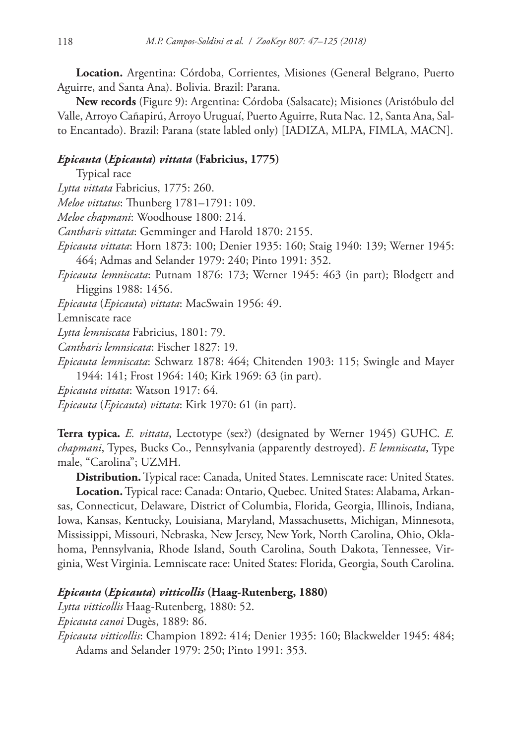**Location.** Argentina: Córdoba, Corrientes, Misiones (General Belgrano, Puerto Aguirre, and Santa Ana). Bolivia. Brazil: Parana.

**New records** (Figure 9): Argentina: Córdoba (Salsacate); Misiones (Aristóbulo del Valle, Arroyo Cañapirú, Arroyo Uruguaí, Puerto Aguirre, Ruta Nac. 12, Santa Ana, Salto Encantado). Brazil: Parana (state labled only) [IADIZA, MLPA, FIMLA, MACN].

## *Epicauta* **(***Epicauta***)** *vittata* **(Fabricius, 1775)**

Typical race *Lytta vittata* Fabricius, 1775: 260. *Meloe vittatus*: Thunberg 1781–1791: 109. *Meloe chapmani*: Woodhouse 1800: 214. *Cantharis vittata*: Gemminger and Harold 1870: 2155. *Epicauta vittata*: Horn 1873: 100; Denier 1935: 160; Staig 1940: 139; Werner 1945: 464; Admas and Selander 1979: 240; Pinto 1991: 352. *Epicauta lemniscata*: Putnam 1876: 173; Werner 1945: 463 (in part); Blodgett and Higgins 1988: 1456. *Epicauta* (*Epicauta*) *vittata*: MacSwain 1956: 49. Lemniscate race *Lytta lemniscata* Fabricius, 1801: 79. *Cantharis lemnsicata*: Fischer 1827: 19. *Epicauta lemniscata*: Schwarz 1878: 464; Chitenden 1903: 115; Swingle and Mayer 1944: 141; Frost 1964: 140; Kirk 1969: 63 (in part). *Epicauta vittata*: Watson 1917: 64.

*Epicauta* (*Epicauta*) *vittata*: Kirk 1970: 61 (in part).

**Terra typica.** *E. vittata*, Lectotype (sex?) (designated by Werner 1945) GUHC. *E. chapmani*, Types, Bucks Co., Pennsylvania (apparently destroyed). *E lemniscata*, Type male, "Carolina"; UZMH.

**Distribution.** Typical race: Canada, United States. Lemniscate race: United States. **Location.** Typical race: Canada: Ontario, Quebec. United States: Alabama, Arkansas, Connecticut, Delaware, District of Columbia, Florida, Georgia, Illinois, Indiana, Iowa, Kansas, Kentucky, Louisiana, Maryland, Massachusetts, Michigan, Minnesota, Mississippi, Missouri, Nebraska, New Jersey, New York, North Carolina, Ohio, Oklahoma, Pennsylvania, Rhode Island, South Carolina, South Dakota, Tennessee, Virginia, West Virginia. Lemniscate race: United States: Florida, Georgia, South Carolina.

## *Epicauta* **(***Epicauta***)** *vitticollis* **(Haag-Rutenberg, 1880)**

*Lytta vitticollis* Haag-Rutenberg, 1880: 52.

*Epicauta canoi* Dugès, 1889: 86.

*Epicauta vitticollis*: Champion 1892: 414; Denier 1935: 160; Blackwelder 1945: 484; Adams and Selander 1979: 250; Pinto 1991: 353.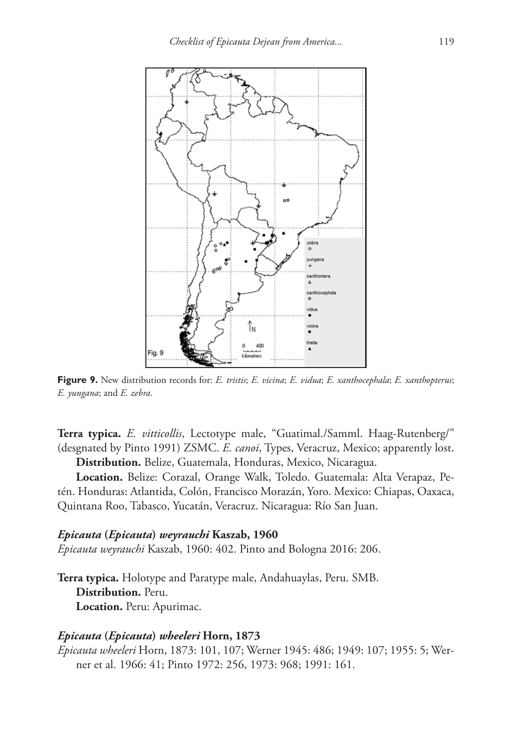

**Figure 9.** New distribution records for: *E. tristis*; *E. vicina*; *E. vidua*; *E. xanthocephala*; *E. xanthopterus*; *E. yungana*; and *E. zebra*.

**Terra typica.** *E. vitticollis*, Lectotype male, "Guatimal./Samml. Haag-Rutenberg/" (desgnated by Pinto 1991) ZSMC. *E. canoi*, Types, Veracruz, Mexico; apparently lost.

**Distribution.** Belize, Guatemala, Honduras, Mexico, Nicaragua.

**Location.** Belize: Corazal, Orange Walk, Toledo. Guatemala: Alta Verapaz, Petén. Honduras: Atlantida, Colón, Francisco Morazán, Yoro. Mexico: Chiapas, Oaxaca, Quintana Roo, Tabasco, Yucatán, Veracruz. Nicaragua: Río San Juan.

#### *Epicauta* **(***Epicauta***)** *weyrauchi* **Kaszab, 1960**

*Epicauta weyrauchi* Kaszab, 1960: 402. Pinto and Bologna 2016: 206.

**Terra typica.** Holotype and Paratype male, Andahuaylas, Peru. SMB. **Distribution.** Peru. **Location.** Peru: Apurimac.

#### *Epicauta* **(***Epicauta***)** *wheeleri* **Horn, 1873**

*Epicauta wheeleri* Horn, 1873: 101, 107; Werner 1945: 486; 1949: 107; 1955: 5; Werner et al. 1966: 41; Pinto 1972: 256, 1973: 968; 1991: 161.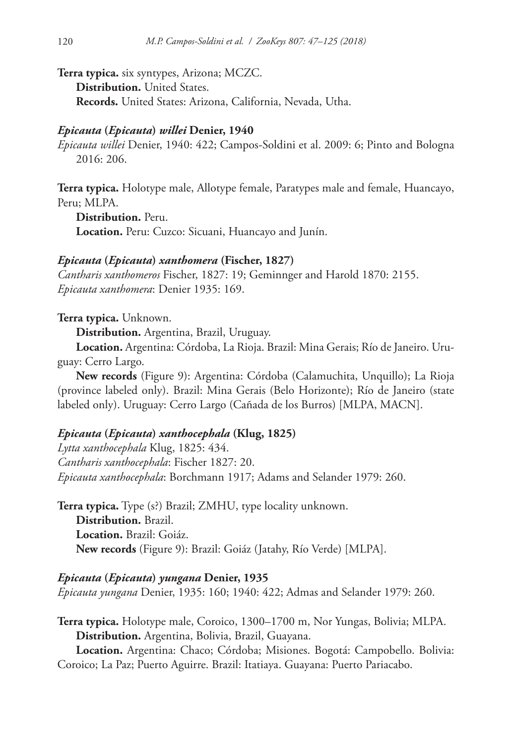**Terra typica.** six syntypes, Arizona; MCZC. **Distribution.** United States. **Records.** United States: Arizona, California, Nevada, Utha.

### *Epicauta* **(***Epicauta***)** *willei* **Denier, 1940**

*Epicauta willei* Denier, 1940: 422; Campos-Soldini et al. 2009: 6; Pinto and Bologna 2016: 206.

**Terra typica.** Holotype male, Allotype female, Paratypes male and female, Huancayo, Peru; MLPA.

**Distribution.** Peru. **Location.** Peru: Cuzco: Sicuani, Huancayo and Junín.

## *Epicauta* **(***Epicauta***)** *xanthomera* **(Fischer, 1827)**

*Cantharis xanthomeros* Fischer, 1827: 19; Geminnger and Harold 1870: 2155. *Epicauta xanthomera*: Denier 1935: 169.

#### **Terra typica.** Unknown.

**Distribution.** Argentina, Brazil, Uruguay.

**Location.** Argentina: Córdoba, La Rioja. Brazil: Mina Gerais; Río de Janeiro. Uruguay: Cerro Largo.

**New records** (Figure 9): Argentina: Córdoba (Calamuchita, Unquillo); La Rioja (province labeled only). Brazil: Mina Gerais (Belo Horizonte); Río de Janeiro (state labeled only). Uruguay: Cerro Largo (Cañada de los Burros) [MLPA, MACN].

# *Epicauta* **(***Epicauta***)** *xanthocephala* **(Klug, 1825)**

*Lytta xanthocephala* Klug, 1825: 434. *Cantharis xanthocephala*: Fischer 1827: 20. *Epicauta xanthocephala*: Borchmann 1917; Adams and Selander 1979: 260.

**Terra typica.** Type (s?) Brazil; ZMHU, type locality unknown. **Distribution.** Brazil. **Location.** Brazil: Goiáz. **New records** (Figure 9): Brazil: Goiáz (Jatahy, Río Verde) [MLPA].

### *Epicauta* **(***Epicauta***)** *yungana* **Denier, 1935**

*Epicauta yungana* Denier, 1935: 160; 1940: 422; Admas and Selander 1979: 260.

**Terra typica.** Holotype male, Coroico, 1300–1700 m, Nor Yungas, Bolivia; MLPA. **Distribution.** Argentina, Bolivia, Brazil, Guayana.

**Location.** Argentina: Chaco; Córdoba; Misiones. Bogotá: Campobello. Bolivia: Coroico; La Paz; Puerto Aguirre. Brazil: Itatiaya. Guayana: Puerto Pariacabo.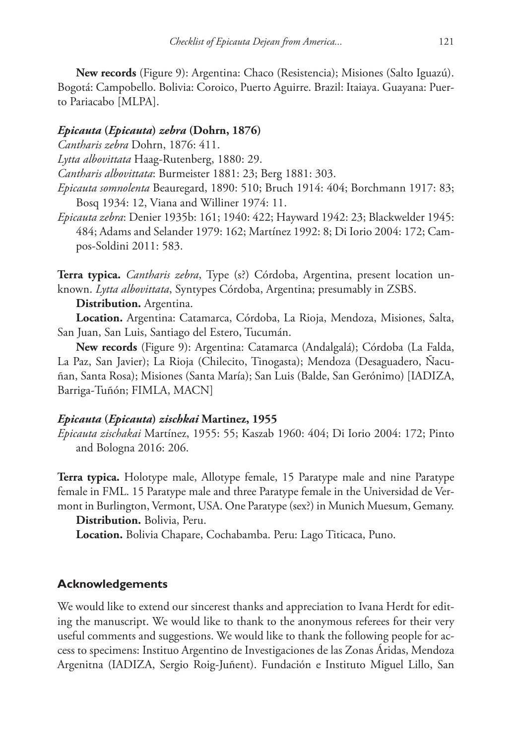**New records** (Figure 9): Argentina: Chaco (Resistencia); Misiones (Salto Iguazú). Bogotá: Campobello. Bolivia: Coroico, Puerto Aguirre. Brazil: Itaiaya. Guayana: Puerto Pariacabo [MLPA].

### *Epicauta* **(***Epicauta***)** *zebra* **(Dohrn, 1876)**

*Cantharis zebra* Dohrn, 1876: 411.

*Lytta albovittata* Haag-Rutenberg, 1880: 29.

*Cantharis albovittata*: Burmeister 1881: 23; Berg 1881: 303.

- *Epicauta somnolenta* Beauregard, 1890: 510; Bruch 1914: 404; Borchmann 1917: 83; Bosq 1934: 12, Viana and Williner 1974: 11.
- *Epicauta zebra*: Denier 1935b: 161; 1940: 422; Hayward 1942: 23; Blackwelder 1945: 484; Adams and Selander 1979: 162; Martínez 1992: 8; Di Iorio 2004: 172; Campos-Soldini 2011: 583.

**Terra typica.** *Cantharis zebra*, Type (s?) Córdoba, Argentina, present location unknown. *Lytta albovittata*, Syntypes Córdoba, Argentina; presumably in ZSBS.

### **Distribution.** Argentina.

**Location.** Argentina: Catamarca, Córdoba, La Rioja, Mendoza, Misiones, Salta, San Juan, San Luis, Santiago del Estero, Tucumán.

**New records** (Figure 9): Argentina: Catamarca (Andalgalá); Córdoba (La Falda, La Paz, San Javier); La Rioja (Chilecito, Tinogasta); Mendoza (Desaguadero, Ñacuñan, Santa Rosa); Misiones (Santa María); San Luis (Balde, San Gerónimo) [IADIZA, Barriga-Tuñón; FIMLA, MACN]

# *Epicauta* **(***Epicauta***)** *zischkai* **Martinez, 1955**

*Epicauta zischakai* Martínez, 1955: 55; Kaszab 1960: 404; Di Iorio 2004: 172; Pinto and Bologna 2016: 206.

**Terra typica.** Holotype male, Allotype female, 15 Paratype male and nine Paratype female in FML. 15 Paratype male and three Paratype female in the Universidad de Vermont in Burlington, Vermont, USA. One Paratype (sex?) in Munich Muesum, Gemany.

**Distribution.** Bolivia, Peru.

**Location.** Bolivia Chapare, Cochabamba. Peru: Lago Titicaca, Puno.

# **Acknowledgements**

We would like to extend our sincerest thanks and appreciation to Ivana Herdt for editing the manuscript. We would like to thank to the anonymous referees for their very useful comments and suggestions. We would like to thank the following people for access to specimens: Instituo Argentino de Investigaciones de las Zonas Áridas, Mendoza Argenitna (IADIZA, Sergio Roig-Juñent). Fundación e Instituto Miguel Lillo, San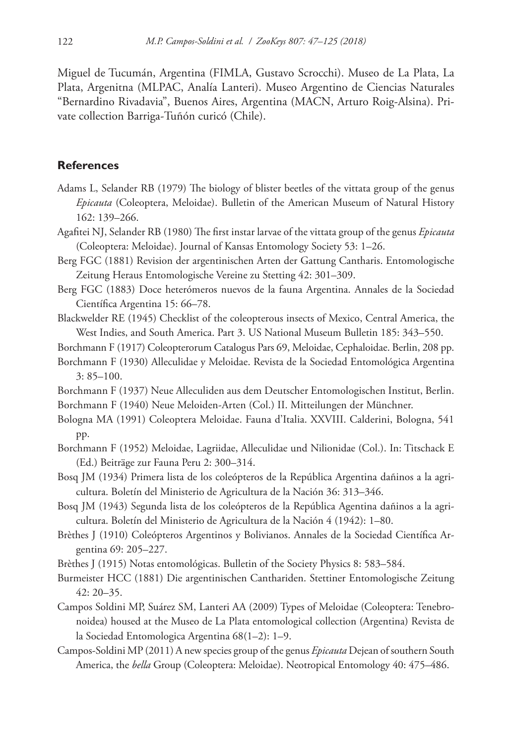Miguel de Tucumán, Argentina (FIMLA, Gustavo Scrocchi). Museo de La Plata, La Plata, Argenitna (MLPAC, Analía Lanteri). Museo Argentino de Ciencias Naturales "Bernardino Rivadavia", Buenos Aires, Argentina (MACN, Arturo Roig-Alsina). Private collection Barriga-Tuñón curicó (Chile).

## **References**

- Adams L, Selander RB (1979) The biology of blister beetles of the vittata group of the genus *Epicauta* (Coleoptera, Meloidae). Bulletin of the American Museum of Natural History 162: 139–266.
- Agafitei NJ, Selander RB (1980) The first instar larvae of the vittata group of the genus *Epicauta* (Coleoptera: Meloidae). Journal of Kansas Entomology Society 53: 1–26.
- Berg FGC (1881) Revision der argentinischen Arten der Gattung Cantharis. Entomologische Zeitung Heraus Entomologische Vereine zu Stetting 42: 301–309.
- Berg FGC (1883) Doce heterómeros nuevos de la fauna Argentina. Annales de la Sociedad Científica Argentina 15: 66–78.
- Blackwelder RE (1945) Checklist of the coleopterous insects of Mexico, Central America, the West Indies, and South America. Part 3. US National Museum Bulletin 185: 343–550.
- Borchmann F (1917) Coleopterorum Catalogus Pars 69, Meloidae, Cephaloidae. Berlin, 208 pp.
- Borchmann F (1930) Alleculidae y Meloidae. Revista de la Sociedad Entomológica Argentina 3: 85–100.
- Borchmann F (1937) Neue Alleculiden aus dem Deutscher Entomologischen Institut, Berlin. Borchmann F (1940) Neue Meloiden-Arten (Col.) II. Mitteilungen der Münchner.
- Bologna MA (1991) Coleoptera Meloidae. Fauna d'Italia. XXVIII. Calderini, Bologna, 541 pp.
- Borchmann F (1952) Meloidae, Lagriidae, Alleculidae und Nilionidae (Col.). In: Titschack E (Ed.) Beiträge zur Fauna Peru 2: 300–314.
- Bosq JM (1934) Primera lista de los coleópteros de la República Argentina dañinos a la agricultura. Boletín del Ministerio de Agricultura de la Nación 36: 313–346.
- Bosq JM (1943) Segunda lista de los coleópteros de la República Agentina dañinos a la agricultura. Boletín del Ministerio de Agricultura de la Nación 4 (1942): 1–80.
- Brèthes J (1910) Coleópteros Argentinos y Bolivianos. Annales de la Sociedad Científica Argentina 69: 205–227.
- Brèthes J (1915) Notas entomológicas. Bulletin of the Society Physics 8: 583–584.
- Burmeister HCC (1881) Die argentinischen Canthariden. Stettiner Entomologische Zeitung 42: 20–35.
- Campos Soldini MP, Suárez SM, Lanteri AA (2009) Types of Meloidae (Coleoptera: Tenebronoidea) housed at the Museo de La Plata entomological collection (Argentina) Revista de la Sociedad Entomologica Argentina 68(1–2): 1–9.
- Campos-Soldini MP (2011) A new species group of the genus *Epicauta* Dejean of southern South America, the *bella* Group (Coleoptera: Meloidae). Neotropical Entomology 40: 475–486.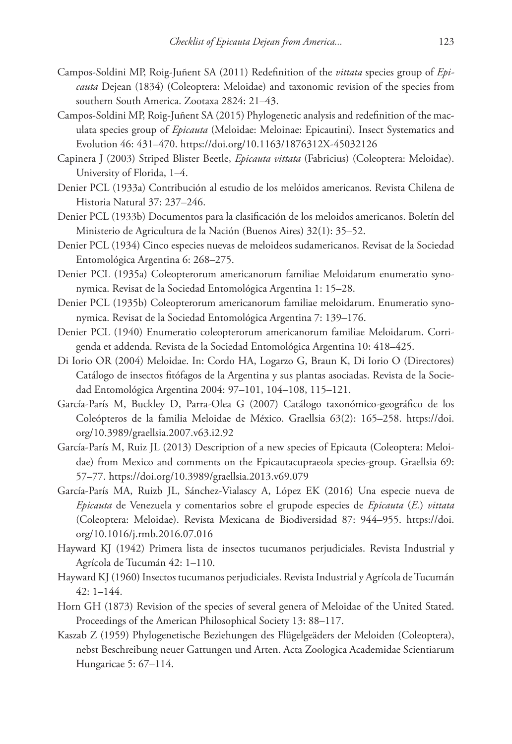- Campos-Soldini MP, Roig-Juñent SA (2011) Redefinition of the *vittata* species group of *Epicauta* Dejean (1834) (Coleoptera: Meloidae) and taxonomic revision of the species from southern South America. Zootaxa 2824: 21–43.
- Campos-Soldini MP, Roig-Juñent SA (2015) Phylogenetic analysis and redefinition of the maculata species group of *Epicauta* (Meloidae: Meloinae: Epicautini). Insect Systematics and Evolution 46: 431–470. <https://doi.org/10.1163/1876312X-45032126>
- Capinera J (2003) Striped Blister Beetle, *Epicauta vittata* (Fabricius) (Coleoptera: Meloidae). University of Florida, 1–4.
- Denier PCL (1933a) Contribución al estudio de los melóidos americanos. Revista Chilena de Historia Natural 37: 237–246.
- Denier PCL (1933b) Documentos para la clasificación de los meloidos americanos. Boletín del Ministerio de Agricultura de la Nación (Buenos Aires) 32(1): 35–52.
- Denier PCL (1934) Cinco especies nuevas de meloideos sudamericanos. Revisat de la Sociedad Entomológica Argentina 6: 268–275.
- Denier PCL (1935a) Coleopterorum americanorum familiae Meloidarum enumeratio synonymica. Revisat de la Sociedad Entomológica Argentina 1: 15–28.
- Denier PCL (1935b) Coleopterorum americanorum familiae meloidarum. Enumeratio synonymica. Revisat de la Sociedad Entomológica Argentina 7: 139–176.
- Denier PCL (1940) Enumeratio coleopterorum americanorum familiae Meloidarum. Corrigenda et addenda. Revista de la Sociedad Entomológica Argentina 10: 418–425.
- Di Iorio OR (2004) Meloidae. In: Cordo HA, Logarzo G, Braun K, Di Iorio O (Directores) Catálogo de insectos fitófagos de la Argentina y sus plantas asociadas. Revista de la Sociedad Entomológica Argentina 2004: 97–101, 104–108, 115–121.
- García-París M, Buckley D, Parra-Olea G (2007) Catálogo taxonómico-geográfico de los Coleópteros de la familia Meloidae de México. Graellsia 63(2): 165–258. [https://doi.](https://doi.org/10.3989/graellsia.2007.v63.i2.92) [org/10.3989/graellsia.2007.v63.i2.92](https://doi.org/10.3989/graellsia.2007.v63.i2.92)
- García-París M, Ruiz JL (2013) Description of a new species of Epicauta (Coleoptera: Meloidae) from Mexico and comments on the Epicautacupraeola species-group. Graellsia 69: 57–77.<https://doi.org/10.3989/graellsia.2013.v69.079>
- García-París MA, Ruizb JL, Sánchez-Vialascy A, López EK (2016) Una especie nueva de *Epicauta* de Venezuela y comentarios sobre el grupode especies de *Epicauta* (*E.*) *vittata* (Coleoptera: Meloidae). Revista Mexicana de Biodiversidad 87: 944–955. [https://doi.](https://doi.org/10.1016/j.rmb.2016.07.016) [org/10.1016/j.rmb.2016.07.016](https://doi.org/10.1016/j.rmb.2016.07.016)
- Hayward KJ (1942) Primera lista de insectos tucumanos perjudiciales. Revista Industrial y Agrícola de Tucumán 42: 1–110.
- Hayward KJ (1960) Insectos tucumanos perjudiciales. Revista Industrial y Agrícola de Tucumán 42: 1–144.
- Horn GH (1873) Revision of the species of several genera of Meloidae of the United Stated. Proceedings of the American Philosophical Society 13: 88–117.
- Kaszab Z (1959) Phylogenetische Beziehungen des Flügelgeäders der Meloiden (Coleoptera), nebst Beschreibung neuer Gattungen und Arten. Acta Zoologica Academidae Scientiarum Hungaricae 5: 67–114.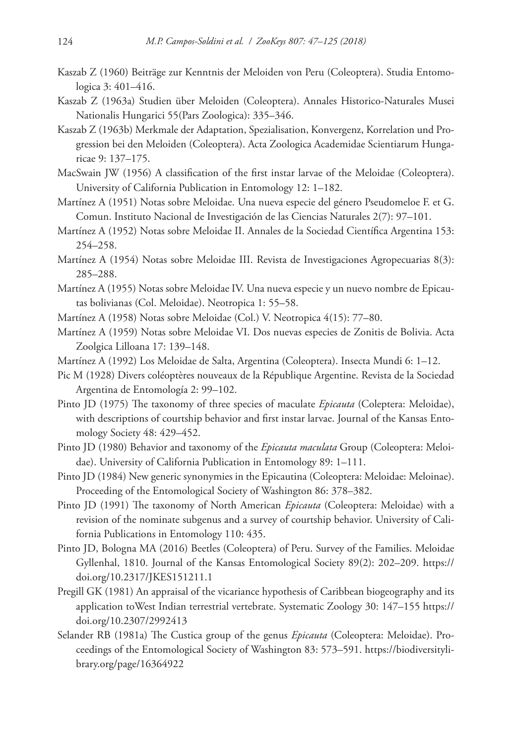- Kaszab Z (1960) Beiträge zur Kenntnis der Meloiden von Peru (Coleoptera). Studia Entomologica 3: 401–416.
- Kaszab Z (1963a) Studien über Meloiden (Coleoptera). Annales Historico-Naturales Musei Nationalis Hungarici 55(Pars Zoologica): 335–346.
- Kaszab Z (1963b) Merkmale der Adaptation, Spezialisation, Konvergenz, Korrelation und Progression bei den Meloiden (Coleoptera). Acta Zoologica Academidae Scientiarum Hungaricae 9: 137–175.
- MacSwain JW (1956) A classification of the first instar larvae of the Meloidae (Coleoptera). University of California Publication in Entomology 12: 1–182.
- Martínez A (1951) Notas sobre Meloidae. Una nueva especie del género Pseudomeloe F. et G. Comun. Instituto Nacional de Investigación de las Ciencias Naturales 2(7): 97–101.
- Martínez A (1952) Notas sobre Meloidae II. Annales de la Sociedad Científica Argentina 153: 254–258.
- Martínez A (1954) Notas sobre Meloidae III. Revista de Investigaciones Agropecuarias 8(3): 285–288.
- Martínez A (1955) Notas sobre Meloidae IV. Una nueva especie y un nuevo nombre de Epicautas bolivianas (Col. Meloidae). Neotropica 1: 55–58.
- Martínez A (1958) Notas sobre Meloidae (Col.) V. Neotropica 4(15): 77–80.
- Martínez A (1959) Notas sobre Meloidae VI. Dos nuevas especies de Zonitis de Bolivia. Acta Zoolgica Lilloana 17: 139–148.
- Martínez A (1992) Los Meloidae de Salta, Argentina (Coleoptera). Insecta Mundi 6: 1–12.
- Pic M (1928) Divers coléoptères nouveaux de la République Argentine. Revista de la Sociedad Argentina de Entomología 2: 99–102.
- Pinto JD (1975) The taxonomy of three species of maculate *Epicauta* (Coleptera: Meloidae), with descriptions of courtship behavior and first instar larvae. Journal of the Kansas Entomology Society 48: 429–452.
- Pinto JD (1980) Behavior and taxonomy of the *Epicauta maculata* Group (Coleoptera: Meloidae). University of California Publication in Entomology 89: 1–111.
- Pinto JD (1984) New generic synonymies in the Epicautina (Coleoptera: Meloidae: Meloinae). Proceeding of the Entomological Society of Washington 86: 378–382.
- Pinto JD (1991) The taxonomy of North American *Epicauta* (Coleoptera: Meloidae) with a revision of the nominate subgenus and a survey of courtship behavior. University of California Publications in Entomology 110: 435.
- Pinto JD, Bologna MA (2016) Beetles (Coleoptera) of Peru. Survey of the Families. Meloidae Gyllenhal, 1810. Journal of the Kansas Entomological Society 89(2): 202–209. [https://](https://doi.org/10.2317/JKES151211.1) [doi.org/10.2317/JKES151211.1](https://doi.org/10.2317/JKES151211.1)
- Pregill GK (1981) An appraisal of the vicariance hypothesis of Caribbean biogeography and its application toWest Indian terrestrial vertebrate. Systematic Zoology 30: 147–155 [https://](https://doi.org/10.2307/2992413) [doi.org/10.2307/2992413](https://doi.org/10.2307/2992413)
- Selander RB (1981a) The Custica group of the genus *Epicauta* (Coleoptera: Meloidae). Proceedings of the Entomological Society of Washington 83: 573–591. [https://biodiversityli](https://biodiversitylibrary.org/page/16364922)[brary.org/page/16364922](https://biodiversitylibrary.org/page/16364922)